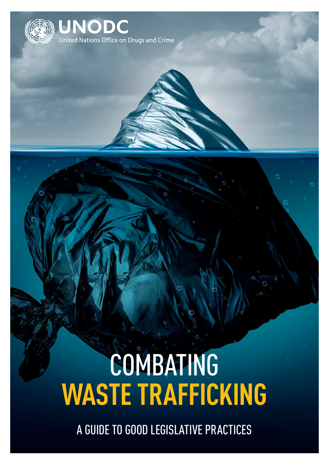

# COMBATING **WASTE TRAFFICKING**

A GUIDE TO GOOD LEGISLATIVE PRACTICES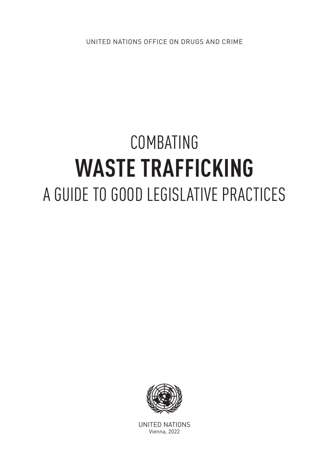UNITED NATIONS OFFICE ON DRUGS AND CRIME

## COMBATING **WASTE TRAFFICKING** A GUIDE TO GOOD LEGISLATIVE PRACTICES



UNITED NATIONS Vienna, 2022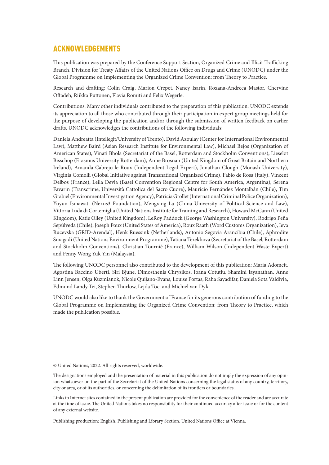#### ACKNOWLEDGEMENTS

This publication was prepared by the Conference Support Section, Organized Crime and Illicit Trafficking Branch, Division for Treaty Affairs of the United Nations Office on Drugs and Crime (UNODC) under the Global Programme on Implementing the Organized Crime Convention: from Theory to Practice.

Research and drafting: Colin Craig, Marion Crepet, Nancy Isarin, Roxana-Andreea Mastor, Chervine Oftadeh, Riikka Puttonen, Flavia Romiti and Felix Wegerle.

Contributions: Many other individuals contributed to the preparation of this publication. UNODC extends its appreciation to all those who contributed through their participation in expert group meetings held for the purpose of developing the publication and/or through the submission of written feedback on earlier drafts. UNODC acknowledges the contributions of the following individuals:

Daniela Andreatta (Intellegit/University of Trento), David Azoulay (Center for International Environmental Law), Matthew Baird (Asian Research Institute for Environmental Law), Michael Bejos (Organization of American States), Vinati Bhola (Secretariat of the Basel, Rotterdam and Stockholm Conventions), Lieselot Bisschop (Erasmus University Rotterdam), Anne Brosnan (United Kingdom of Great Britain and Northern Ireland), Amanda Cabrejo le Roux (Independent Legal Expert), Jonathan Clough (Monash University), Virginia Comolli (Global Initiative against Transnational Organized Crime), Fabio de Rosa (Italy), Vincent Delbos (France), Leila Devia (Basel Convention Regional Centre for South America, Argentina), Serena Favarin (Transcrime, Università Cattolica del Sacro Cuore), Mauricio Fernández Montalbán (Chile), Tim Grabiel (Environmental Investigation Agency), Patricia Grollet (International Criminal Police Organization), Yuyun Ismawati (Nexus3 Foundation), Mengxing Lu (China University of Political Science and Law), Vittoria Luda di Cortemiglia (United Nations Institute for Training and Research), Howard McCann (United Kingdom), Katie Olley (United Kingdom), LeRoy Paddock (George Washington University), Rodrigo Peña Sepúlveda (Chile), Joseph Poux (United States of America), Roux Raath (Word Customs Organization), Ieva Rucevska (GRID-Arendal), Henk Ruessink (Netherlands), Antonio Segovia Arancibia (Chile), Aphrodite Smagadi (United Nations Environment Programme), Tatiana Terekhova (Secretariat of the Basel, Rotterdam and Stockholm Conventions), Christian Tournié (France), William Wilson (Independent Waste Expert) and Fenny Wong Yuk Yin (Malaysia).

The following UNODC personnel also contributed to the development of this publication: Maria Adomeit, Agostina Baccino Uberti, Siri Bjune, Dimosthenis Chrysikos, Ioana Cotutiu, Shamini Jayanathan, Anne Linn Jensen, Olga Kuzmianok, Nicole Quijano-Evans, Louise Portas, Raha Sayadifar, Daniela Sota Valdivia, Edmund Landy Tei, Stephen Thurlow, Lejda Toci and Michiel van Dyk.

UNODC would also like to thank the Government of France for its generous contribution of funding to the Global Programme on Implementing the Organized Crime Convention: from Theory to Practice, which made the publication possible.

© United Nations, 2022. All rights reserved, worldwide.

The designations employed and the presentation of material in this publication do not imply the expression of any opinion whatsoever on the part of the Secretariat of the United Nations concerning the legal status of any country, territory, city or area, or of its authorities, or concerning the delimitation of its frontiers or boundaries.

Links to Internet sites contained in the present publication are provided for the convenience of the reader and are accurate at the time of issue. The United Nations takes no responsibility for their continued accuracy after issue or for the content of any external website.

Publishing production: English, Publishing and Library Section, United Nations Office at Vienna.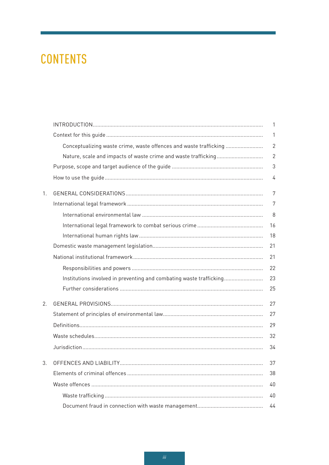## **CONTENTS**

|    |                                                                     | 1              |
|----|---------------------------------------------------------------------|----------------|
|    |                                                                     | 1              |
|    | Conceptualizing waste crime, waste offences and waste trafficking   | $\overline{2}$ |
|    |                                                                     | $\overline{2}$ |
|    |                                                                     | $\mathfrak 3$  |
|    |                                                                     | 4              |
| 1. |                                                                     | 7              |
|    |                                                                     | 7              |
|    |                                                                     | 8              |
|    |                                                                     | 16             |
|    |                                                                     | 18             |
|    |                                                                     | 21             |
|    |                                                                     | 21             |
|    |                                                                     | 22             |
|    | Institutions involved in preventing and combating waste trafficking | 23             |
|    |                                                                     | 25             |
| 2. |                                                                     | 27             |
|    |                                                                     | 27             |
|    |                                                                     | 29             |
|    |                                                                     | 32             |
|    |                                                                     | 34             |
| 3. |                                                                     | 37             |
|    |                                                                     | 38             |
|    |                                                                     | 40             |
|    |                                                                     | 40             |
|    |                                                                     | 44             |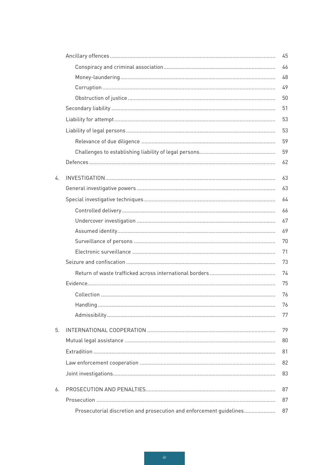|    |                                                                     | 45       |
|----|---------------------------------------------------------------------|----------|
|    |                                                                     | 46       |
|    |                                                                     | 48       |
|    |                                                                     | 49       |
|    |                                                                     | 50       |
|    |                                                                     | 51       |
|    |                                                                     | 53       |
|    |                                                                     | 53       |
|    |                                                                     | 59       |
|    |                                                                     | 59       |
|    |                                                                     | 62       |
| 4. |                                                                     | 63       |
|    |                                                                     | 63       |
|    |                                                                     | 64       |
|    |                                                                     |          |
|    |                                                                     | 66       |
|    |                                                                     | 67       |
|    |                                                                     | 69<br>70 |
|    |                                                                     | 71       |
|    |                                                                     | 73       |
|    |                                                                     | 74       |
|    |                                                                     | 75       |
|    |                                                                     |          |
|    |                                                                     | 76       |
|    |                                                                     | 76<br>77 |
|    |                                                                     |          |
| 5. |                                                                     | 79       |
|    |                                                                     | 80       |
|    |                                                                     | 81       |
|    |                                                                     | 82       |
|    |                                                                     | 83       |
| 6. |                                                                     | 87       |
|    |                                                                     | 87       |
|    | Prosecutorial discretion and prosecution and enforcement guidelines | 87       |
|    |                                                                     |          |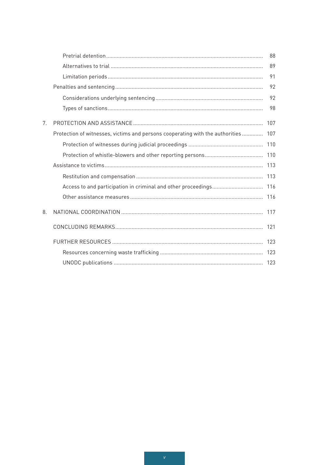|    |                                                                               | 88  |
|----|-------------------------------------------------------------------------------|-----|
|    |                                                                               | 89  |
|    |                                                                               | 91  |
|    |                                                                               | 92  |
|    |                                                                               | 92  |
|    |                                                                               | 98  |
| 7. |                                                                               | 107 |
|    | Protection of witnesses, victims and persons cooperating with the authorities | 107 |
|    |                                                                               |     |
|    |                                                                               |     |
|    |                                                                               |     |
|    |                                                                               |     |
|    |                                                                               |     |
|    |                                                                               |     |
| 8. |                                                                               | 117 |
|    |                                                                               |     |
|    |                                                                               |     |
|    |                                                                               |     |
|    |                                                                               |     |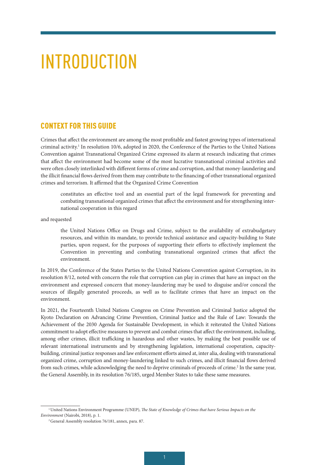## <span id="page-8-0"></span>INTRODUCTION

### CONTEXT FOR THIS GUIDE

Crimes that affect the environment are among the most profitable and fastest growing types of international criminal activity.<sup>1</sup> In resolution 10/6, adopted in 2020, the Conference of the Parties to the United Nations Convention against Transnational Organized Crime expressed its alarm at research indicating that crimes that affect the environment had become some of the most lucrative transnational criminal activities and were often closely interlinked with different forms of crime and corruption, and that money-laundering and the illicit financial flows derived from them may contribute to the financing of other transnational organized crimes and terrorism. It affirmed that the Organized Crime Convention

constitutes an effective tool and an essential part of the legal framework for preventing and combating transnational organized crimes that affect the environment and for strengthening international cooperation in this regard

#### and requested

the United Nations Office on Drugs and Crime, subject to the availability of extrabudgetary resources, and within its mandate, to provide technical assistance and capacity-building to State parties, upon request, for the purposes of supporting their efforts to effectively implement the Convention in preventing and combating transnational organized crimes that affect the environment.

In 2019, the Conference of the States Parties to the United Nations Convention against Corruption, in its resolution 8/12, noted with concern the role that corruption can play in crimes that have an impact on the environment and expressed concern that money-laundering may be used to disguise and/or conceal the sources of illegally generated proceeds, as well as to facilitate crimes that have an impact on the environment.

In 2021, the Fourteenth United Nations Congress on Crime Prevention and Criminal Justice adopted the Kyoto Declaration on Advancing Crime Prevention, Criminal Justice and the Rule of Law: Towards the Achievement of the 2030 Agenda for Sustainable Development*,* in which it reiterated the United Nations commitment to adopt effective measures to prevent and combat crimes that affect the environment, including, among other crimes, illicit trafficking in hazardous and other wastes, by making the best possible use of relevant international instruments and by strengthening legislation, international cooperation, capacitybuilding, criminal justice responses and law enforcement efforts aimed at, inter alia, dealing with transnational organized crime, corruption and money-laundering linked to such crimes, and illicit financial flows derived from such crimes, while acknowledging the need to deprive criminals of proceeds of crime.<sup>2</sup> In the same year, the General Assembly, in its resolution 76/185, urged Member States to take these same measures.

<sup>1</sup> United Nations Environment Programme (UNEP), *The State of Knowledge of Crimes that have Serious Impacts on the Environment* (Nairobi, 2018), p. 1.

<sup>2</sup> General Assembly resolution 76/181, annex, para. 87.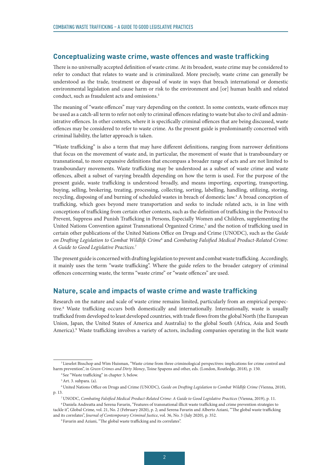#### <span id="page-9-0"></span>**Conceptualizing waste crime, waste offences and waste trafficking**

There is no universally accepted definition of waste crime. At its broadest, waste crime may be considered to refer to conduct that relates to waste and is criminalized. More precisely, waste crime can generally be understood as the trade, treatment or disposal of waste in ways that breach international or domestic environmental legislation and cause harm or risk to the environment and [or] human health and related conduct, such as fraudulent acts and omissions.<sup>3</sup>

The meaning of "waste offences" may vary depending on the context. In some contexts, waste offences may be used as a catch-all term to refer not only to criminal offences relating to waste but also to civil and administrative offences. In other contexts, where it is specifically criminal offences that are being discussed, waste offences may be considered to refer to waste crime. As the present guide is predominantly concerned with criminal liability, the latter approach is taken.

"Waste trafficking" is also a term that may have different definitions, ranging from narrower definitions that focus on the movement of waste and, in particular, the movement of waste that is transboundary or transnational, to more expansive definitions that encompass a broader range of acts and are not limited to transboundary movements. Waste trafficking may be understood as a subset of waste crime and waste offences, albeit a subset of varying breadth depending on how the term is used. For the purpose of the present guide, waste trafficking is understood broadly, and means importing, exporting, transporting, buying, selling, brokering, treating, processing, collecting, sorting, labelling, handling, utilizing, storing, recycling, disposing of and burning of scheduled wastes in breach of domestic law.<sup>4</sup> A broad conception of trafficking, which goes beyond mere transportation and seeks to include related acts, is in line with conceptions of trafficking from certain other contexts, such as the definition of trafficking in the Protocol to Prevent, Suppress and Punish Trafficking in Persons, Especially Women and Children, supplementing the United Nations Convention against Transnational Organized Crime,<sup>5</sup> and the notion of trafficking used in certain other publications of the United Nations Office on Drugs and Crime (UNODC), such as the *Guide on Drafting Legislation to Combat Wildlife Crime*<sup>6</sup> and *Combating Falsified Medical Product-Related Crime: A Guide to Good Legislative Practices.*<sup>7</sup>

The present guide is concerned with drafting legislation to prevent and combat waste trafficking. Accordingly, it mainly uses the term "waste trafficking". Where the guide refers to the broader category of criminal offences concerning waste, the terms "waste crime" or "waste offences" are used.

#### **Nature, scale and impacts of waste crime and waste trafficking**

Research on the nature and scale of waste crime remains limited, particularly from an empirical perspective.8 Waste trafficking occurs both domestically and internationally. Internationally, waste is usually trafficked from developed to least developed countries, with trade flows from the global North (the European Union, Japan, the United States of America and Australia) to the global South (Africa, Asia and South America).9 Waste trafficking involves a variety of actors, including companies operating in the licit waste

<sup>3</sup> Lieselot Bisschop and Wim Huisman, "Waste crime from three criminological perspectives: implications for crime control and harm prevention", in *Green Crimes and Dirty Money*, Toine Spapens and other, eds. (London, Routledge, 2018), p. 150.

<sup>4</sup> See "Waste trafficking" in chapter 3, below.

 $<sup>5</sup>$  Art. 3. subpara. (a).</sup>

<sup>6</sup> United Nations Office on Drugs and Crime (UNODC), *Guide on Drafting Legislation to Combat Wildlife Crime* (Vienna, 2018), p. 13.

<sup>7</sup> UNODC, *Combating Falsified Medical Product-Related Crime: A Guide to Good Legislative Practices* (Vienna, 2019), p. 11.

<sup>8</sup> Daniela Andreatta and Serena Favarin, "Features of transnational illicit waste trafficking and crime prevention strategies to tackle it", Global Crime, vol. 21, No. 2 (February 2020), p. 2; and Serena Favarin and Alberto Aziani, "'The global waste trafficking and its correlates", *Journal of Contemporary Criminal Justice*, vol. 36, No. 3 (July 2020), p. 352.

<sup>9</sup> Favarin and Aziani, "The global waste trafficking and its correlates".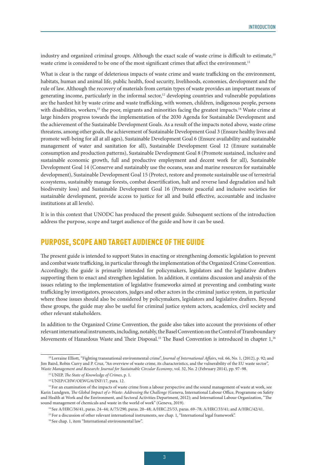<span id="page-10-0"></span>industry and organized criminal groups. Although the exact scale of waste crime is difficult to estimate,<sup>10</sup> waste crime is considered to be one of the most significant crimes that affect the environment.<sup>11</sup>

What is clear is the range of deleterious impacts of waste crime and waste trafficking on the environment, habitats, human and animal life, public health, food security, livelihoods, economies, development and the rule of law. Although the recovery of materials from certain types of waste provides an important means of generating income, particularly in the informal sector, $12$  developing countries and vulnerable populations are the hardest hit by waste crime and waste trafficking, with women, children, indigenous people, persons with disabilities, workers,<sup>13</sup> the poor, migrants and minorities facing the greatest impacts.<sup>14</sup> Waste crime at large hinders progress towards the implementation of the 2030 Agenda for Sustainable Development and the achievement of the Sustainable Development Goals. As a result of the impacts noted above, waste crime threatens, among other goals, the achievement of Sustainable Development Goal 3 (Ensure healthy lives and promote well-being for all at all ages), Sustainable Development Goal 6 (Ensure availability and sustainable management of water and sanitation for all), Sustainable Development Goal 12 (Ensure sustainable consumption and production patterns), Sustainable Development Goal 8 (Promote sustained, inclusive and sustainable economic growth, full and productive employment and decent work for all), Sustainable Development Goal 14 (Conserve and sustainably use the oceans, seas and marine resources for sustainable development), Sustainable Development Goal 15 (Protect, restore and promote sustainable use of terrestrial ecosystems, sustainably manage forests, combat desertification, halt and reverse land degradation and halt biodiversity loss) and Sustainable Development Goal 16 (Promote peaceful and inclusive societies for sustainable development, provide access to justice for all and build effective, accountable and inclusive institutions at all levels).

It is in this context that UNODC has produced the present guide. Subsequent sections of the introduction address the purpose, scope and target audience of the guide and how it can be used.

#### PURPOSE, SCOPE AND TARGET AUDIENCE OF THE GUIDE

The present guide is intended to support States in enacting or strengthening domestic legislation to prevent and combat waste trafficking, in particular through the implementation of the Organized Crime Convention. Accordingly, the guide is primarily intended for policymakers, legislators and the legislative drafters supporting them to enact and strengthen legislation. In addition, it contains discussion and analysis of the issues relating to the implementation of legislative frameworks aimed at preventing and combating waste trafficking by investigators, prosecutors, judges and other actors in the criminal justice system, in particular where those issues should also be considered by policymakers, legislators and legislative drafters. Beyond these groups, the guide may also be useful for criminal justice system actors, academics, civil society and other relevant stakeholders.

In addition to the Organized Crime Convention, the guide also takes into account the provisions of other relevant international instruments, including, notably, the Basel Convention on the Control of Transboundary Movements of Hazardous Waste and Their Disposal.<sup>15</sup> The Basel Convention is introduced in chapter 1,<sup>16</sup>

<sup>10</sup> Lorraine Elliott, "Fighting transnational environmental crime", *Journal of International Affairs*, vol. 66, No. 1, (2012), p. 92; and Jim Baird, Robin Curry and P. Cruz, "An overview of waste crime, its characteristics, and the vulnerability of the EU waste sector", *Waste Management and Research: Journal for Sustainable Circular Economy*, vol. 32, No. 2 (February 2014), pp. 97–98.

<sup>11</sup> UNEP, *The State of Knowledge of Crimes*, p. 1.

<sup>12</sup> UNEP/CHW/OEWG/6/INF/17, para. 12.

<sup>&</sup>lt;sup>13</sup> For an examination of the impacts of waste crime from a labour perspective and the sound management of waste at work, see Karin Lundgren, *The Global Impact of e-Waste: Addressing the Challenge* (Geneva, International Labour Office, Programme on Safety and Health at Work and the Environment, and Sectoral Activities Department, 2012); and International Labour Organization, "The sound management of chemicals and waste in the world of work" (Geneva, 2019).

<sup>14</sup> See A/HRC/36/41, paras. 24–44; A/75/290, paras. 20–48; A/HRC.25/53, paras. 69–78; A/HRC/33/41; and A/HRC/42/41.

<sup>&</sup>lt;sup>15</sup> For a discussion of other relevant international instruments, see chap. 1, "International legal framework".

<sup>&</sup>lt;sup>16</sup> See chap. 1, item "International environmental law".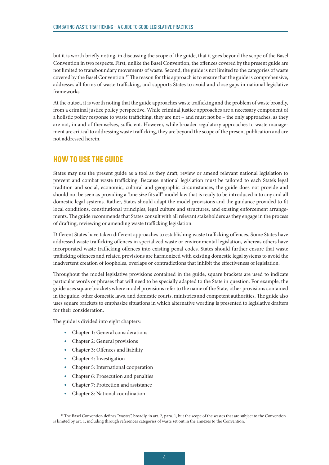<span id="page-11-0"></span>but it is worth briefly noting, in discussing the scope of the guide, that it goes beyond the scope of the Basel Convention in two respects. First, unlike the Basel Convention, the offences covered by the present guide are not limited to transboundary movements of waste. Second, the guide is not limited to the categories of waste covered by the Basel Convention.17 The reason for this approach is to ensure that the guide is comprehensive, addresses all forms of waste trafficking, and supports States to avoid and close gaps in national legislative frameworks.

At the outset, it is worth noting that the guide approaches waste trafficking and the problem of waste broadly, from a criminal justice policy perspective. While criminal justice approaches are a necessary component of a holistic policy response to waste trafficking, they are not – and must not be – the only approaches, as they are not, in and of themselves, sufficient. However, while broader regulatory approaches to waste management are critical to addressing waste trafficking, they are beyond the scope of the present publication and are not addressed herein.

#### HOW TO USE THE GUIDE

States may use the present guide as a tool as they draft, review or amend relevant national legislation to prevent and combat waste trafficking. Because national legislation must be tailored to each State's legal tradition and social, economic, cultural and geographic circumstances, the guide does not provide and should not be seen as providing a "one size fits all" model law that is ready to be introduced into any and all domestic legal systems. Rather, States should adapt the model provisions and the guidance provided to fit local conditions, constitutional principles, legal culture and structures, and existing enforcement arrangements. The guide recommends that States consult with all relevant stakeholders as they engage in the process of drafting, reviewing or amending waste trafficking legislation.

Different States have taken different approaches to establishing waste trafficking offences. Some States have addressed waste trafficking offences in specialized waste or environmental legislation, whereas others have incorporated waste trafficking offences into existing penal codes. States should further ensure that waste trafficking offences and related provisions are harmonized with existing domestic legal systems to avoid the inadvertent creation of loopholes, overlaps or contradictions that inhibit the effectiveness of legislation.

Throughout the model legislative provisions contained in the guide, square brackets are used to indicate particular words or phrases that will need to be specially adapted to the State in question. For example, the guide uses square brackets where model provisions refer to the name of the State, other provisions contained in the guide, other domestic laws, and domestic courts, ministries and competent authorities. The guide also uses square brackets to emphasize situations in which alternative wording is presented to legislative drafters for their consideration.

The guide is divided into eight chapters:

- Chapter 1: General considerations
- Chapter 2: General provisions
- Chapter 3: Offences and liability
- Chapter 4: Investigation
- Chapter 5: International cooperation
- Chapter 6: Prosecution and penalties
- Chapter 7: Protection and assistance
- Chapter 8: National coordination

<sup>&</sup>lt;sup>17</sup> The Basel Convention defines "wastes", broadly, in art. 2, para. 1, but the scope of the wastes that are subject to the Convention is limited by art. 1, including through references categories of waste set out in the annexes to the Convention.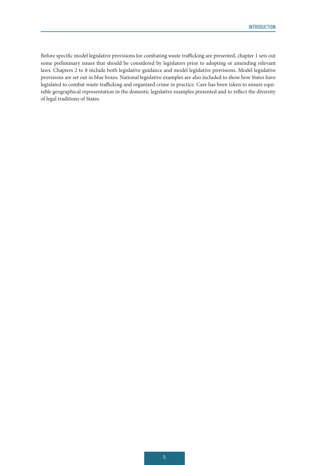Before specific model legislative provisions for combating waste trafficking are presented, chapter 1 sets out some preliminary issues that should be considered by legislators prior to adopting or amending relevant laws. Chapters 2 to 8 include both legislative guidance and model legislative provisions. Model legislative provisions are set out in blue boxes. National legislative examples are also included to show how States have legislated to combat waste trafficking and organized crime in practice. Care has been taken to ensure equitable geographical representation in the domestic legislative examples presented and to reflect the diversity of legal traditions of States.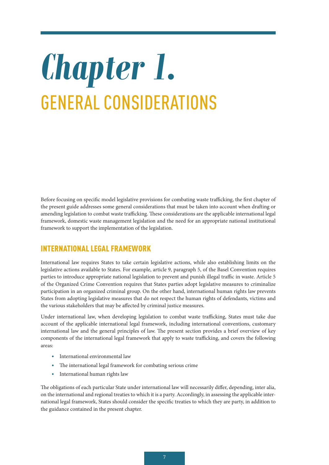# <span id="page-14-0"></span>*Chapter 1.* GENERAL CONSIDERATIONS

Before focusing on specific model legislative provisions for combating waste trafficking, the first chapter of the present guide addresses some general considerations that must be taken into account when drafting or amending legislation to combat waste trafficking. These considerations are the applicable international legal framework, domestic waste management legislation and the need for an appropriate national institutional framework to support the implementation of the legislation.

### INTERNATIONAL LEGAL FRAMEWORK

International law requires States to take certain legislative actions, while also establishing limits on the legislative actions available to States. For example, article 9, paragraph 5, of the Basel Convention requires parties to introduce appropriate national legislation to prevent and punish illegal traffic in waste. Article 5 of the Organized Crime Convention requires that States parties adopt legislative measures to criminalize participation in an organized criminal group. On the other hand, international human rights law prevents States from adopting legislative measures that do not respect the human rights of defendants, victims and the various stakeholders that may be affected by criminal justice measures.

Under international law, when developing legislation to combat waste trafficking, States must take due account of the applicable international legal framework, including international conventions, customary international law and the general principles of law. The present section provides a brief overview of key components of the international legal framework that apply to waste trafficking, and covers the following areas:

- International environmental law
- The international legal framework for combating serious crime
- International human rights law

The obligations of each particular State under international law will necessarily differ, depending, inter alia, on the international and regional treaties to which it is a party. Accordingly, in assessing the applicable international legal framework, States should consider the specific treaties to which they are party, in addition to the guidance contained in the present chapter.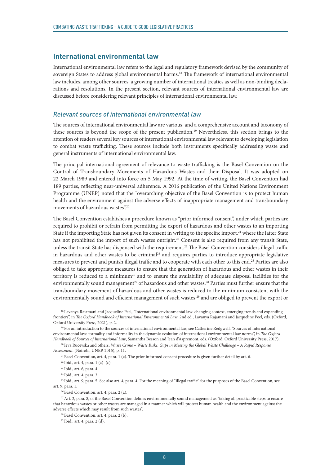#### <span id="page-15-0"></span>**International environmental law**

International environmental law refers to the legal and regulatory framework devised by the community of sovereign States to address global environmental harms.<sup>18</sup> The framework of international environmental law includes, among other sources, a growing number of international treaties as well as non-binding declarations and resolutions. In the present section, relevant sources of international environmental law are discussed before considering relevant principles of international environmental law.

#### *Relevant sources of international environmental law*

The sources of international environmental law are various, and a comprehensive account and taxonomy of these sources is beyond the scope of the present publication.<sup>19</sup> Nevertheless, this section brings to the attention of readers several key sources of international environmental law relevant to developing legislation to combat waste trafficking. These sources include both instruments specifically addressing waste and general instruments of international environmental law.

The principal international agreement of relevance to waste trafficking is the Basel Convention on the Control of Transboundary Movements of Hazardous Wastes and their Disposal. It was adopted on 22 March 1989 and entered into force on 5 May 1992. At the time of writing, the Basel Convention had 189 parties, reflecting near-universal adherence. A 2016 publication of the United Nations Environment Programme (UNEP) noted that the "overarching objective of the Basel Convention is to protect human health and the environment against the adverse effects of inappropriate management and transboundary movements of hazardous wastes".20

The Basel Convention establishes a procedure known as "prior informed consent", under which parties are required to prohibit or refrain from permitting the export of hazardous and other wastes to an importing State if the importing State has not given its consent in writing to the specific import, $21$  where the latter State has not prohibited the import of such wastes outright.<sup>22</sup> Consent is also required from any transit State, unless the transit State has dispensed with the requirement.<sup>23</sup> The Basel Convention considers illegal traffic in hazardous and other wastes to be criminal<sup>24</sup> and requires parties to introduce appropriate legislative measures to prevent and punish illegal traffic and to cooperate with each other to this end.25 Parties are also obliged to take appropriate measures to ensure that the generation of hazardous and other wastes in their territory is reduced to a minimum<sup>26</sup> and to ensure the availability of adequate disposal facilities for the environmentally sound management<sup>27</sup> of hazardous and other wastes.<sup>28</sup> Parties must further ensure that the transboundary movement of hazardous and other wastes is reduced to the minimum consistent with the environmentally sound and efficient management of such wastes,<sup>29</sup> and are obliged to prevent the export or

<sup>18</sup> Lavanya Rajamani and Jacqueline Peel, "International environmental law: changing context, emerging trends and expanding frontiers", in *The Oxford Handbook of International Environmental Law*, 2nd ed., Lavanya Rajamani and Jacqueline Peel, eds. (Oxford, Oxford University Press, 2021), p. 2.

<sup>19</sup> For an introduction to the sources of international environmental law, see Catherine Redgwell, "Sources of international environmental law: formality and informality in the dynamic evolution of international environmental law norms", in *The Oxford Handbook of Sources of International Law*, Samantha Besson and Jean d'Aspremont, eds. (Oxford, Oxford University Press, 2017).

<sup>20</sup> Ieva Rucevska and others, *Waste Crime – Waste Risks: Gaps in Meeting the Global Waste Challenge – A Rapid Response Assessment*. (Nairobi, UNEP, 2015), p. 11.

<sup>21</sup> Basel Convention, art. 4, para. 1 (c). The prior informed consent procedure is given further detail by art. 6.

<sup>&</sup>lt;sup>22</sup> Ibid., art. 4, para. 1 (a)–(c).

<sup>&</sup>lt;sup>23</sup> Ibid., art. 6, para. 4.

<sup>24</sup> Ibid., art. 4, para. 3.

<sup>&</sup>lt;sup>25</sup> Ibid., art. 9, para. 5. See also art. 4, para. 4. For the meaning of "illegal traffic" for the purposes of the Basel Convention, see art. 9, para. 1.

<sup>26</sup> Basel Convention, art. 4, para. 2 (a).

<sup>&</sup>lt;sup>27</sup> Art. 2, para. 8, of the Basel Convention defines environmentally sound management as "taking all practicable steps to ensure that hazardous wastes or other wastes are managed in a manner which will protect human health and the environment against the adverse effects which may result from such wastes".

<sup>&</sup>lt;sup>28</sup> Basel Convention, art. 4, para. 2 (b).

<sup>29</sup> Ibid., art. 4, para. 2 (d).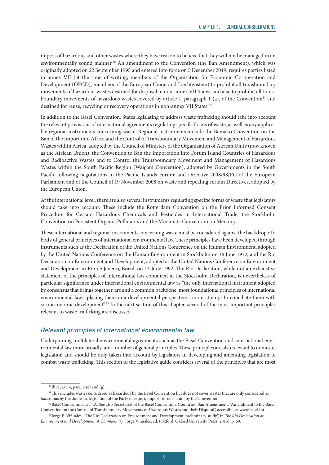import of hazardous and other wastes where they have reason to believe that they will not be managed in an environmentally sound manner.<sup>30</sup> An amendment to the Convention (the Ban Amendment), which was originally adopted on 22 September 1995 and entered into force on 5 December 2019, requires parties listed in annex VII (at the time of writing, members of the Organisation for Economic Co-operation and Development (OECD), members of the European Union and Liechtenstein) to prohibit all transboundary movements of hazardous wastes destined for disposal in non-annex VII States, and also to prohibit all transboundary movements of hazardous wastes covered by article 1, paragraph 1 (a), of the Convention<sup>31</sup> and destined for reuse, recycling or recovery operations in non-annex VII States.<sup>32</sup>

In addition to the Basel Convention, States legislating to address waste trafficking should take into account the relevant provisions of international agreements regulating specific forms of waste, as well as any applicable regional instruments concerning waste. Regional instruments include the Bamako Convention on the Ban of the Import into Africa and the Control of Transboundary Movement and Management of Hazardous Wastes within Africa, adopted by the Council of Ministers of the Organization of African Unity (now known as the African Union); the Convention to Ban the Importation into Forum Island Countries of Hazardous and Radioactive Wastes and to Control the Transboundary Movement and Management of Hazardous Wastes within the South Pacific Region (Waigani Convention), adopted by Governments in the South Pacific following negotiations in the Pacific Islands Forum; and Directive 2008/98/EC of the European Parliament and of the Council of 19 November 2008 on waste and repealing certain Directives, adopted by the European Union.

At the international level, there are also several instruments regulating specific forms of waste that legislators should take into account. These include the Rotterdam Convention on the Prior Informed Consent Procedure for Certain Hazardous Chemicals and Pesticides in International Trade, the Stockholm Convention on Persistent Organic Pollutants and the Minamata Convention on Mercury.

These international and regional instruments concerning waste must be considered against the backdrop of a body of general principles of international environmental law. These principles have been developed through instruments such as the Declaration of the United Nations Conference on the Human Environment, adopted by the United Nations Conference on the Human Environment in Stockholm on 16 June 1972, and the Rio Declaration on Environment and Development, adopted at the United Nations Conference on Environment and Development in Rio de Janeiro, Brazil, on 13 June 1992. The Rio Declaration, while not an exhaustive statement of the principles of international law contained in the Stockholm Declaration, is nevertheless of particular significance under international environmental law as "the only international instrument adopted by consensus that brings together, around a common backbone, most foundational principles of international environmental law…placing them in a developmental perspective…in an attempt to conciliate them with socioeconomic development".<sup>33</sup> In the next section of this chapter, several of the most important principles relevant to waste trafficking are discussed.

#### *Relevant principles of international environmental law*

Underpinning multilateral environmental agreements such as the Basel Convention and international environmental law more broadly, are a number of general principles. These principles are also relevant to domestic legislation and should be duly taken into account by legislators in developing and amending legislation to combat waste trafficking. This section of the legislative guide considers several of the principles that are most

<sup>30</sup> Ibid., art. 4, para. 2 (e) and (g).

<sup>&</sup>lt;sup>31</sup> This includes wastes considered as hazardous by the Basel Convention but does not cover wastes that are only considered as hazardous by the domestic legislation of the Party of export, import or transit, not by the Convention.

<sup>32</sup> Basel Convention, art. 4A. See also Secretariat of the Basel Convention, Countries, Ban Amendment, "Amendment to the Basel Convention on the Control of Transboundary Movements of Hazardous Wastes and their Disposal", accessible at [www.basel.int](http://www.basel.int).

<sup>33</sup> Jorge E. Viñuales, "The Rio Declaration on Environment and Development: preliminary study", in *The Rio Declaration on Environment and Development: A Commentary*, Jorge Viñuales, ed. (Oxford, Oxford University Press, 2015), p. 60.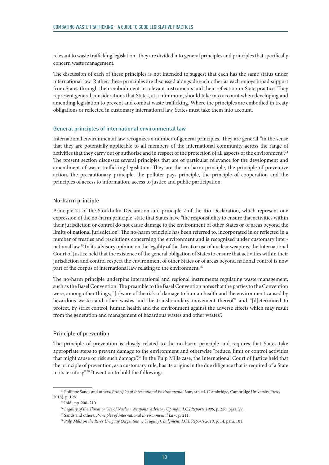relevant to waste trafficking legislation. They are divided into general principles and principles that specifically concern waste management.

The discussion of each of these principles is not intended to suggest that each has the same status under international law. Rather, these principles are discussed alongside each other as each enjoys broad support from States through their embodiment in relevant instruments and their reflection in State practice. They represent general considerations that States, at a minimum, should take into account when developing and amending legislation to prevent and combat waste trafficking. Where the principles are embodied in treaty obligations or reflected in customary international law, States must take them into account.

#### General principles of international environmental law

International environmental law recognizes a number of general principles. They are general "in the sense that they are potentially applicable to all members of the international community across the range of activities that they carry out or authorise and in respect of the protection of all aspects of the environment".<sup>34</sup> The present section discusses several principles that are of particular relevance for the development and amendment of waste trafficking legislation. They are the no-harm principle, the principle of preventive action, the precautionary principle, the polluter pays principle, the principle of cooperation and the principles of access to information, access to justice and public participation.

#### No-harm principle

Principle 21 of the Stockholm Declaration and principle 2 of the Rio Declaration, which represent one expression of the no-harm principle, state that States have "the responsibility to ensure that activities within their jurisdiction or control do not cause damage to the environment of other States or of areas beyond the limits of national jurisdiction". The no-harm principle has been referred to, incorporated in or reflected in a number of treaties and resolutions concerning the environment and is recognized under customary international law.35 In its advisory opinion on the legality of the threat or use of nuclear weapons, the International Court of Justice held that the existence of the general obligation of States to ensure that activities within their jurisdiction and control respect the environment of other States or of areas beyond national control is now part of the corpus of international law relating to the environment.<sup>36</sup>

The no-harm principle underpins international and regional instruments regulating waste management, such as the Basel Convention. The preamble to the Basel Convention notes that the parties to the Convention were, among other things, "[a]ware of the risk of damage to human health and the environment caused by hazardous wastes and other wastes and the transboundary movement thereof" and "[d]etermined to protect, by strict control, human health and the environment against the adverse effects which may result from the generation and management of hazardous wastes and other wastes".

#### Principle of prevention

The principle of prevention is closely related to the no-harm principle and requires that States take appropriate steps to prevent damage to the environment and otherwise "reduce, limit or control activities that might cause or risk such damage".<sup>37</sup> In the Pulp Mills case, the International Court of Justice held that the principle of prevention, as a customary rule, has its origins in the due diligence that is required of a State in its territory".38 It went on to hold the following:

<sup>34</sup> Philippe Sands and others, *Principles of International Environmental Law*, 4th ed. (Cambridge, Cambridge University Press, 2018), p. 198.

<sup>35</sup> Ibid., pp. 208–210.

<sup>&</sup>lt;sup>36</sup> Legality of the Threat or Use of Nuclear Weapons, Advisory Opinion, I.C.J Reports 1996, p. 226, para. 29.

<sup>37</sup> Sands and others, *Principles of International Environmental Law*, p. 211.

<sup>38</sup> *Pulp Mills on the River Uruguay (Argentina v. Uruguay), Judgment, I.C.J. Reports 2010*, p. 14, para. 101.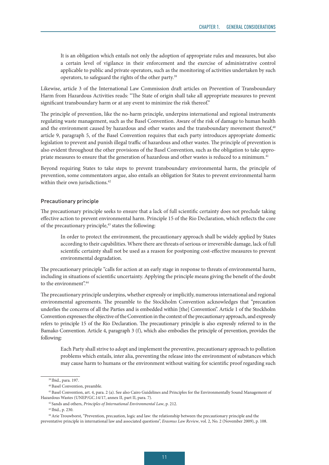It is an obligation which entails not only the adoption of appropriate rules and measures, but also a certain level of vigilance in their enforcement and the exercise of administrative control applicable to public and private operators, such as the monitoring of activities undertaken by such operators, to safeguard the rights of the other party.39

Likewise, article 3 of the International Law Commission draft articles on Prevention of Transboundary Harm from Hazardous Activities reads: "The State of origin shall take all appropriate measures to prevent significant transboundary harm or at any event to minimize the risk thereof."

The principle of prevention, like the no-harm principle, underpins international and regional instruments regulating waste management, such as the Basel Convention. Aware of the risk of damage to human health and the environment caused by hazardous and other wastes and the transboundary movement thereof,<sup>40</sup> article 9, paragraph 5, of the Basel Convention requires that each party introduces appropriate domestic legislation to prevent and punish illegal traffic of hazardous and other wastes. The principle of prevention is also evident throughout the other provisions of the Basel Convention, such as the obligation to take appropriate measures to ensure that the generation of hazardous and other wastes is reduced to a minimum.<sup>41</sup>

Beyond requiring States to take steps to prevent transboundary environmental harm, the principle of prevention, some commentators argue, also entails an obligation for States to prevent environmental harm within their own jurisdictions.<sup>42</sup>

#### Precautionary principle

The precautionary principle seeks to ensure that a lack of full scientific certainty does not preclude taking effective action to prevent environmental harm. Principle 15 of the Rio Declaration, which reflects the core of the precautionary principle,<sup>43</sup> states the following:

In order to protect the environment, the precautionary approach shall be widely applied by States according to their capabilities. Where there are threats of serious or irreversible damage, lack of full scientific certainty shall not be used as a reason for postponing cost-effective measures to prevent environmental degradation.

The precautionary principle "calls for action at an early stage in response to threats of environmental harm, including in situations of scientific uncertainty. Applying the principle means giving the benefit of the doubt to the environment".44

The precautionary principle underpins, whether expressly or implicitly, numerous international and regional environmental agreements. The preamble to the Stockholm Convention acknowledges that "precaution underlies the concerns of all the Parties and is embedded within [the] Convention". Article 1 of the Stockholm Convention expresses the objective of the Convention in the context of the precautionary approach, and expressly refers to principle 15 of the Rio Declaration. The precautionary principle is also expressly referred to in the Bamako Convention. Article 4, paragraph 3 (f), which also embodies the principle of prevention, provides the following:

Each Party shall strive to adopt and implement the preventive, precautionary approach to pollution problems which entails, inter alia, preventing the release into the environment of substances which may cause harm to humans or the environment without waiting for scientific proof regarding such

<sup>39</sup> Ibid., para. 197.

<sup>40</sup> Basel Convention, preamble.

<sup>41</sup> Basel Convention, art. 4, para. 2 (a). See also Cairo Guidelines and Principles for the Environmentally Sound Management of Hazardous Wastes (UNEP/GC.14/17, annex II, part II, para. 7).

<sup>42</sup> Sands and others, *Principles of International Environmental Law*, p. 212.

<sup>43</sup> Ibid., p. 230.

<sup>44</sup> Arie Trouwborst, "Prevention, precaution, logic and law: the relationship between the precautionary principle and the preventative principle in international law and associated questions", *Erasmus Law Review*, vol. 2, No. 2 (November 2009), p. 108.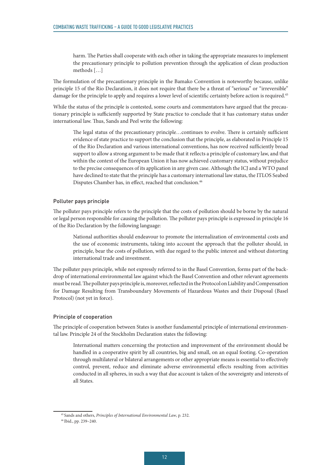harm. The Parties shall cooperate with each other in taking the appropriate measures to implement the precautionary principle to pollution prevention through the application of clean production methods […]

The formulation of the precautionary principle in the Bamako Convention is noteworthy because, unlike principle 15 of the Rio Declaration, it does not require that there be a threat of "serious" or "irreversible" damage for the principle to apply and requires a lower level of scientific certainty before action is required.<sup>45</sup>

While the status of the principle is contested, some courts and commentators have argued that the precautionary principle is sufficiently supported by State practice to conclude that it has customary status under international law. Thus, Sands and Peel write the following:

The legal status of the precautionary principle…continues to evolve. There is certainly sufficient evidence of state practice to support the conclusion that the principle, as elaborated in Principle 15 of the Rio Declaration and various international conventions, has now received sufficiently broad support to allow a strong argument to be made that it reflects a principle of customary law, and that within the context of the European Union it has now achieved customary status, without prejudice to the precise consequences of its application in any given case. Although the ICJ and a WTO panel have declined to state that the principle has a customary international law status, the ITLOS Seabed Disputes Chamber has, in effect, reached that conclusion.<sup>46</sup>

#### Polluter pays principle

The polluter pays principle refers to the principle that the costs of pollution should be borne by the natural or legal person responsible for causing the pollution. The polluter pays principle is expressed in principle 16 of the Rio Declaration by the following language:

National authorities should endeavour to promote the internalization of environmental costs and the use of economic instruments, taking into account the approach that the polluter should, in principle, bear the costs of pollution, with due regard to the public interest and without distorting international trade and investment.

The polluter pays principle, while not expressly referred to in the Basel Convention, forms part of the backdrop of international environmental law against which the Basel Convention and other relevant agreements must be read. The polluter pays principle is, moreover, reflected in the Protocol on Liability and Compensation for Damage Resulting from Transboundary Movements of Hazardous Wastes and their Disposal (Basel Protocol) (not yet in force).

#### Principle of cooperation

The principle of cooperation between States is another fundamental principle of international environmental law. Principle 24 of the Stockholm Declaration states the following:

International matters concerning the protection and improvement of the environment should be handled in a cooperative spirit by all countries, big and small, on an equal footing. Co-operation through multilateral or bilateral arrangements or other appropriate means is essential to effectively control, prevent, reduce and eliminate adverse environmental effects resulting from activities conducted in all spheres, in such a way that due account is taken of the sovereignty and interests of all States.

<sup>45</sup> Sands and others, *Principles of International Environmental Law*, p. 232.

<sup>46</sup> Ibid., pp. 239–240.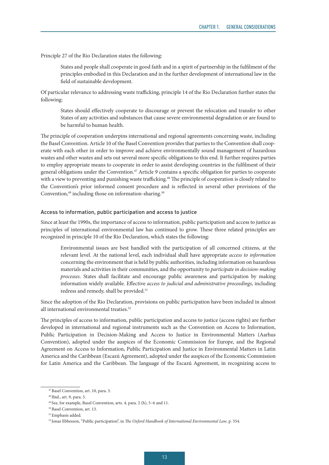Principle 27 of the Rio Declaration states the following:

States and people shall cooperate in good faith and in a spirit of partnership in the fulfilment of the principles embodied in this Declaration and in the further development of international law in the field of sustainable development.

Of particular relevance to addressing waste trafficking, principle 14 of the Rio Declaration further states the following:

States should effectively cooperate to discourage or prevent the relocation and transfer to other States of any activities and substances that cause severe environmental degradation or are found to be harmful to human health.

The principle of cooperation underpins international and regional agreements concerning waste, including the Basel Convention. Article 10 of the Basel Convention provides that parties to the Convention shall cooperate with each other in order to improve and achieve environmentally sound management of hazardous wastes and other wastes and sets out several more specific obligations to this end. It further requires parties to employ appropriate means to cooperate in order to assist developing countries in the fulfilment of their general obligations under the Convention.47 Article 9 contains a specific obligation for parties to cooperate with a view to preventing and punishing waste trafficking.<sup>48</sup> The principle of cooperation is closely related to the Convention's prior informed consent procedure and is reflected in several other provisions of the Convention, $49$  including those on information-sharing. $50$ 

#### Access to information, public participation and access to justice

Since at least the 1990s, the importance of access to information, public participation and access to justice as principles of international environmental law has continued to grow. These three related principles are recognized in principle 10 of the Rio Declaration, which states the following:

Environmental issues are best handled with the participation of all concerned citizens, at the relevant level. At the national level, each individual shall have appropriate *access to information* concerning the environment that is held by public authorities, including information on hazardous materials and activities in their communities, and the opportunity to *participate in decision-making processes*. States shall facilitate and encourage public awareness and participation by making information widely available. Effective *access to judicial and administrative proceedings*, including redress and remedy, shall be provided.<sup>51</sup>

Since the adoption of the Rio Declaration, provisions on public participation have been included in almost all international environmental treaties.<sup>52</sup>

The principles of access to information, public participation and access to justice (access rights) are further developed in international and regional instruments such as the Convention on Access to Information, Public Participation in Decision-Making and Access to Justice in Environmental Matters (Aarhus Convention), adopted under the auspices of the Economic Commission for Europe, and the Regional Agreement on Access to Information, Public Participation and Justice in Environmental Matters in Latin America and the Caribbean ([Escazú Agreement\)](https://treaties.un.org/pages/ViewDetails.aspx?src=TREATY&mtdsg_no=XXVII-18&chapter=27&clang=_en), adopted under the auspices of the Economic Commission for Latin America and the Caribbean. The language of the Escazú Agreement, in recognizing access to

<sup>47</sup> Basel Convention, art. 10, para. 3.

<sup>48</sup> Ibid., art. 9, para. 5.

<sup>49</sup> See, for example, Basel Convention, arts. 4, para. 2 (h), 5–6 and 11.

<sup>50</sup> Basel Convention, art. 13.

<sup>51</sup> Emphasis added.

<sup>52</sup> Jonas Ebbesson, "Public participation", in *The Oxford Handbook of International Environmental Law*, p. 354.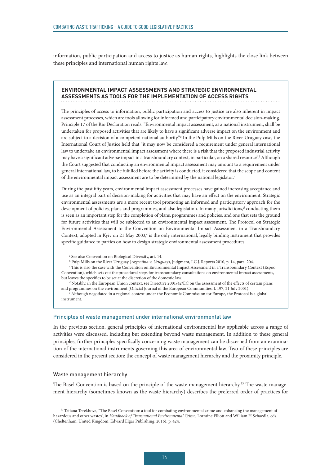information, public participation and access to justice as human rights, highlights the close link between these principles and international human rights law.

#### **ENVIRONMENTAL IMPACT ASSESSMENTS AND STRATEGIC ENVIRONMENTAL ASSESSMENTS AS TOOLS FOR THE IMPLEMENTATION OF ACCESS RIGHTS**

The principles of access to information, public participation and access to justice are also inherent in impact assessment processes, which are tools allowing for informed and participatory environmental decision-making. Principle 17 of the Rio Declaration reads: "Environmental impact assessment, as a national instrument, shall be undertaken for proposed activities that are likely to have a significant adverse impact on the environment and are subject to a decision of a competent national authority."*<sup>a</sup>* In the Pulp Mills on the River Uruguay case, the International Court of Justice held that "it may now be considered a requirement under general international law to undertake an environmental impact assessment where there is a risk that the proposed industrial activity may have a significant adverse impact in a transboundary context, in particular, on a shared resource".*<sup>b</sup>* Although the Court suggested that conducting an environmental impact assessment may amount to a requirement under general international law, to be fulfilled before the activity is conducted, it considered that the scope and content of the environmental impact assessment are to be determined by the national legislator.*<sup>c</sup>*

During the past fifty years, environmental impact assessment processes have gained increasing acceptance and use as an integral part of decision-making for activities that may have an effect on the environment. Strategic environmental assessments are a more recent tool promoting an informed and participatory approach for the development of policies, plans and programmes, and also legislation. In many jurisdictions,<sup>*d*</sup> conducting them is seen as an important step for the completion of plans, programmes and policies, and one that sets the ground for future activities that will be subjected to an environmental impact assessment. The Protocol on Strategic Environmental Assessment to the Convention on Environmental Impact Assessment in a Transboundary Context, adopted in Kyiv on 21 May 2003,<sup>e</sup> is the only international, legally binding instrument that provides specific guidance to parties on how to design strategic environmental assessment procedures.

a See also Convention on Biological Diversity, art. 14.

*b* Pulp Mills on the River Uruguay (*Argentina v. Uruguay*), Judgment, I.C.J. Reports 2010, p. 14, para. 204.

*c* This is also the case with the Convention on Environmental Impact Assessment in a Transboundary Context ([Espoo](https://conferences.unite.un.org/unterm/display/record/unog/na?OriginalId=59963)  [Convention\)](https://conferences.unite.un.org/unterm/display/record/unog/na?OriginalId=59963), which sets out the procedural steps for transboundary consultations on environmental impact assessments, but leaves the specifics to be set at the discretion of the domestic law.

*d* Notably, in the European Union context, see Directive 2001/42/EC on the assessment of the effects of certain plans and programmes on the environment (Official Journal of the European Communities, L 197, 21 July 2001).

*e* Although negotiated in a regional context under the Economic Commission for Europe, the Protocol is a global instrument.

#### Principles of waste management under international environmental law

In the previous section, general principles of international environmental law applicable across a range of activities were discussed, including but extending beyond waste management. In addition to these general principles, further principles specifically concerning waste management can be discerned from an examination of the international instruments governing this area of environmental law. Two of these principles are considered in the present section: the concept of waste management hierarchy and the proximity principle.

#### Waste management hierarchy

The Basel Convention is based on the principle of the waste management hierarchy.<sup>53</sup> The waste management hierarchy (sometimes known as the waste hierarchy) describes the preferred order of practices for

<sup>&</sup>lt;sup>53</sup> Tatiana Terekhova, "The Basel Convention: a tool for combating environmental crime and enhancing the management of hazardous and other wastes", in *Handbook of Transnational Environmental Crime*, Lorraine Elliott and William H Schaedla, eds. (Cheltenham, United Kingdom, Edward Elgar Publishing, 2016), p. 424.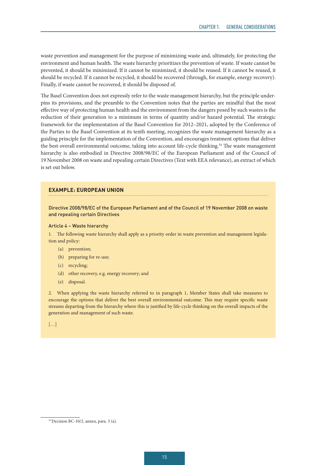waste prevention and management for the purpose of minimizing waste and, ultimately, for protecting the environment and human health. The waste hierarchy prioritizes the prevention of waste. If waste cannot be prevented, it should be minimized. If it cannot be minimized, it should be reused. If it cannot be reused, it should be recycled. If it cannot be recycled, it should be recovered (through, for example, energy recovery). Finally, if waste cannot be recovered, it should be disposed of.

The Basel Convention does not expressly refer to the waste management hierarchy, but the principle underpins its provisions, and the preamble to the Convention notes that the parties are mindful that the most effective way of protecting human health and the environment from the dangers posed by such wastes is the reduction of their generation to a minimum in terms of quantity and/or hazard potential. The strategic framework for the implementation of the Basel Convention for 2012–2021, adopted by the Conference of the Parties to the Basel Convention at its tenth meeting, recognizes the waste management hierarchy as a guiding principle for the implementation of the Convention, and encourages treatment options that deliver the best overall environmental outcome, taking into account life-cycle thinking.54 The waste management hierarchy is also embodied in Directive 2008/98/EC of the European Parliament and of the Council of 19 November 2008 on waste and repealing certain Directives (Text with EEA relevance), an extract of which is set out below.

#### **EXAMPLE: EUROPEAN UNION**

Directive 2008/98/EC of the European Parliament and of the Council of 19 November 2008 on waste and repealing certain Directives

#### Article 4 – Waste hierarchy

1. The following waste hierarchy shall apply as a priority order in waste prevention and management legislation and policy:

- (a) prevention;
- (b) preparing for re-use;
- (c) recycling;
- (d) other recovery, e.g. energy recovery; and
- (e) disposal.

2. When applying the waste hierarchy referred to in paragraph 1, Member States shall take measures to encourage the options that deliver the best overall environmental outcome. This may require specific waste streams departing from the hierarchy where this is justified by life-cycle thinking on the overall impacts of the generation and management of such waste.

#### $[...]$

<sup>&</sup>lt;sup>54</sup> Decision BC-10/2, annex, para. 3 (a).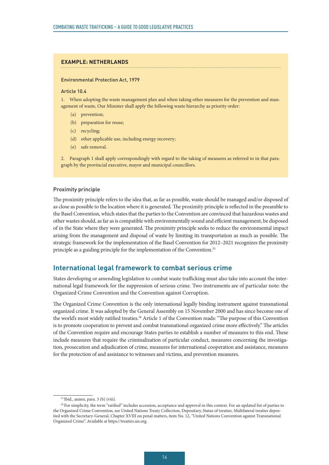#### <span id="page-23-0"></span>**EXAMPLE: NETHERLANDS**

#### Environmental Protection Act, 1979

#### Article 10.4

1. When adopting the waste management plan and when taking other measures for the prevention and management of waste, Our Minister shall apply the following waste hierarchy as priority order:

- (a) prevention;
- (b) preparation for reuse;
- (c) recycling;
- (d) other applicable use, including energy recovery;
- (e) safe removal.

2. Paragraph 1 shall apply correspondingly with regard to the taking of measures as referred to in that paragraph by the provincial executive, mayor and municipal councillors.

#### Proximity principle

The proximity principle refers to the idea that, as far as possible, waste should be managed and/or disposed of as close as possible to the location where it is generated. The proximity principle is reflected in the preamble to the Basel Convention, which states that the parties to the Convention are convinced that hazardous wastes and other wastes should, as far as is compatible with environmentally sound and efficient management, be disposed of in the State where they were generated. The proximity principle seeks to reduce the environmental impact arising from the management and disposal of waste by limiting its transportation as much as possible. The strategic framework for the implementation of the Basel Convention for 2012–2021 recognizes the proximity principle as a guiding principle for the implementation of the Convention.<sup>55</sup>

#### **International legal framework to combat serious crime**

States developing or amending legislation to combat waste trafficking must also take into account the international legal framework for the suppression of serious crime. Two instruments are of particular note: the Organized Crime Convention and the Convention against Corruption.

The Organized Crime Convention is the only international legally binding instrument against transnational organized crime. It was adopted by the General Assembly on 15 November 2000 and has since become one of the world's most widely ratified treaties.<sup>56</sup> Article 1 of the Convention reads: "The purpose of this Convention is to promote cooperation to prevent and combat transnational organized crime more effectively." The articles of the Convention require and encourage States parties to establish a number of measures to this end. These include measures that require the criminalization of particular conduct, measures concerning the investigation, prosecution and adjudication of crime, measures for international cooperation and assistance, measures for the protection of and assistance to witnesses and victims, and prevention measures.

<sup>55</sup> Ibid., annex, para. 3 (b) (viii).

<sup>&</sup>lt;sup>56</sup> For simplicity, the term "ratified" includes accession, acceptance and approval in this context. For an updated list of parties to the Organized Crime Convention, see United Nations Treaty Collection, Depositary, Status of treaties, Multilateral treaties deposited with the Secretary-General, Chapter XVIII on penal matters, item No. 12, "United Nations Convention against Transnational Organized Crime". Available at [https://treaties.un.org](https://treaties.un.org/).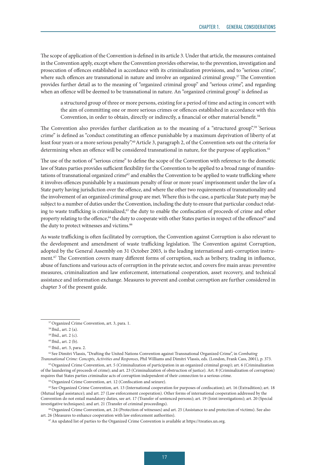The scope of application of the Convention is defined in its article 3. Under that article, the measures contained in the Convention apply, except where the Convention provides otherwise, to the prevention, investigation and prosecution of offences established in accordance with its criminalization provisions, and to "serious crime", where such offences are transnational in nature and involve an organized criminal group.<sup>57</sup> The Convention provides further detail as to the meaning of "organized criminal group" and "serious crime", and regarding when an offence will be deemed to be transnational in nature. An "organized criminal group" is defined as

a structured group of three or more persons, existing for a period of time and acting in concert with the aim of committing one or more serious crimes or offences established in accordance with this Convention, in order to obtain, directly or indirectly, a financial or other material benefit.<sup>58</sup>

The Convention also provides further clarification as to the meaning of a "structured group".<sup>59</sup> "Serious" crime" is defined as "conduct constituting an offence punishable by a maximum deprivation of liberty of at least four years or a more serious penalty".<sup>60</sup> Article 3, paragraph 2, of the Convention sets out the criteria for determining when an offence will be considered transnational in nature, for the purpose of application.<sup>61</sup>

The use of the notion of "serious crime" to define the scope of the Convention with reference to the domestic law of States parties provides sufficient flexibility for the Convention to be applied to a broad range of manifestations of transnational organized crime<sup>62</sup> and enables the Convention to be applied to waste trafficking where it involves offences punishable by a maximum penalty of four or more years' imprisonment under the law of a State party having jurisdiction over the offence, and where the other two requirements of transnationality and the involvement of an organized criminal group are met. Where this is the case, a particular State party may be subject to a number of duties under the Convention, including the duty to ensure that particular conduct relating to waste trafficking is criminalized,<sup>63</sup> the duty to enable the confiscation of proceeds of crime and other property relating to the offence,<sup>64</sup> the duty to cooperate with other States parties in respect of the offences<sup>65</sup> and the duty to protect witnesses and victims.<sup>66</sup>

As waste trafficking is often facilitated by corruption, the Convention against Corruption is also relevant to the development and amendment of waste trafficking legislation. The Convention against Corruption, adopted by the General Assembly on 31 October 2003, is the leading international anti-corruption instrument.<sup>67</sup> The Convention covers many different forms of corruption, such as bribery, trading in influence, abuse of functions and various acts of corruption in the private sector, and covers five main areas: preventive measures, criminalization and law enforcement, international cooperation, asset recovery, and technical assistance and information exchange. Measures to prevent and combat corruption are further considered in chapter 3 of the present guide.

*Transnational Crime: Concepts, Activities and Responses*, Phil Williams and Dimitri Vlassis, eds. (London, Frank Cass, 2001), p. 373. 63 Organized Crime Convention, art. 5 (Criminalization of participation in an organized criminal group); art. 6 (Criminalization of the laundering of proceeds of crime); and art. 23 (Criminalization of obstruction of justice). Art. 8 (Criminalization of corruption) requires that States parties criminalize acts of corruption independent of their connection to a serious crime.

<sup>57</sup> Organized Crime Convention, art. 3, para. 1.

<sup>58</sup> Ibid., art. 2 (a).

<sup>59</sup> Ibid., art. 2 (c).

<sup>60</sup> Ibid., art. 2 (b).

<sup>61</sup> Ibid., art. 3, para. 2.

<sup>62</sup> See Dimitri Vlassis, "Drafting the United Nations Convention against Transnational Organized Crime", in *Combating* 

<sup>64</sup> Organized Crime Convention, art. 12 (Confiscation and seizure).

<sup>&</sup>lt;sup>65</sup> See Organized Crime Convention, art. 13 (International cooperation for purposes of confiscation); art. 16 (Extradition); art. 18 (Mutual legal assistance); and art. 27 (Law enforcement cooperation). Other forms of international cooperation addressed by the Convention do not entail mandatory duties, see art. 17 (Transfer of sentenced persons); art. 19 (Joint investigations); art. 20 (Special investigative techniques); and art. 21 (Transfer of criminal proceedings).

<sup>66</sup> Organized Crime Convention, art. 24 (Protection of witnesses) and art. 25 (Assistance to and protection of victims). See also art. 26 (Measures to enhance cooperation with law enforcement authorities).

<sup>67</sup> An updated list of parties to the Organized Crime Convention is available at [https://treaties.un.org.](https://treaties.un.org/)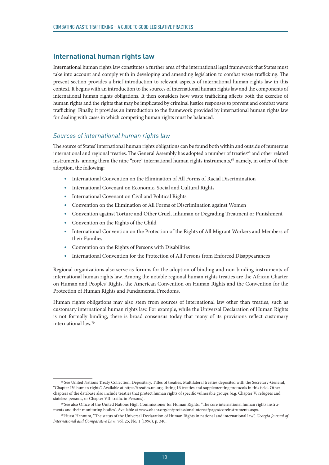#### <span id="page-25-0"></span>**International human rights law**

International human rights law constitutes a further area of the international legal framework that States must take into account and comply with in developing and amending legislation to combat waste trafficking. The present section provides a brief introduction to relevant aspects of international human rights law in this context. It begins with an introduction to the sources of international human rights law and the components of international human rights obligations. It then considers how waste trafficking affects both the exercise of human rights and the rights that may be implicated by criminal justice responses to prevent and combat waste trafficking. Finally, it provides an introduction to the framework provided by international human rights law for dealing with cases in which competing human rights must be balanced.

#### *Sources of international human rights law*

The source of States' international human rights obligations can be found both within and outside of numerous international and regional treaties. The General Assembly has adopted a number of treaties<sup>68</sup> and other related instruments, among them the nine "core" international human rights instruments,<sup>69</sup> namely, in order of their adoption, the following:

- International Convention on the Elimination of All Forms of Racial Discrimination
- International Covenant on Economic, Social and Cultural Rights
- International Covenant on Civil and Political Rights
- Convention on the Elimination of All Forms of Discrimination against Women
- Convention against Torture and Other Cruel, Inhuman or Degrading Treatment or Punishment
- Convention on the Rights of the Child
- International Convention on the Protection of the Rights of All Migrant Workers and Members of their Families
- Convention on the Rights of Persons with Disabilities
- International Convention for the Protection of All Persons from Enforced Disappearances

Regional organizations also serve as forums for the adoption of binding and non-binding instruments of international human rights law. Among the notable regional human rights treaties are the African Charter on Human and Peoples' Rights, the American Convention on Human Rights and the Convention for the Protection of Human Rights and Fundamental Freedoms.

Human rights obligations may also stem from sources of international law other than treaties, such as customary international human rights law. For example, while the Universal Declaration of Human Rights is not formally binding, there is broad consensus today that many of its provisions reflect customary international law.70

<sup>&</sup>lt;sup>68</sup> See United Nations Treaty Collection, Depositary, Titles of treaties, Multilateral treaties deposited with the Secretary-General, "Chapter IV: human rights". Available at https://treaties.un.org, listing 16 treaties and supplementing protocols in this field. Other chapters of the database also include treaties that protect human rights of specific vulnerable groups (e.g. Chapter V: refugees and stateless persons, or Chapter VII: traffic in Persons).

<sup>69</sup> See also Office of the United Nations High Commissioner for Human Rights, "The core international human rights instruments and their monitoring bodies". Available at [www.ohchr.org/en/professionalinterest/pages/coreinstruments.aspx](http://www.ohchr.org/en/professionalinterest/pages/coreinstruments.aspx).

<sup>70</sup> Hurst Hannum, "The status of the Universal Declaration of Human Rights in national and international law", *Georgia Journal of International and Comparative Law*, vol. 25, No. 1 (1996), p. 340.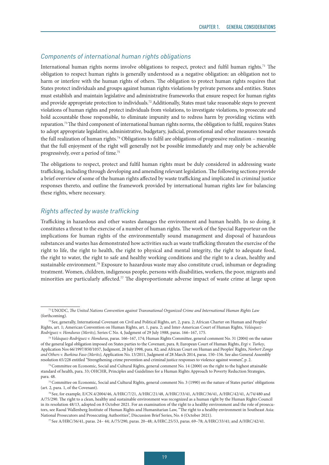#### *Components of international human rights obligations*

International human rights norms involve obligations to respect, protect and fulfil human rights.71 The obligation to respect human rights is generally understood as a negative obligation: an obligation not to harm or interfere with the human rights of others. The obligation to protect human rights requires that States protect individuals and groups against human rights violations by private persons and entities. States must establish and maintain legislative and administrative frameworks that ensure respect for human rights and provide appropriate protection to individuals.72 Additionally, States must take reasonable steps to prevent violations of human rights and protect individuals from violations, to investigate violations, to prosecute and hold accountable those responsible, to eliminate impunity and to redress harm by providing victims with reparation.73 The third component of international human rights norms, the obligation to fulfil, requires States to adopt appropriate legislative, administrative, budgetary, judicial, promotional and other measures towards the full realization of human rights.74 Obligations to fulfil are obligations of progressive realization – meaning that the full enjoyment of the right will generally not be possible immediately and may only be achievable progressively, over a period of time.75

The obligations to respect, protect and fulfil human rights must be duly considered in addressing waste trafficking, including through developing and amending relevant legislation. The following sections provide a brief overview of some of the human rights affected by waste trafficking and implicated in criminal justice responses thereto, and outline the framework provided by international human rights law for balancing these rights, where necessary.

#### *Rights affected by waste trafficking*

Trafficking in hazardous and other wastes damages the environment and human health. In so doing, it constitutes a threat to the exercise of a number of human rights. The work of the Special Rapporteur on the implications for human rights of the environmentally sound management and disposal of hazardous substances and wastes has demonstrated how activities such as waste trafficking threaten the exercise of the right to life, the right to health, the right to physical and mental integrity, the right to adequate food, the right to water, the right to safe and healthy working conditions and the right to a clean, healthy and sustainable environment.<sup>76</sup> Exposure to hazardous waste may also constitute cruel, inhuman or degrading treatment. Women, children, indigenous people, persons with disabilities, workers, the poor, migrants and minorities are particularly affected.77 The disproportionate adverse impact of waste crime at large upon

<sup>71</sup> UNODC, *The United Nations Convention against Transnational Organized Crime and International Human Rights Law* (forthcoming).

<sup>72</sup> See, generally, International Covenant on Civil and Political Rights, art. 2, para. 2; African Charter on Human and Peoples' Rights, art. 1; American Convention on Human Rights, art. 1, para. 2; and Inter-American Court of Human Rights, *Velásquez-Rodríguez v. Honduras (Merits)*, Series C No. 4, Judgment of 29 July 1988, paras. 166–167, 175.

<sup>73</sup>*Velásquez-Rodríguez v. Honduras*, paras. 166–167, 174; Human Rights Committee, general comment No. 31 (2004) on the nature of the general legal obligation imposed on States parties to the Covenant, para. 8; European Court of Human Rights, *Ergi v. Turkey*, Application Nos 66/1997/850/1057, Judgment, 28 July 1998, para. 82; and African Court on Human and Peoples' Rights, *Norbert Zongo and Others v. Burkina Faso (Merits)*, Application No. 13/2011, Judgment of 28 March 2014, paras. 150–156. See also General Assembly resolution 65/228 entitled "Strengthening crime prevention and criminal justice responses to violence against women", p. 2.

<sup>74</sup> Committee on Economic, Social and Cultural Rights, general comment No. 14 (2000) on the right to the highest attainable standard of health, para. 33; OHCHR, Principles and Guidelines for a Human Rights Approach to Poverty Reduction Strategies, para. 48.

<sup>75</sup> Committee on Economic, Social and Cultural Rights, general comment No. 3 (1990) on the nature of States parties' obligations (art. 2, para. 1, of the Covenant).

<sup>76</sup> See, for example, E/CN.4/2004/46, A/HRC/7/21, A/HRC/21/48, A/HRC/33/41, A/HRC/36/41, A/HRC/42/41, A/74/480 and A/75/290. The right to a clean, healthy and sustainable environment was recognized as a human right by the Human Rights Council in its resolution 48/13, adopted on 8 October 2021. For an examination of the right to a healthy environment and the role of prosecutors, see Raoul Wallenberg Institute of Human Rights and Humanitarian Law, "The right to a healthy environment in Southeast Asia: National Prosecutors and Prosecuting Authorities", Discussion Brief Series, No. 6 (October 2021).

<sup>77</sup> See A/HRC/36/41, paras. 24– 44; A/75/290, paras. 20–48; A/HRC.25/53, paras. 69–78; A/HRC/33/41; and A/HRC/42/41.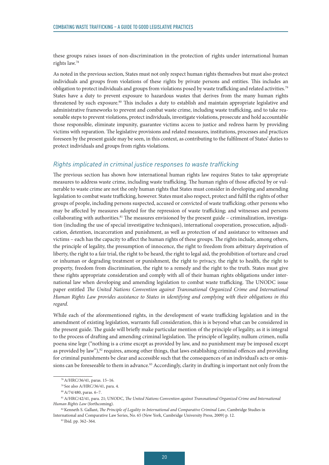these groups raises issues of non-discrimination in the protection of rights under international human rights law.78

As noted in the previous section, States must not only respect human rights themselves but must also protect individuals and groups from violations of these rights by private persons and entities. This includes an obligation to protect individuals and groups from violations posed by waste trafficking and related activities.79 States have a duty to prevent exposure to hazardous wastes that derives from the many human rights threatened by such exposure.80 This includes a duty to establish and maintain appropriate legislative and administrative frameworks to prevent and combat waste crime, including waste trafficking, and to take reasonable steps to prevent violations, protect individuals, investigate violations, prosecute and hold accountable those responsible, eliminate impunity, guarantee victims access to justice and redress harm by providing victims with reparation. The legislative provisions and related measures, institutions, processes and practices foreseen by the present guide may be seen, in this context, as contributing to the fulfilment of States' duties to protect individuals and groups from rights violations.

#### *Rights implicated in criminal justice responses to waste trafficking*

The previous section has shown how international human rights law requires States to take appropriate measures to address waste crime, including waste trafficking. The human rights of those affected by or vulnerable to waste crime are not the only human rights that States must consider in developing and amending legislation to combat waste trafficking, however. States must also respect, protect and fulfil the rights of other groups of people, including persons suspected, accused or convicted of waste trafficking; other persons who may be affected by measures adopted for the repression of waste trafficking; and witnesses and persons collaborating with authorities.<sup>81</sup> The measures envisioned by the present guide – criminalization, investigation (including the use of special investigative techniques), international cooperation, prosecution, adjudication, detention, incarceration and punishment, as well as protection of and assistance to witnesses and victims – each has the capacity to affect the human rights of these groups. The rights include, among others, the principle of legality, the presumption of innocence, the right to freedom from arbitrary deprivation of liberty, the right to a fair trial, the right to be heard, the right to legal aid, the prohibition of torture and cruel or inhuman or degrading treatment or punishment, the right to privacy, the right to health, the right to property, freedom from discrimination, the right to a remedy and the right to the truth. States must give these rights appropriate consideration and comply with all of their human rights obligations under international law when developing and amending legislation to combat waste trafficking. The UNODC issue paper entitled *The United Nations Convention against Transnational Organized Crime and International Human Rights Law provides assistance to States in identifying and complying with their obligations in this regard.*

While each of the aforementioned rights, in the development of waste trafficking legislation and in the amendment of existing legislation, warrants full consideration, this is is beyond what can be considered in the present guide. The guide will briefly make particular mention of the principle of legality, as it is integral to the process of drafting and amending criminal legislation. The principle of legality, nullum crimen, nulla poena sine lege ("nothing is a crime except as provided by law, and no punishment may be imposed except as provided by law"),<sup>82</sup> requires, among other things, that laws establishing criminal offences and providing for criminal punishments be clear and accessible such that the consequences of an individual's acts or omissions can be foreseeable to them in advance.<sup>83</sup> Accordingly, clarity in drafting is important not only from the

83 Ibid. pp. 362–364.

<sup>78</sup> A/HRC/36/41, paras. 15–16.

<sup>79</sup> See also A/HRC/36/41, para. 4.

<sup>80</sup> A/74/480, paras. 6–7.

<sup>81</sup> A/HRC/42/41, para. 21; UNODC, *The United Nations Convention against Transnational Organized Crime and International Human Rights Law* (forthcoming).

<sup>82</sup> Kenneth S. Gallant, *The Principle of Legality in International and Comparative Criminal Law*, Cambridge Studies in International and Comparative Law Series, No. 65 (New York, Cambridge University Press, 2009) p. 12.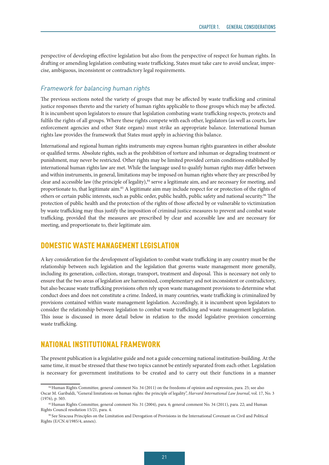<span id="page-28-0"></span>perspective of developing effective legislation but also from the perspective of respect for human rights. In drafting or amending legislation combating waste trafficking, States must take care to avoid unclear, imprecise, ambiguous, inconsistent or contradictory legal requirements.

#### *Framework for balancing human rights*

The previous sections noted the variety of groups that may be affected by waste trafficking and criminal justice responses thereto and the variety of human rights applicable to those groups which may be affected. It is incumbent upon legislators to ensure that legislation combating waste trafficking respects, protects and fulfils the rights of all groups. Where these rights compete with each other, legislators (as well as courts, law enforcement agencies and other State organs) must strike an appropriate balance. International human rights law provides the framework that States must apply in achieving this balance.

International and regional human rights instruments may express human rights guarantees in either absolute or qualified terms. Absolute rights, such as the prohibition of torture and inhuman or degrading treatment or punishment, may never be restricted. Other rights may be limited provided certain conditions established by international human rights law are met. While the language used to qualify human rights may differ between and within instruments, in general, limitations may be imposed on human rights where they are prescribed by clear and accessible law (the principle of legality),<sup>84</sup> serve a legitimate aim, and are necessary for meeting, and proportionate to, that legitimate aim.85 A legitimate aim may include respect for or protection of the rights of others or certain public interests, such as public order, public health, public safety and national security.86 The protection of public health and the protection of the rights of those affected by or vulnerable to victimization by waste trafficking may thus justify the imposition of criminal justice measures to prevent and combat waste trafficking, provided that the measures are prescribed by clear and accessible law and are necessary for meeting, and proportionate to, their legitimate aim.

#### DOMESTIC WASTE MANAGEMENT LEGISLATION

A key consideration for the development of legislation to combat waste trafficking in any country must be the relationship between such legislation and the legislation that governs waste management more generally, including its generation, collection, storage, transport, treatment and disposal. This is necessary not only to ensure that the two areas of legislation are harmonized, complementary and not inconsistent or contradictory, but also because waste trafficking provisions often rely upon waste management provisions to determine what conduct does and does not constitute a crime. Indeed, in many countries, waste trafficking is criminalized by provisions contained within waste management legislation. Accordingly, it is incumbent upon legislators to consider the relationship between legislation to combat waste trafficking and waste management legislation. This issue is discussed in more detail below in relation to the model legislative provision concerning waste trafficking.

#### NATIONAL INSTITUTIONAL FRAMEWORK

The present publication is a legislative guide and not a guide concerning national institution-building. At the same time, it must be stressed that these two topics cannot be entirely separated from each other. Legislation is necessary for government institutions to be created and to carry out their functions in a manner

<sup>84</sup> Human Rights Committee, general comment No. 34 (2011) on the freedoms of opinion and expression, para. 25; see also Oscar M. Garibaldi, "General limitations on human rights: the principle of legality", *Harvard International Law Journal*, vol. 17, No. 3 (1976), p. 503.

<sup>85</sup> Human Rights Committee, general comment No. 31 (2004), para. 6; general comment No. 34 (2011), para. 22; and Human Rights Council resolution 15/21, para. 4.

<sup>86</sup> See Siracusa Principles on the Limitation and Derogation of Provisions in the International Covenant on Civil and Political Rights ([E/CN.4/1985/4](https://documents-dds-ny.un.org/doc/UNDOC/GEN/G84/182/73/PDF/G8418273.pdf?OpenElement), annex).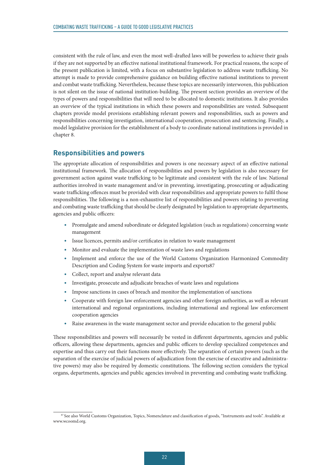<span id="page-29-0"></span>consistent with the rule of law, and even the most well-drafted laws will be powerless to achieve their goals if they are not supported by an effective national institutional framework. For practical reasons, the scope of the present publication is limited, with a focus on substantive legislation to address waste trafficking. No attempt is made to provide comprehensive guidance on building effective national institutions to prevent and combat waste trafficking. Nevertheless, because these topics are necessarily interwoven, this publication is not silent on the issue of national institution-building. The present section provides an overview of the types of powers and responsibilities that will need to be allocated to domestic institutions. It also provides an overview of the typical institutions in which these powers and responsibilities are vested. Subsequent chapters provide model provisions establishing relevant powers and responsibilities, such as powers and responsibilities concerning investigation, international cooperation, prosecution and sentencing. Finally, a model legislative provision for the establishment of a body to coordinate national institutions is provided in chapter 8.

#### **Responsibilities and powers**

The appropriate allocation of responsibilities and powers is one necessary aspect of an effective national institutional framework. The allocation of responsibilities and powers by legislation is also necessary for government action against waste trafficking to be legitimate and consistent with the rule of law. National authorities involved in waste management and/or in preventing, investigating, prosecuting or adjudicating waste trafficking offences must be provided with clear responsibilities and appropriate powers to fulfil those responsibilities. The following is a non-exhaustive list of responsibilities and powers relating to preventing and combating waste trafficking that should be clearly designated by legislation to appropriate departments, agencies and public officers:

- Promulgate and amend subordinate or delegated legislation (such as regulations) concerning waste management
- Issue licences, permits and/or certificates in relation to waste management
- Monitor and evaluate the implementation of waste laws and regulations
- Implement and enforce the use of the World Customs Organization Harmonized Commodity Description and Coding System for waste imports and exports87
- Collect, report and analyse relevant data
- Investigate, prosecute and adjudicate breaches of waste laws and regulations
- Impose sanctions in cases of breach and monitor the implementation of sanctions
- Cooperate with foreign law enforcement agencies and other foreign authorities, as well as relevant international and regional organizations, including international and regional law enforcement cooperation agencies
- Raise awareness in the waste management sector and provide education to the general public

These responsibilities and powers will necessarily be vested in different departments, agencies and public officers, allowing these departments, agencies and public officers to develop specialized competences and expertise and thus carry out their functions more effectively. The separation of certain powers (such as the separation of the exercise of judicial powers of adjudication from the exercise of executive and administrative powers) may also be required by domestic constitutions. The following section considers the typical organs, departments, agencies and public agencies involved in preventing and combating waste trafficking.

<sup>87</sup> See also World Customs Organization, Topics, Nomenclature and classification of goods, "Instruments and tools". Available at [www.wcoomd.org](http://www.wcoomd.org/).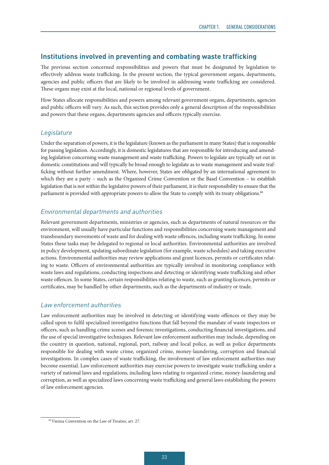#### <span id="page-30-0"></span>**Institutions involved in preventing and combating waste trafficking**

The previous section concerned responsibilities and powers that must be designated by legislation to effectively address waste trafficking. In the present section, the typical government organs, departments, agencies and public officers that are likely to be involved in addressing waste trafficking are considered. These organs may exist at the local, national or regional levels of government.

How States allocate responsibilities and powers among relevant government organs, departments, agencies and public officers will vary. As such, this section provides only a general description of the responsibilities and powers that these organs, departments agencies and officers typically exercise.

#### *Legislature*

Under the separation of powers, it is the legislature (known as the parliament in many States) that is responsible for passing legislation. Accordingly, it is domestic legislatures that are responsible for introducing and amending legislation concerning waste management and waste trafficking. Powers to legislate are typically set out in domestic constitutions and will typically be broad enough to legislate as to waste management and waste trafficking without further amendment. Where, however, States are obligated by an international agreement to which they are a party – such as the Organized Crime Convention or the Basel Convention – to establish legislation that is not within the legislative powers of their parliament, it is their responsibility to ensure that the parliament is provided with appropriate powers to allow the State to comply with its treaty obligations.<sup>88</sup>

#### *Environmental departments and authorities*

Relevant government departments, ministries or agencies, such as departments of natural resources or the environment, will usually have particular functions and responsibilities concerning waste management and transboundary movements of waste and for dealing with waste offences, including waste trafficking. In some States these tasks may be delegated to regional or local authorities. Environmental authorities are involved in policy development, updating subordinate legislation (for example, waste schedules) and taking executive actions. Environmental authorities may review applications and grant licences, permits or certificates relating to waste. Officers of environmental authorities are typically involved in monitoring compliance with waste laws and regulations, conducting inspections and detecting or identifying waste trafficking and other waste offences. In some States, certain responsibilities relating to waste, such as granting licences, permits or certificates, may be handled by other departments, such as the departments of industry or trade.

#### *Law enforcement authorities*

Law enforcement authorities may be involved in detecting or identifying waste offences or they may be called upon to fulfil specialized investigative functions that fall beyond the mandate of waste inspectors or officers, such as handling crime scenes and forensic investigations, conducting financial investigations, and the use of special investigative techniques. Relevant law enforcement authorities may include, depending on the country in question, national, regional, port, railway and local police, as well as police departments responsible for dealing with waste crime, organized crime, money-laundering, corruption and financial investigations. In complex cases of waste trafficking, the involvement of law enforcement authorities may become essential. Law enforcement authorities may exercise powers to investigate waste trafficking under a variety of national laws and regulations, including laws relating to organized crime, money-laundering and corruption, as well as specialized laws concerning waste trafficking and general laws establishing the powers of law enforcement agencies.

<sup>88</sup> Vienna Convention on the Law of Treaties, art. 27.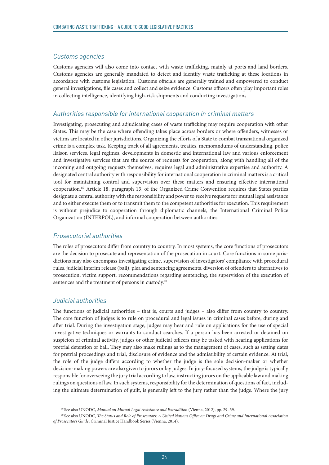#### *Customs agencies*

Customs agencies will also come into contact with waste trafficking, mainly at ports and land borders. Customs agencies are generally mandated to detect and identify waste trafficking at these locations in accordance with customs legislation. Customs officials are generally trained and empowered to conduct general investigations, file cases and collect and seize evidence. Customs officers often play important roles in collecting intelligence, identifying high-risk shipments and conducting investigations.

#### *Authorities responsible for international cooperation in criminal matters*

Investigating, prosecuting and adjudicating cases of waste trafficking may require cooperation with other States. This may be the case where offending takes place across borders or where offenders, witnesses or victims are located in other jurisdictions. Organizing the efforts of a State to combat transnational organized crime is a complex task. Keeping track of all agreements, treaties, memorandums of understanding, police liaison services, legal regimes, developments in domestic and international law and various enforcement and investigative services that are the source of requests for cooperation, along with handling all of the incoming and outgoing requests themselves, requires legal and administrative expertise and authority. A designated central authority with responsibility for international cooperation in criminal matters is a critical tool for maintaining control and supervision over these matters and ensuring effective international cooperation.89 Article 18, paragraph 13, of the Organized Crime Convention requires that States parties designate a central authority with the responsibility and power to receive requests for mutual legal assistance and to either execute them or to transmit them to the competent authorities for execution. This requirement is without prejudice to cooperation through diplomatic channels, the International Criminal Police Organization (INTERPOL), and informal cooperation between authorities.

#### *Prosecutorial authorities*

The roles of prosecutors differ from country to country. In most systems, the core functions of prosecutors are the decision to prosecute and representation of the prosecution in court. Core functions in some jurisdictions may also encompass investigating crime, supervision of investigators' compliance with procedural rules, judicial interim release (bail), plea and sentencing agreements, diversion of offenders to alternatives to prosecution, victim support, recommendations regarding sentencing, the supervision of the execution of sentences and the treatment of persons in custody.<sup>90</sup>

#### *Judicial authorities*

The functions of judicial authorities – that is, courts and judges – also differ from country to country. The core function of judges is to rule on procedural and legal issues in criminal cases before, during and after trial. During the investigation stage, judges may hear and rule on applications for the use of special investigative techniques or warrants to conduct searches. If a person has been arrested or detained on suspicion of criminal activity, judges or other judicial officers may be tasked with hearing applications for pretrial detention or bail. They may also make rulings as to the management of cases, such as setting dates for pretrial proceedings and trial, disclosure of evidence and the admissibility of certain evidence. At trial, the role of the judge differs according to whether the judge is the sole decision-maker or whether decision-making powers are also given to jurors or lay judges. In jury-focused systems, the judge is typically responsible for overseeing the jury trial according to law, instructing jurors on the applicable law and making rulings on questions of law. In such systems, responsibility for the determination of questions of fact, including the ultimate determination of guilt, is generally left to the jury rather than the judge. Where the jury

<sup>89</sup> See also UNODC, *Manual on Mutual Legal Assistance and Extradition* (Vienna, 2012), pp. 29–39.

<sup>90</sup> See also UNODC, *The Status and Role of Prosecutors: A United Nations Office on Drugs and Crime and International Association of Prosecutors Guide*, Criminal Justice Handbook Series (Vienna, 2014).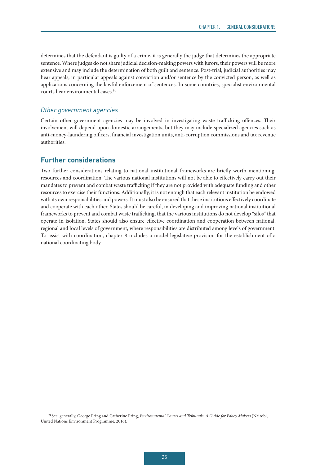<span id="page-32-0"></span>determines that the defendant is guilty of a crime, it is generally the judge that determines the appropriate sentence. Where judges do not share judicial decision-making powers with jurors, their powers will be more extensive and may include the determination of both guilt and sentence. Post-trial, judicial authorities may hear appeals, in particular appeals against conviction and/or sentence by the convicted person, as well as applications concerning the lawful enforcement of sentences. In some countries, specialist environmental courts hear environmental cases.<sup>91</sup>

#### *Other government agencies*

Certain other government agencies may be involved in investigating waste trafficking offences. Their involvement will depend upon domestic arrangements, but they may include specialized agencies such as anti-money-laundering officers, financial investigation units, anti-corruption commissions and tax revenue authorities.

#### **Further considerations**

Two further considerations relating to national institutional frameworks are briefly worth mentioning: resources and coordination. The various national institutions will not be able to effectively carry out their mandates to prevent and combat waste trafficking if they are not provided with adequate funding and other resources to exercise their functions. Additionally, it is not enough that each relevant institution be endowed with its own responsibilities and powers. It must also be ensured that these institutions effectively coordinate and cooperate with each other. States should be careful, in developing and improving national institutional frameworks to prevent and combat waste trafficking, that the various institutions do not develop "silos" that operate in isolation. States should also ensure effective coordination and cooperation between national, regional and local levels of government, where responsibilities are distributed among levels of government. To assist with coordination, chapter 8 includes a model legislative provision for the establishment of a national coordinating body.

<sup>91</sup> See, generally, George Pring and Catherine Pring, *Environmental Courts and Tribunals: A Guide for Policy Makers* (Nairobi, United Nations Environment Programme, 2016).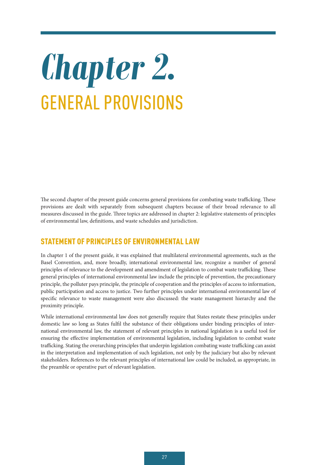# <span id="page-34-0"></span>*Chapter 2.*  GENERAL PROVISIONS

The second chapter of the present guide concerns general provisions for combating waste trafficking. These provisions are dealt with separately from subsequent chapters because of their broad relevance to all measures discussed in the guide. Three topics are addressed in chapter 2: legislative statements of principles of environmental law, definitions, and waste schedules and jurisdiction.

### STATEMENT OF PRINCIPLES OF ENVIRONMENTAL LAW

In chapter 1 of the present guide, it was explained that multilateral environmental agreements, such as the Basel Convention, and, more broadly, international environmental law, recognize a number of general principles of relevance to the development and amendment of legislation to combat waste trafficking. These general principles of international environmental law include the principle of prevention, the precautionary principle, the polluter pays principle, the principle of cooperation and the principles of access to information, public participation and access to justice. Two further principles under international environmental law of specific relevance to waste management were also discussed: the waste management hierarchy and the proximity principle.

While international environmental law does not generally require that States restate these principles under domestic law so long as States fulfil the substance of their obligations under binding principles of international environmental law, the statement of relevant principles in national legislation is a useful tool for ensuring the effective implementation of environmental legislation, including legislation to combat waste trafficking. Stating the overarching principles that underpin legislation combating waste trafficking can assist in the interpretation and implementation of such legislation, not only by the judiciary but also by relevant stakeholders. References to the relevant principles of international law could be included, as appropriate, in the preamble or operative part of relevant legislation.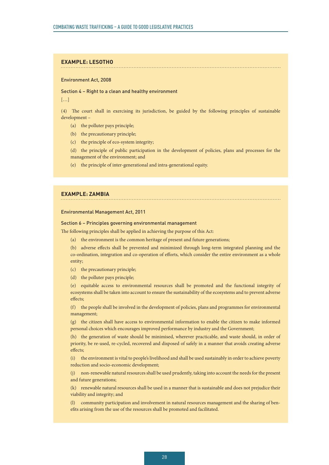#### **EXAMPLE: LESOTHO**

#### Environment Act, 2008

#### Section 4 – Right to a clean and healthy environment

 $[...]$ 

(4) The court shall in exercising its jurisdiction, be guided by the following principles of sustainable development –

- (a) the polluter pays principle;
- (b) the precautionary principle;
- (c) the principle of eco-system integrity;

(d) the principle of public participation in the development of policies, plans and processes for the management of the environment; and

(e) the principle of inter-generational and intra-generational equity.

#### **EXAMPLE: ZAMBIA**

#### Environmental Management Act, 2011

#### Section 6 – Principles governing environmental management

The following principles shall be applied in achieving the purpose of this Act:

(a) the environment is the common heritage of present and future generations;

(b) adverse effects shall be prevented and minimized through long-term integrated planning and the co-ordination, integration and co-operation of efforts, which consider the entire environment as a whole entity;

- (c) the precautionary principle;
- (d) the polluter pays principle;

(e) equitable access to environmental resources shall be promoted and the functional integrity of ecosystems shall be taken into account to ensure the sustainability of the ecosystems and to prevent adverse effects;

(f) the people shall be involved in the development of policies, plans and programmes for environmental management;

(g) the citizen shall have access to environmental information to enable the citizen to make informed personal choices which encourages improved performance by industry and the Government;

(h) the generation of waste should be minimised, wherever practicable, and waste should, in order of priority, be re-used, re-cycled, recovered and disposed of safely in a manner that avoids creating adverse effects;

(i) the environment is vital to people's livelihood and shall be used sustainably in order to achieve poverty reduction and socio-economic development;

(j) non-renewable natural resources shall be used prudently, taking into account the needs for the present and future generations;

(k) renewable natural resources shall be used in a manner that is sustainable and does not prejudice their viability and integrity; and

(l) community participation and involvement in natural resources management and the sharing of benefits arising from the use of the resources shall be promoted and facilitated.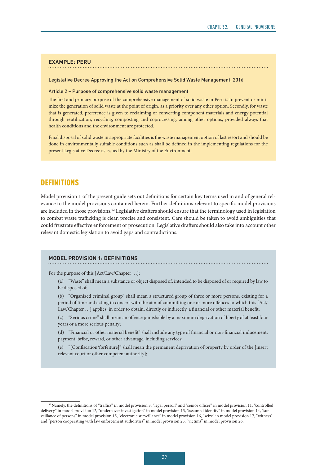#### **EXAMPLE: PERU**

#### Legislative Decree Approving the Act on Comprehensive Solid Waste Management, 2016

## Article 2 – Purpose of comprehensive solid waste management

The first and primary purpose of the comprehensive management of solid waste in Peru is to prevent or minimize the generation of solid waste at the point of origin, as a priority over any other option. Secondly, for waste that is generated, preference is given to reclaiming or converting component materials and energy potential through reutilization, recycling, composting and coprocessing, among other options, provided always that health conditions and the environment are protected.

Final disposal of solid waste in appropriate facilities is the waste management option of last resort and should be done in environmentally suitable conditions such as shall be defined in the implementing regulations for the present Legislative Decree as issued by the Ministry of the Environment.

# **DEFINITIONS**

Model provision 1 of the present guide sets out definitions for certain key terms used in and of general relevance to the model provisions contained herein. Further definitions relevant to specific model provisions are included in those provisions.<sup>92</sup> Legislative drafters should ensure that the terminology used in legislation to combat waste trafficking is clear, precise and consistent. Care should be taken to avoid ambiguities that could frustrate effective enforcement or prosecution. Legislative drafters should also take into account other relevant domestic legislation to avoid gaps and contradictions.

# **MODEL PROVISION 1: DEFINITIONS**

For the purpose of this [Act/Law/Chapter …]:

(a) "Waste" shall mean a substance or object disposed of, intended to be disposed of or required by law to be disposed of;

(b) "Organized criminal group" shall mean a structured group of three or more persons, existing for a period of time and acting in concert with the aim of committing one or more offences to which this [Act/ Law/Chapter …] applies, in order to obtain, directly or indirectly, a financial or other material benefit;

(c) "Serious crime" shall mean an offence punishable by a maximum deprivation of liberty of at least four years or a more serious penalty;

(d) "Financial or other material benefit" shall include any type of financial or non-financial inducement, payment, bribe, reward, or other advantage, including services;

(e) "[Confiscation/forfeiture]" shall mean the permanent deprivation of property by order of the [insert relevant court or other competent authority];

<sup>92</sup> Namely, the definitions of "traffics" in model provision 3, "legal person" and "senior officer" in model provision 11, "controlled delivery" in model provision 12, "undercover investigation" in model provision 13, "assumed identity" in model provision 14, "surveillance of persons" in model provision 15, "electronic surveillance" in model provision 16, "seize" in model provision 17, "witness" and "person cooperating with law enforcement authorities" in model provision 25, "victims" in model provision 26.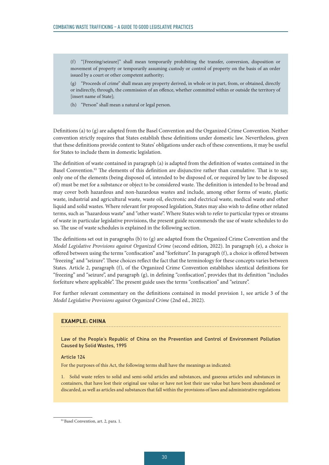(f) "[Freezing/seizure]" shall mean temporarily prohibiting the transfer, conversion, disposition or movement of property or temporarily assuming custody or control of property on the basis of an order issued by a court or other competent authority;

(g) "Proceeds of crime" shall mean any property derived, in whole or in part, from, or obtained, directly or indirectly, through, the commission of an offence, whether committed within or outside the territory of [insert name of State];

(h) "Person" shall mean a natural or legal person.

Definitions (a) to (g) are adapted from the Basel Convention and the Organized Crime Convention. Neither convention strictly requires that States establish these definitions under domestic law. Nevertheless, given that these definitions provide content to States' obligations under each of these conventions, it may be useful for States to include them in domestic legislation.

The definition of waste contained in paragraph (a) is adapted from the definition of wastes contained in the Basel Convention.93 The elements of this definition are disjunctive rather than cumulative. That is to say, only one of the elements (being disposed of, intended to be disposed of, or required by law to be disposed of) must be met for a substance or object to be considered waste. The definition is intended to be broad and may cover both hazardous and non-hazardous wastes and include, among other forms of waste, plastic waste, industrial and agricultural waste, waste oil, electronic and electrical waste, medical waste and other liquid and solid wastes. Where relevant for proposed legislation, States may also wish to define other related terms, such as "hazardous waste" and "other waste". Where States wish to refer to particular types or streams of waste in particular legislative provisions, the present guide recommends the use of waste schedules to do so. The use of waste schedules is explained in the following section.

The definitions set out in paragraphs (b) to (g) are adapted from the Organized Crime Convention and the *Model Legislative Provisions against Organized Crime* (second edition, 2022). In paragraph (e), a choice is offered between using the terms "confiscation" and "forfeiture". In paragraph (f), a choice is offered between "freezing" and "seizure". These choices reflect the fact that the terminology for these concepts varies between States. Article 2, paragraph (f), of the Organized Crime Convention establishes identical definitions for "freezing" and "seizure", and paragraph (g), in defining "confiscation", provides that its definition "includes forfeiture where applicable". The present guide uses the terms "confiscation" and "seizure".

For further relevant commentary on the definitions contained in model provision 1, see article 3 of the *Model Legislative Provisions against Organized Crime* (2nd ed., 2022).

# **EXAMPLE: CHINA**

Law of the People's Republic of China on the Prevention and Control of Environment Pollution Caused by Solid Wastes, 1995

#### Article 124

For the purposes of this Act, the following terms shall have the meanings as indicated:

1. Solid waste refers to solid and semi-solid articles and substances, and gaseous articles and substances in containers, that have lost their original use value or have not lost their use value but have been abandoned or discarded, as well as articles and substances that fall within the provisions of laws and administrative regulations

<sup>93</sup> Basel Convention, art. 2, para. 1.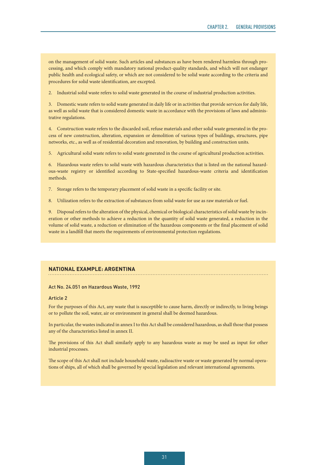on the management of solid waste. Such articles and substances as have been rendered harmless through processing, and which comply with mandatory national product-quality standards, and which will not endanger public health and ecological safety, or which are not considered to be solid waste according to the criteria and procedures for solid waste identification, are excepted.

2. Industrial solid waste refers to solid waste generated in the course of industrial production activities.

3. Domestic waste refers to solid waste generated in daily life or in activities that provide services for daily life, as well as solid waste that is considered domestic waste in accordance with the provisions of laws and administrative regulations.

4. Construction waste refers to the discarded soil, refuse materials and other solid waste generated in the process of new construction, alteration, expansion or demolition of various types of buildings, structures, pipe networks, etc., as well as of residential decoration and renovation, by building and construction units.

5. Agricultural solid waste refers to solid waste generated in the course of agricultural production activities.

6. Hazardous waste refers to solid waste with hazardous characteristics that is listed on the national hazardous-waste registry or identified according to State-specified hazardous-waste criteria and identification methods.

7. Storage refers to the temporary placement of solid waste in a specific facility or site.

8. Utilization refers to the extraction of substances from solid waste for use as raw materials or fuel.

9. Disposal refers to the alteration of the physical, chemical or biological characteristics of solid waste by incineration or other methods to achieve a reduction in the quantity of solid waste generated, a reduction in the volume of solid waste, a reduction or elimination of the hazardous components or the final placement of solid waste in a landfill that meets the requirements of environmental protection regulations.

## **NATIONAL EXAMPLE: ARGENTINA**

#### Act No. 24.051 on Hazardous Waste, 1992

#### Article 2

For the purposes of this Act, any waste that is susceptible to cause harm, directly or indirectly, to living beings or to pollute the soil, water, air or environment in general shall be deemed hazardous.

In particular, the wastes indicated in annex I to this Act shall be considered hazardous, as shall those that possess any of the characteristics listed in annex II.

The provisions of this Act shall similarly apply to any hazardous waste as may be used as input for other industrial processes.

The scope of this Act shall not include household waste, radioactive waste or waste generated by normal operations of ships, all of which shall be governed by special legislation and relevant international agreements.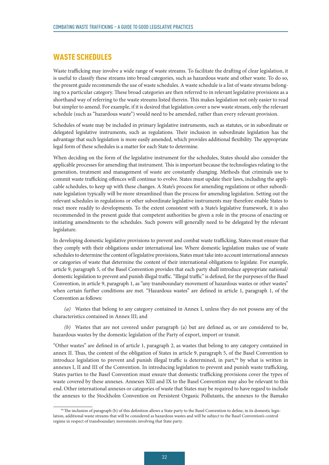# WASTE SCHEDULES

Waste trafficking may involve a wide range of waste streams. To facilitate the drafting of clear legislation, it is useful to classify these streams into broad categories, such as hazardous waste and other waste. To do so, the present guide recommends the use of waste schedules. A waste schedule is a list of waste streams belonging to a particular category. These broad categories are then referred to in relevant legislative provisions as a shorthand way of referring to the waste streams listed therein. This makes legislation not only easier to read but simpler to amend. For example, if it is desired that legislation cover a new waste stream, only the relevant schedule (such as "hazardous waste") would need to be amended, rather than every relevant provision.

Schedules of waste may be included in primary legislative instruments, such as statutes, or in subordinate or delegated legislative instruments, such as regulations. Their inclusion in subordinate legislation has the advantage that such legislation is more easily amended, which provides additional flexibility. The appropriate legal form of these schedules is a matter for each State to determine.

When deciding on the form of the legislative instrument for the schedules, States should also consider the applicable processes for amending that instrument. This is important because the technologies relating to the generation, treatment and management of waste are constantly changing. Methods that criminals use to commit waste trafficking offences will continue to evolve. States must update their laws, including the applicable schedules, to keep up with these changes. A State's process for amending regulations or other subordinate legislation typically will be more streamlined than the process for amending legislation. Setting out the relevant schedules in regulations or other subordinate legislative instruments may therefore enable States to react more readily to developments. To the extent consistent with a State's legislative framework, it is also recommended in the present guide that competent authorities be given a role in the process of enacting or initiating amendments to the schedules. Such powers will generally need to be delegated by the relevant legislature.

In developing domestic legislative provisions to prevent and combat waste trafficking, States must ensure that they comply with their obligations under international law. Where domestic legislation makes use of waste schedules to determine the content of legislative provisions, States must take into account international annexes or categories of waste that determine the content of their international obligations to legislate. For example, article 9, paragraph 5, of the Basel Convention provides that each party shall introduce appropriate national/ domestic legislation to prevent and punish illegal traffic. "Illegal traffic" is defined, for the purposes of the Basel Convention, in article 9, paragraph 1, as "any transboundary movement of hazardous wastes or other wastes" when certain further conditions are met. "Hazardous wastes" are defined in article 1, paragraph 1, of the Convention as follows:

*(a)* Wastes that belong to any category contained in Annex I, unless they do not possess any of the characteristics contained in Annex III; and

*(b)* Wastes that are not covered under paragraph (a) but are defined as, or are considered to be, hazardous wastes by the domestic legislation of the Party of export, import or transit.

"Other wastes" are defined in of article 1, paragraph 2, as wastes that belong to any category contained in annex II. Thus, the content of the obligation of States in article 9, paragraph 5, of the Basel Convention to introduce legislation to prevent and punish illegal traffic is determined, in part,<sup>94</sup> by what is written in annexes I, II and III of the Convention. In introducing legislation to prevent and punish waste trafficking, States parties to the Basel Convention must ensure that domestic trafficking provisions cover the types of waste covered by these annexes. Annexes XIII and IX to the Basel Convention may also be relevant to this end. Other international annexes or categories of waste that States may be required to have regard to include the annexes to the Stockholm Convention on Persistent Organic Pollutants, the annexes to the Bamako

<sup>94</sup> The inclusion of paragraph (b) of this definition allows a State party to the Basel Convention to define, in its domestic legislation, additional waste streams that will be considered as hazardous wastes and will be subject to the Basel Convention's control regime in respect of transboundary movements involving that State party.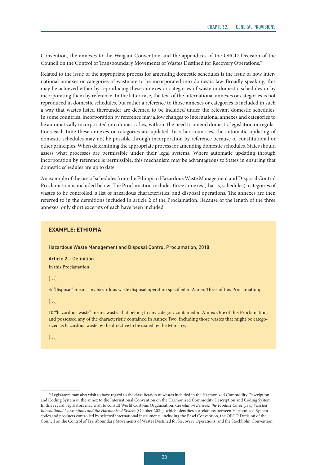Convention, the annexes to the Waigani Convention and the appendices of the OECD Decision of the Council on the Control of Transboundary Movements of Wastes Destined for Recovery Operations.<sup>95</sup>

Related to the issue of the appropriate process for amending domestic schedules is the issue of how international annexes or categories of waste are to be incorporated into domestic law. Broadly speaking, this may be achieved either by reproducing these annexes or categories of waste in domestic schedules or by incorporating them by reference. In the latter case, the text of the international annexes or categories is not reproduced in domestic schedules, but rather a reference to those annexes or categories is included in such a way that wastes listed thereunder are deemed to be included under the relevant domestic schedules. In some countries, incorporation by reference may allow changes to international annexes and categories to be automatically incorporated into domestic law, without the need to amend domestic legislation or regulations each time these annexes or categories are updated. In other countries, the automatic updating of domestic schedules may not be possible through incorporation by reference because of constitutional or other principles. When determining the appropriate process for amending domestic schedules, States should assess what processes are permissible under their legal systems. Where automatic updating through incorporation by reference is permissible, this mechanism may be advantageous to States in ensuring that domestic schedules are up to date.

An example of the use of schedules from the Ethiopian Hazardous Waste Management and Disposal Control Proclamation is included below. The Proclamation includes three annexes (that is, schedules): categories of wastes to be controlled, a list of hazardous characteristics, and disposal operations. The annexes are then referred to in the definitions included in article 2 of the Proclamation. Because of the length of the three annexes, only short excerpts of each have been included.

#### **EXAMPLE: ETHIOPIA**

Hazardous Waste Management and Disposal Control Proclamation, 2018

Article 2 – Definition

In this Proclamation:

 $[...]$ 

3/ "disposal" means any hazardous waste disposal operation specified in Annex Three of this Proclamation;

[…]

10/"hazardous waste" means wastes that belong to any category contained in Annex One of this Proclamation, and possessed any of the characteristic contained in Annex Two; including those wastes that might be categorized as hazardous waste by the directive to be issued by the Ministry,

 $[...]$ 

<sup>95</sup> Legislators may also wish to have regard to the classification of wastes included in the Harmonized Commodity Description and Coding System in the annex to the [International Convention on the Harmonized Commodity Description and Coding System.](https://conferences.unite.un.org/unterm/display/record/unog/na?OriginalId=84884) In this regard, legislators may wish to consult World Customs Organization, *Correlation Between the Product Coverage of Selected International Conventions and the Harmonized System* (October 2021), which identifies correlations between Harmonized System codes and products controlled by selected international instruments, including the Basel Convention, the OECD Decision of the Council on the Control of Transboundary Movements of Wastes Destined for Recovery Operations, and the Stockholm Convention.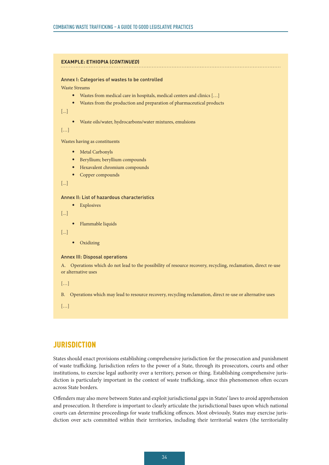#### **EXAMPLE: ETHIOPIA (***CONTINUED***)**

#### Annex I: Categories of wastes to be controlled

Waste Streams

- Wastes from medical care in hospitals, medical centers and clinics […]
- Wastes from the production and preparation of pharmaceutical products

[…]

• Waste oils/water, hydrocarbons/water mixtures, emulsions

[…]

Wastes having as constituents

- Metal Carbonyls
- Beryllium; beryllium compounds
- Hexavalent chromium compounds
- Copper compounds

[…]

## Annex II: List of hazardous characteristics

• Explosives

[…]

• Flammable liquids

[…]

• Oxidizing

#### Annex III: Disposal operations

A. Operations which do not lead to the possibility of resource recovery, recycling, reclamation, direct re-use or alternative uses

[…]

B. Operations which may lead to resource recovery, recycling reclamation, direct re-use or alternative uses

 $[...]$ 

# **JURISDICTION**

States should enact provisions establishing comprehensive jurisdiction for the prosecution and punishment of waste trafficking. Jurisdiction refers to the power of a State, through its prosecutors, courts and other institutions, to exercise legal authority over a territory, person or thing. Establishing comprehensive jurisdiction is particularly important in the context of waste trafficking, since this phenomenon often occurs across State borders.

Offenders may also move between States and exploit jurisdictional gaps in States' laws to avoid apprehension and prosecution. It therefore is important to clearly articulate the jurisdictional bases upon which national courts can determine proceedings for waste trafficking offences. Most obviously, States may exercise jurisdiction over acts committed within their territories, including their territorial waters (the territoriality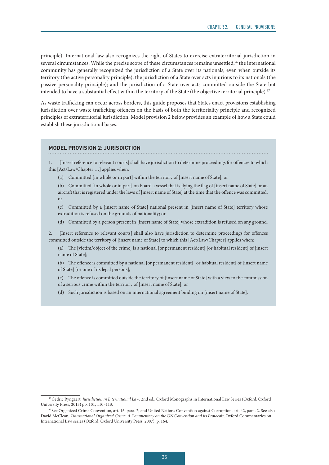principle). International law also recognizes the right of States to exercise extraterritorial jurisdiction in several circumstances. While the precise scope of these circumstances remains unsettled,<sup>96</sup> the international community has generally recognized the jurisdiction of a State over its nationals, even when outside its territory (the active personality principle); the jurisdiction of a State over acts injurious to its nationals (the passive personality principle); and the jurisdiction of a State over acts committed outside the State but intended to have a substantial effect within the territory of the State (the objective territorial principle).<sup>97</sup>

As waste trafficking can occur across borders, this guide proposes that States enact provisions establishing jurisdiction over waste trafficking offences on the basis of both the territoriality principle and recognized principles of extraterritorial jurisdiction. Model provision 2 below provides an example of how a State could establish these jurisdictional bases.

## **MODEL PROVISION 2: JURISDICTION**

1. [Insert reference to relevant courts] shall have jurisdiction to determine proceedings for offences to which this [Act/Law/Chapter …] applies when:

(a) Committed [in whole or in part] within the territory of [insert name of State]; or

(b) Committed [in whole or in part] on board a vessel that is flying the flag of [insert name of State] or an aircraft that is registered under the laws of [insert name of State] at the time that the offence was committed; or

(c) Committed by a [insert name of State] national present in [insert name of State] territory whose extradition is refused on the grounds of nationality; or

(d) Committed by a person present in [insert name of State] whose extradition is refused on any ground.

2. [Insert reference to relevant courts] shall also have jurisdiction to determine proceedings for offences committed outside the territory of [insert name of State] to which this [Act/Law/Chapter] applies when:

(a) The [victim/object of the crime] is a national [or permanent resident] [or habitual resident] of [insert name of State];

(b) The offence is committed by a national [or permanent resident] [or habitual resident] of [insert name of State] [or one of its legal persons];

(c) The offence is committed outside the territory of [insert name of State] with a view to the commission of a serious crime within the territory of [insert name of State]; or

(d) Such jurisdiction is based on an international agreement binding on [insert name of State].

<sup>96</sup> Cedric Ryngaert, *Jurisdiction in International Law*, 2nd ed., Oxford Monographs in International Law Series (Oxford, Oxford University Press, 2015) pp. 101, 110–113.

<sup>97</sup> See Organized Crime Convention, art. 15, para. 2; and United Nations Convention against Corruption, art. 42, para. 2. See also David McClean, *Transnational Organized Crime: A Commentary on the UN Convention and its Protocols*, Oxford Commentaries on International Law series (Oxford, Oxford University Press, 2007), p. 164.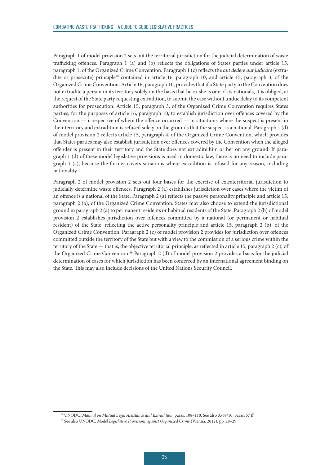Paragraph 1 of model provision 2 sets out the territorial jurisdiction for the judicial determination of waste trafficking offences. Paragraph 1 (a) and (b) reflects the obligations of States parties under article 15, paragraph 1, of the Organized Crime Convention. Paragraph 1 (c) reflects the *aut dedere aut judicare* (extradite or prosecute) principle<sup>98</sup> contained in article 16, paragraph 10, and article 15, paragraph 3, of the Organized Crime Convention. Article 16, paragraph 10, provides that if a State party to the Convention does not extradite a person in its territory solely on the basis that he or she is one of its nationals, it is obliged, at the request of the State party requesting extradition, to submit the case without undue delay to its competent authorities for prosecution. Article 15, paragraph 3, of the Organized Crime Convention requires States parties, for the purposes of article 16, paragraph 10, to establish jurisdiction over offences covered by the Convention — irrespective of where the offence occurred — in situations where the suspect is present in their territory and extradition is refused solely on the grounds that the suspect is a national. Paragraph 1 (d) of model provision 2 reflects article 15, paragraph 4, of the Organized Crime Convention, which provides that States parties may also establish jurisdiction over offences covered by the Convention when the alleged offender is present in their territory and the State does not extradite him or her on any ground. If paragraph 1 (d) of these model legislative provisions is used in domestic law, there is no need to include paragraph  $1$  (c), because the former covers situations where extradition is refused for any reason, including nationality.

Paragraph 2 of model provision 2 sets out four bases for the exercise of extraterritorial jurisdiction to judicially determine waste offences. Paragraph 2 (a) establishes jurisdiction over cases where the victim of an offence is a national of the State. Paragraph 2 (a) reflects the passive personality principle and article 15, paragraph 2 (a), of the Organized Crime Convention. States may also choose to extend the jurisdictional ground in paragraph 2 (a) to permanent residents or habitual residents of the State. Paragraph 2 (b) of model provision 2 establishes jurisdiction over offences committed by a national (or permanent or habitual resident) of the State, reflecting the active personality principle and article 15, paragraph 2 (b), of the Organized Crime Convention. Paragraph 2 (c) of model provision 2 provides for jurisdiction over offences committed outside the territory of the State but with a view to the commission of a serious crime within the territory of the State — that is, the objective territorial principle, as reflected in article 15, paragraph 2 (c), of the Organized Crime Convention.99 Paragraph 2 (d) of model provision 2 provides a basis for the judicial determination of cases for which jurisdiction has been conferred by an international agreement binding on the State. This may also include decisions of the United Nations Security Council.

<sup>98</sup> UNODC, *Manual on Mutual Legal Assistance and Extradition*, paras. 108–110. See also [A/69/10,](https://undocs.org/Home/Mobile?FinalSymbol=A%2F69%2F10&Language=E&DeviceType=Desktop&LangRequested=False) paras. 57 ff. 99 See also UNODC, *Model Legislative Provisions against Organized Crime* (Vienna, 2012), pp. 28–29.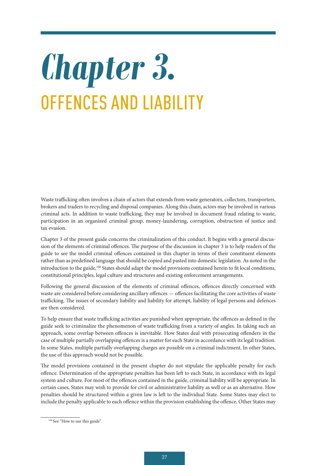# *Chapter 3.*  OFFENCES AND LIABILITY

Waste trafficking often involves a chain of actors that extends from waste generators, collectors, transporters, brokers and traders to recycling and disposal companies. Along this chain, actors may be involved in various criminal acts. In addition to waste trafficking, they may be involved in document fraud relating to waste, participation in an organized criminal group, money-laundering, corruption, obstruction of justice and tax evasion.

Chapter 3 of the present guide concerns the criminalization of this conduct. It begins with a general discussion of the elements of criminal offences. The purpose of the discussion in chapter 3 is to help readers of the guide to see the model criminal offences contained in this chapter in terms of their constituent elements rather than as predefined language that should be copied and pasted into domestic legislation. As noted in the introduction to the guide,100 States should adapt the model provisions contained herein to fit local conditions, constitutional principles, legal culture and structures and existing enforcement arrangements.

Following the general discussion of the elements of criminal offences, offences directly concerned with waste are considered before considering ancillary offences — offences facilitating the core activities of waste trafficking. The issues of secondary liability and liability for attempt, liability of legal persons and defences are then considered.

To help ensure that waste trafficking activities are punished when appropriate, the offences as defined in the guide seek to criminalize the phenomenon of waste trafficking from a variety of angles. In taking such an approach, some overlap between offences is inevitable. How States deal with prosecuting offenders in the case of multiple partially overlapping offences is a matter for each State in accordance with its legal tradition. In some States, multiple partially overlapping charges are possible on a criminal indictment. In other States, the use of this approach would not be possible.

The model provisions contained in the present chapter do not stipulate the applicable penalty for each offence. Determination of the appropriate penalties has been left to each State, in accordance with its legal system and culture. For most of the offences contained in the guide, criminal liability will be appropriate. In certain cases, States may wish to provide for civil or administrative liability as well or as an alternative. How penalties should be structured within a given law is left to the individual State. Some States may elect to include the penalty applicable to each offence within the provision establishing the offence. Other States may

<sup>&</sup>lt;sup>100</sup> See "How to use this guide".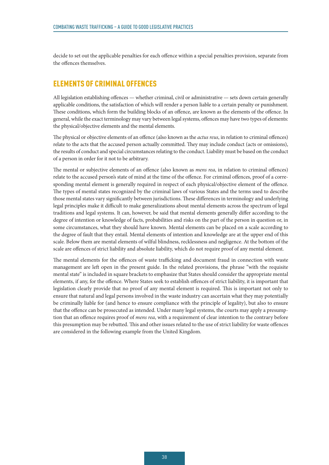decide to set out the applicable penalties for each offence within a special penalties provision, separate from the offences themselves.

# ELEMENTS OF CRIMINAL OFFENCES

All legislation establishing offences — whether criminal, civil or administrative — sets down certain generally applicable conditions, the satisfaction of which will render a person liable to a certain penalty or punishment. These conditions, which form the building blocks of an offence, are known as the elements of the offence. In general, while the exact terminology may vary between legal systems, offences may have two types of elements: the physical/objective elements and the mental elements.

The physical or objective elements of an offence (also known as the *actus reus*, in relation to criminal offences) relate to the acts that the accused person actually committed. They may include conduct (acts or omissions), the results of conduct and special circumstances relating to the conduct. Liability must be based on the conduct of a person in order for it not to be arbitrary.

The mental or subjective elements of an offence (also known as *mens rea*, in relation to criminal offences) relate to the accused person's state of mind at the time of the offence. For criminal offences, proof of a corresponding mental element is generally required in respect of each physical/objective element of the offence. The types of mental states recognized by the criminal laws of various States and the terms used to describe those mental states vary significantly between jurisdictions. These differences in terminology and underlying legal principles make it difficult to make generalizations about mental elements across the spectrum of legal traditions and legal systems. It can, however, be said that mental elements generally differ according to the degree of intention or knowledge of facts, probabilities and risks on the part of the person in question or, in some circumstances, what they should have known. Mental elements can be placed on a scale according to the degree of fault that they entail. Mental elements of intention and knowledge are at the upper end of this scale. Below them are mental elements of wilful blindness, recklessness and negligence. At the bottom of the scale are offences of strict liability and absolute liability, which do not require proof of any mental element.

The mental elements for the offences of waste trafficking and document fraud in connection with waste management are left open in the present guide. In the related provisions, the phrase "with the requisite mental state" is included in square brackets to emphasize that States should consider the appropriate mental elements, if any, for the offence. Where States seek to establish offences of strict liability, it is important that legislation clearly provide that no proof of any mental element is required. This is important not only to ensure that natural and legal persons involved in the waste industry can ascertain what they may potentially be criminally liable for (and hence to ensure compliance with the principle of legality), but also to ensure that the offence can be prosecuted as intended. Under many legal systems, the courts may apply a presumption that an offence requires proof of *mens rea*, with a requirement of clear intention to the contrary before this presumption may be rebutted. This and other issues related to the use of strict liability for waste offences are considered in the following example from the United Kingdom.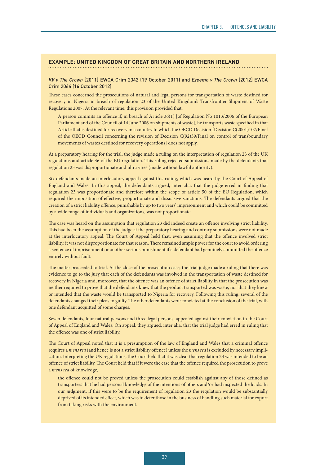#### **EXAMPLE: UNITED KINGDOM OF GREAT BRITAIN AND NORTHERN IRELAND**

## *KV v The Crown* [2011] EWCA Crim 2342 (19 October 2011) and *Ezeemo v The Crown* [2012] EWCA Crim 2064 (16 October 2012)

These cases concerned the prosecutions of natural and legal persons for transportation of waste destined for recovery in Nigeria in breach of regulation 23 of the United Kingdom's Transfrontier Shipment of Waste Regulations 2007. At the relevant time, this provision provided that:

 A person commits an offence if, in breach of Article 36(1) [of Regulation No 1013/2006 of the European Parliament and of the Council of 14 June 2006 on shipments of waste], he transports waste specified in that Article that is destined for recovery in a country to which the OECD Decision [Decision C(2001)107/Final of the OECD Council concerning the revision of Decision C(92)39/Final on control of transboundary movements of wastes destined for recovery operations] does not apply.

At a preparatory hearing for the trial, the judge made a ruling on the interpretation of regulation 23 of the UK regulations and article 36 of the EU regulation. This ruling rejected submissions made by the defendants that regulation 23 was disproportionate and ultra vires (made without lawful authority).

Six defendants made an interlocutory appeal against this ruling, which was heard by the Court of Appeal of England and Wales. In this appeal, the defendants argued, inter alia, that the judge erred in finding that regulation 23 was proportionate and therefore within the scope of article 50 of the EU Regulation, which required the imposition of effective, proportionate and dissuasive sanctions. The defendants argued that the creation of a strict liability offence, punishable by up to two years' imprisonment and which could be committed by a wide range of individuals and organizations, was not proportionate.

The case was heard on the assumption that regulation 23 did indeed create an offence involving strict liability. This had been the assumption of the judge at the preparatory hearing and contrary submissions were not made at the interlocutory appeal. The Court of Appeal held that, even assuming that the offence involved strict liability, it was not disproportionate for that reason. There remained ample power for the court to avoid ordering a sentence of imprisonment or another serious punishment if a defendant had genuinely committed the offence entirely without fault.

The matter proceeded to trial. At the close of the prosecution case, the trial judge made a ruling that there was evidence to go to the jury that each of the defendants was involved in the transportation of waste destined for recovery in Nigeria and, moreover, that the offence was an offence of strict liability in that the prosecution was neither required to prove that the defendants knew that the product transported was waste, nor that they knew or intended that the waste would be transported to Nigeria for recovery. Following this ruling, several of the defendants changed their pleas to guilty. The other defendants were convicted at the conclusion of the trial, with one defendant acquitted of some charges.

Seven defendants, four natural persons and three legal persons, appealed against their conviction in the Court of Appeal of England and Wales. On appeal, they argued, inter alia, that the trial judge had erred in ruling that the offence was one of strict liability.

The Court of Appeal noted that it is a presumption of the law of England and Wales that a criminal offence requires a *mens rea* (and hence is not a strict liability offence) unless the *mens rea* is excluded by necessary implication. Interpreting the UK regulations, the Court held that it was clear that regulation 23 was intended to be an offence of strict liability. The Court held that if it were the case that the offence required the prosecution to prove a *mens rea* of knowledge,

 the offence could not be proved unless the prosecution could establish against any of those defined as transporters that he had personal knowledge of the intentions of others and/or had inspected the loads. In our judgment, if this were to be the requirement of regulation 23 the regulation would be substantially deprived of its intended effect, which was to deter those in the business of handling such material for export from taking risks with the environment.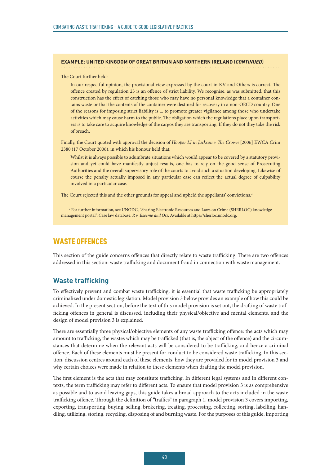#### **EXAMPLE: UNITED KINGDOM OF GREAT BRITAIN AND NORTHERN IRELAND (***CONTINUED***)**

The Court further held:

 In our respectful opinion, the provisional view expressed by the court in KV and Others is correct. The offence created by regulation 23 is an offence of strict liability. We recognise, as was submitted, that this construction has the effect of catching those who may have no personal knowledge that a container contains waste or that the contents of the container were destined for recovery in a non-OECD country. One of the reasons for imposing strict liability is ... to promote greater vigilance among those who undertake activities which may cause harm to the public. The obligation which the regulations place upon transporters is to take care to acquire knowledge of the cargos they are transporting. If they do not they take the risk of breach.

Finally, the Court quoted with approval the decision of *Hooper LJ in Jackson v The Crown* [2006] EWCA Crim 2380 (17 October 2006), in which his honour held that:

 Whilst it is always possible to adumbrate situations which would appear to be covered by a statutory provision and yet could have manifestly unjust results, one has to rely on the good sense of Prosecuting Authorities and the overall supervisory role of the courts to avoid such a situation developing. Likewise of course the penalty actually imposed in any particular case can reflect the actual degree of culpability involved in a particular case.

The Court rejected this and the other grounds for appeal and upheld the appellants' convictions.*<sup>a</sup>*

*a* For further information, see UNODC, "Sharing Electronic Resources and Laws on Crime (SHERLOC) knowledge management portal", Case law database, *R v. Ezeemo and Ors*. Available at https://sherloc.unodc.org.

# WASTE OFFENCES

This section of the guide concerns offences that directly relate to waste trafficking. There are two offences addressed in this section: waste trafficking and document fraud in connection with waste management.

# **Waste trafficking**

To effectively prevent and combat waste trafficking, it is essential that waste trafficking be appropriately criminalized under domestic legislation. Model provision 3 below provides an example of how this could be achieved. In the present section, before the text of this model provision is set out, the drafting of waste trafficking offences in general is discussed, including their physical/objective and mental elements, and the design of model provision 3 is explained.

There are essentially three physical/objective elements of any waste trafficking offence: the acts which may amount to trafficking, the wastes which may be trafficked (that is, the object of the offence) and the circumstances that determine when the relevant acts will be considered to be trafficking, and hence a criminal offence. Each of these elements must be present for conduct to be considered waste trafficking. In this section, discussion centres around each of these elements, how they are provided for in model provision 3 and why certain choices were made in relation to these elements when drafting the model provision.

The first element is the acts that may constitute trafficking. In different legal systems and in different contexts, the term trafficking may refer to different acts. To ensure that model provision 3 is as comprehensive as possible and to avoid leaving gaps, this guide takes a broad approach to the acts included in the waste trafficking offence. Through the definition of "traffics" in paragraph 1, model provision 3 covers importing, exporting, transporting, buying, selling, brokering, treating, processing, collecting, sorting, labelling, handling, utilizing, storing, recycling, disposing of and burning waste. For the purposes of this guide, importing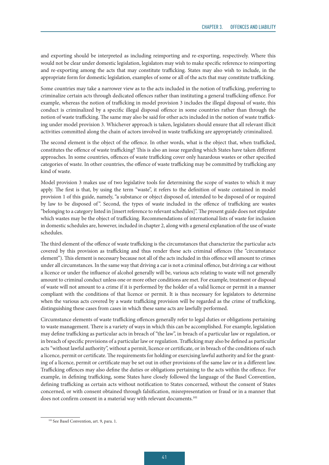and exporting should be interpreted as including reimporting and re-exporting, respectively. Where this would not be clear under domestic legislation, legislators may wish to make specific reference to reimporting and re-exporting among the acts that may constitute trafficking. States may also wish to include, in the appropriate form for domestic legislation, examples of some or all of the acts that may constitute trafficking.

Some countries may take a narrower view as to the acts included in the notion of trafficking, preferring to criminalize certain acts through dedicated offences rather than instituting a general trafficking offence. For example, whereas the notion of trafficking in model provision 3 includes the illegal disposal of waste, this conduct is criminalized by a specific illegal disposal offence in some countries rather than through the notion of waste trafficking. The same may also be said for other acts included in the notion of waste trafficking under model provision 3. Whichever approach is taken, legislators should ensure that all relevant illicit activities committed along the chain of actors involved in waste trafficking are appropriately criminalized.

The second element is the object of the offence. In other words, what is the object that, when trafficked, constitutes the offence of waste trafficking? This is also an issue regarding which States have taken different approaches. In some countries, offences of waste trafficking cover only hazardous wastes or other specified categories of waste. In other countries, the offence of waste trafficking may be committed by trafficking any kind of waste.

Model provision 3 makes use of two legislative tools for determining the scope of wastes to which it may apply. The first is that, by using the term "waste", it refers to the definition of waste contained in model provision 1 of this guide, namely, "a substance or object disposed of, intended to be disposed of or required by law to be disposed of". Second, the types of waste included in the offence of trafficking are wastes "belonging to a category listed in [insert reference to relevant schedules]". The present guide does not stipulate which wastes may be the object of trafficking. Recommendations of international lists of waste for inclusion in domestic schedules are, however, included in chapter 2, along with a general explanation of the use of waste schedules.

The third element of the offence of waste trafficking is the circumstances that characterize the particular acts covered by this provision as trafficking and thus render these acts criminal offences (the "circumstance element"). This element is necessary because not all of the acts included in this offence will amount to crimes under all circumstances. In the same way that driving a car is not a criminal offence, but driving a car without a licence or under the influence of alcohol generally will be, various acts relating to waste will not generally amount to criminal conduct unless one or more other conditions are met. For example, treatment or disposal of waste will not amount to a crime if it is performed by the holder of a valid licence or permit in a manner compliant with the conditions of that licence or permit. It is thus necessary for legislators to determine when the various acts covered by a waste trafficking provision will be regarded as the crime of trafficking, distinguishing these cases from cases in which these same acts are lawfully performed.

Circumstance elements of waste trafficking offences generally refer to legal duties or obligations pertaining to waste management. There is a variety of ways in which this can be accomplished. For example, legislation may define trafficking as particular acts in breach of "the law", in breach of a particular law or regulation, or in breach of specific provisions of a particular law or regulation. Trafficking may also be defined as particular acts "without lawful authority", without a permit, licence or certificate, or in breach of the conditions of such a licence, permit or certificate. The requirements for holding or exercising lawful authority and for the granting of a licence, permit or certificate may be set out in other provisions of the same law or in a different law. Trafficking offences may also define the duties or obligations pertaining to the acts within the offence. For example, in defining trafficking, some States have closely followed the language of the Basel Convention, defining trafficking as certain acts without notification to States concerned, without the consent of States concerned, or with consent obtained through falsification, misrepresentation or fraud or in a manner that does not confirm consent in a material way with relevant documents.<sup>101</sup>

<sup>&</sup>lt;sup>101</sup> See Basel Convention, art. 9, para. 1.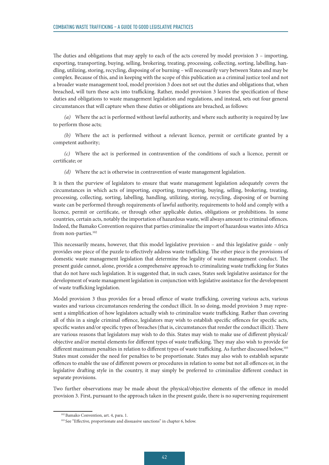The duties and obligations that may apply to each of the acts covered by model provision 3 – importing, exporting, transporting, buying, selling, brokering, treating, processing, collecting, sorting, labelling, handling, utilizing, storing, recycling, disposing of or burning – will necessarily vary between States and may be complex. Because of this, and in keeping with the scope of this publication as a criminal justice tool and not a broader waste management tool, model provision 3 does not set out the duties and obligations that, when breached, will turn these acts into trafficking. Rather, model provision 3 leaves the specification of these duties and obligations to waste management legislation and regulations, and instead, sets out four general circumstances that will capture when these duties or obligations are breached, as follows:

*(a)* Where the act is performed without lawful authority, and where such authority is required by law to perform those acts;

*(b)* Where the act is performed without a relevant licence, permit or certificate granted by a competent authority;

*(c)* Where the act is performed in contravention of the conditions of such a licence, permit or certificate; or

*(d)* Where the act is otherwise in contravention of waste management legislation.

It is then the purview of legislators to ensure that waste management legislation adequately covers the circumstances in which acts of importing, exporting, transporting, buying, selling, brokering, treating, processing, collecting, sorting, labelling, handling, utilizing, storing, recycling, disposing of or burning waste can be performed through requirements of lawful authority, requirements to hold and comply with a licence, permit or certificate, or through other applicable duties, obligations or prohibitions. In some countries, certain acts, notably the importation of hazardous waste, will always amount to criminal offences. Indeed, the Bamako Convention requires that parties criminalize the import of hazardous wastes into Africa from non-parties.<sup>102</sup>

This necessarily means, however, that this model legislative provision – and this legislative guide – only provides one piece of the puzzle to effectively address waste trafficking. The other piece is the provisions of domestic waste management legislation that determine the legality of waste management conduct. The present guide cannot, alone, provide a comprehensive approach to criminalizing waste trafficking for States that do not have such legislation. It is suggested that, in such cases, States seek legislative assistance for the development of waste management legislation in conjunction with legislative assistance for the development of waste trafficking legislation.

Model provision 3 thus provides for a broad offence of waste trafficking, covering various acts, various wastes and various circumstances rendering the conduct illicit. In so doing, model provision 3 may represent a simplification of how legislators actually wish to criminalize waste trafficking. Rather than covering all of this in a single criminal offence, legislators may wish to establish specific offences for specific acts, specific wastes and/or specific types of breaches (that is, circumstances that render the conduct illicit). There are various reasons that legislators may wish to do this. States may wish to make use of different physical/ objective and/or mental elements for different types of waste trafficking. They may also wish to provide for different maximum penalties in relation to different types of waste trafficking. As further discussed below,<sup>103</sup> States must consider the need for penalties to be proportionate. States may also wish to establish separate offences to enable the use of different powers or procedures in relation to some but not all offences or, in the legislative drafting style in the country, it may simply be preferred to criminalize different conduct in separate provisions.

Two further observations may be made about the physical/objective elements of the offence in model provision 3. First, pursuant to the approach taken in the present guide, there is no supervening requirement

<sup>102</sup> Bamako Convention, art. 4, para. 1.

<sup>&</sup>lt;sup>103</sup> See "Effective, proportionate and dissuasive sanctions" in chapter 6, below.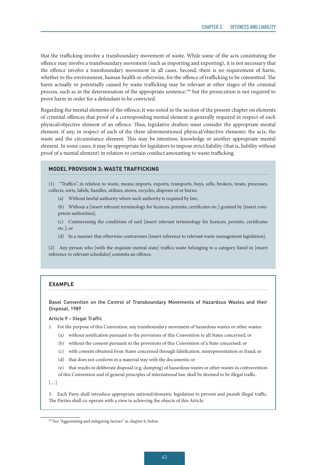that the trafficking involve a transboundary movement of waste. While some of the acts constituting the offence may involve a transboundary movement (such as importing and exporting), it is not necessary that the offence involve a transboundary movement in all cases. Second, there is no requirement of harm, whether to the environment, human health or otherwise, for the offence of trafficking to be committed. The harm actually or potentially caused by waste trafficking may be relevant at other stages of the criminal process, such as in the determination of the appropriate sentence,<sup>104</sup> but the prosecution is not required to prove harm in order for a defendant to be convicted.

Regarding the mental elements of the offence, it was noted in the section of the present chapter on elements of criminal offences that proof of a corresponding mental element is generally required in respect of each physical/objective element of an offence. Thus, legislative drafters must consider the appropriate mental element, if any, in respect of each of the three aforementioned physical/objective elements: the acts, the waste and the circumstance element. This may be intention, knowledge or another appropriate mental element. In some cases, it may be appropriate for legislators to impose strict liability (that is, liability without proof of a mental element) in relation to certain conduct amounting to waste trafficking.

## **MODEL PROVISION 3: WASTE TRAFFICKING**

(1) "Traffics", in relation to waste, means imports, exports, transports, buys, sells, brokers, treats, processes, collects, sorts, labels, handles, utilizes, stores, recycles, disposes of or burns:

(a) Without lawful authority where such authority is required by law;

(b) Without a [insert relevant terminology for licences, permits, certificates etc.] granted by [insert competent authorities];

(c) Contravening the conditions of said [insert relevant terminology for licences, permits, certificates etc.]; or

(d) In a manner that otherwise contravenes [insert reference to relevant waste management legislation].

(2) Any person who [with the requisite mental state] traffics waste belonging to a category listed in [insert reference to relevant schedules] commits an offence.

## **EXAMPLE**

Basel Convention on the Control of Transboundary Movements of Hazardous Wastes and their Disposal, 1989

#### Article 9 – Illegal Traffic

1. For the purpose of this Convention, any transboundary movement of hazardous wastes or other wastes:

- (a) without notification pursuant to the provisions of this Convention to all States concerned; or
- (b) without the consent pursuant to the provisions of this Convention of a State concerned; or
- (c) with consent obtained from States concerned through falsification, misrepresentation or fraud; or
- (d) that does not conform in a material way with the documents; or

(e) that results in deliberate disposal (e.g. dumping) of hazardous wastes or other wastes in contravention of this Convention and of general principles of international law, shall be deemed to be illegal traffic.

[…]

5. Each Party shall introduce appropriate national/domestic legislation to prevent and punish illegal traffic. The Parties shall co-operate with a view to achieving the objects of this Article.

<sup>104</sup> See "Aggravating and mitigating factors" in chapter 6, below.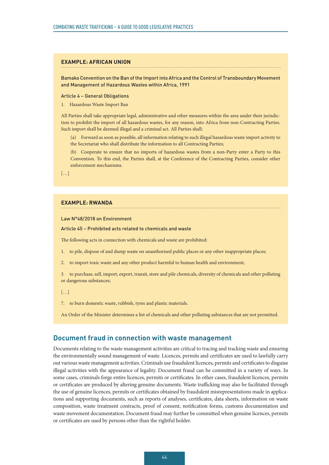#### **EXAMPLE: AFRICAN UNION**

Bamako Convention on the Ban of the Import into Africa and the Control of Transboundary Movement and Management of Hazardous Wastes within Africa, 1991

Article 4 – General Obligations

1. Hazardous Waste Import Ban

All Parties shall take appropriate legal, administrative and other measures within the area under their jurisdiction to prohibit the import of all hazardous wastes, for any reason, into Africa from non-Contracting Parties. Such import shall be deemed illegal and a criminal act. All Parties shall:

(a) Forward as soon as possible, all information relating to such illegal hazardous waste import activity to the Secretariat who shall distribute the information to all Contracting Parties;

(b) Cooperate to ensure that no imports of hazardous wastes from a non-Party enter a Party to this Convention. To this end, the Parties shall, at the Conference of the Contracting Parties, consider other enforcement mechanisms.

[…]

#### **EXAMPLE: RWANDA**

#### Law N°48/2018 on Environment

#### Article 45 – Prohibited acts related to chemicals and waste

The following acts in connection with chemicals and waste are prohibited:

- 1. to pile, dispose of and dump waste on unauthorised public places or any other inappropriate places;
- 2. to import toxic waste and any other product harmful to human health and environment;

3. to purchase, sell, import, export, transit, store and pile chemicals, diversity of chemicals and other polluting or dangerous substances;

[…]

7. to burn domestic waste, rubbish, tyres and plastic materials.

An Order of the Minister determines a list of chemicals and other polluting substances that are not permitted.

# **Document fraud in connection with waste management**

Documents relating to the waste management activities are critical to tracing and tracking waste and ensuring the environmentally sound management of waste. Licences, permits and certificates are used to lawfully carry out various waste management activities. Criminals use fraudulent licences, permits and certificates to disguise illegal activities with the appearance of legality. Document fraud can be committed in a variety of ways. In some cases, criminals forge entire licences, permits or certificates. In other cases, fraudulent licences, permits or certificates are produced by altering genuine documents. Waste trafficking may also be facilitated through the use of genuine licences, permits or certificates obtained by fraudulent misrepresentations made in applications and supporting documents, such as reports of analyses, certificates, data sheets, information on waste composition, waste treatment contracts, proof of consent, notification forms, customs documentation and waste movement documentation. Document fraud may further be committed when genuine licences, permits or certificates are used by persons other than the rightful holder.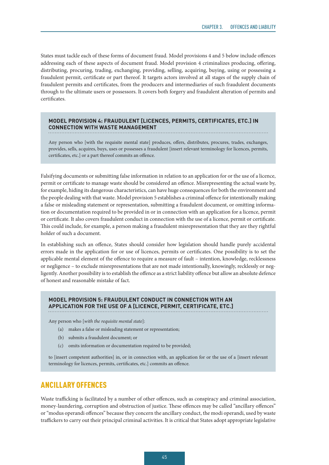States must tackle each of these forms of document fraud. Model provisions 4 and 5 below include offences addressing each of these aspects of document fraud. Model provision 4 criminalizes producing, offering, distributing, procuring, trading, exchanging, providing, selling, acquiring, buying, using or possessing a fraudulent permit, certificate or part thereof. It targets actors involved at all stages of the supply chain of fraudulent permits and certificates, from the producers and intermediaries of such fraudulent documents through to the ultimate users or possessors. It covers both forgery and fraudulent alteration of permits and certificates.

# **MODEL PROVISION 4: FRAUDULENT [LICENCES, PERMITS, CERTIFICATES, ETC.] IN CONNECTION WITH WASTE MANAGEMENT**

Any person who [with the requisite mental state] produces, offers, distributes, procures, trades, exchanges, provides, sells, acquires, buys, uses or possesses a fraudulent [insert relevant terminology for licences, permits, certificates, etc.] or a part thereof commits an offence.

Falsifying documents or submitting false information in relation to an application for or the use of a licence, permit or certificate to manage waste should be considered an offence. Misrepresenting the actual waste by, for example, hiding its dangerous characteristics, can have huge consequences for both the environment and the people dealing with that waste. Model provision 5 establishes a criminal offence for intentionally making a false or misleading statement or representation, submitting a fraudulent document, or omitting information or documentation required to be provided in or in connection with an application for a licence, permit or certificate. It also covers fraudulent conduct in connection with the use of a licence, permit or certificate. This could include, for example, a person making a fraudulent misrepresentation that they are they rightful holder of such a document.

In establishing such an offence, States should consider how legislation should handle purely accidental errors made in the application for or use of licences, permits or certificates. One possibility is to set the applicable mental element of the offence to require a measure of fault – intention, knowledge, recklessness or negligence – to exclude misrepresentations that are not made intentionally, knowingly, recklessly or negligently. Another possibility is to establish the offence as a strict liability offence but allow an absolute defence of honest and reasonable mistake of fact.

# **MODEL PROVISION 5: FRAUDULENT CONDUCT IN CONNECTION WITH AN APPLICATION FOR THE USE OF A [LICENCE, PERMIT, CERTIFICATE, ETC.]**

Any person who [*with the requisite mental state*]:

- (a) makes a false or misleading statement or representation;
- (b) submits a fraudulent document; or
- (c) omits information or documentation required to be provided;

to [insert competent authorities] in, or in connection with, an application for or the use of a [insert relevant terminology for licences, permits, certificates, etc.] commits an offence.

# ANCILLARY OFFENCES

Waste trafficking is facilitated by a number of other offences, such as conspiracy and criminal association, money-laundering, corruption and obstruction of justice. These offences may be called "ancillary offences" or "modus operandi offences" because they concern the ancillary conduct, the modi operandi, used by waste traffickers to carry out their principal criminal activities. It is critical that States adopt appropriate legislative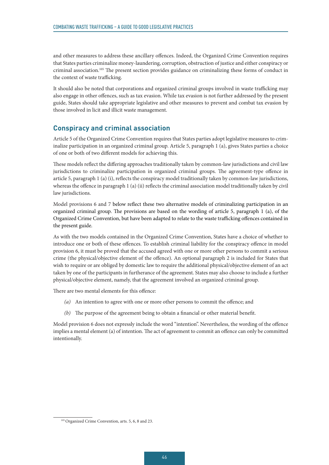and other measures to address these ancillary offences. Indeed, the Organized Crime Convention requires that States parties criminalize money-laundering, corruption, obstruction of justice and either conspiracy or criminal association.105 The present section provides guidance on criminalizing these forms of conduct in the context of waste trafficking.

It should also be noted that corporations and organized criminal groups involved in waste trafficking may also engage in other offences, such as tax evasion. While tax evasion is not further addressed by the present guide, States should take appropriate legislative and other measures to prevent and combat tax evasion by those involved in licit and illicit waste management.

# **Conspiracy and criminal association**

Article 5 of the Organized Crime Convention requires that States parties adopt legislative measures to criminalize participation in an organized criminal group. Article 5, paragraph 1 (a), gives States parties a choice of one or both of two different models for achieving this.

These models reflect the differing approaches traditionally taken by common-law jurisdictions and civil law jurisdictions to criminalize participation in organized criminal groups. The agreement-type offence in article 5, paragraph 1 (a) (i), reflects the conspiracy model traditionally taken by common-law jurisdictions, whereas the offence in paragraph 1 (a) (ii) reflects the criminal association model traditionally taken by civil law jurisdictions.

Model provisions 6 and 7 below reflect these two alternative models of criminalizing participation in an organized criminal group. The provisions are based on the wording of article 5, paragraph 1 (a), of the Organized Crime Convention, but have been adapted to relate to the waste trafficking offences contained in the present guide.

As with the two models contained in the Organized Crime Convention, States have a choice of whether to introduce one or both of these offences. To establish criminal liability for the conspiracy offence in model provision 6, it must be proved that the accused agreed with one or more other persons to commit a serious crime (the physical/objective element of the offence). An optional paragraph 2 is included for States that wish to require or are obliged by domestic law to require the additional physical/objective element of an act taken by one of the participants in furtherance of the agreement. States may also choose to include a further physical/objective element, namely, that the agreement involved an organized criminal group.

There are two mental elements for this offence:

- *(a)* An intention to agree with one or more other persons to commit the offence; and
- *(b)* The purpose of the agreement being to obtain a financial or other material benefit.

Model provision 6 does not expressly include the word "intention". Nevertheless, the wording of the offence implies a mental element (a) of intention. The act of agreement to commit an offence can only be committed intentionally.

<sup>&</sup>lt;sup>105</sup> Organized Crime Convention, arts. 5, 6, 8 and 23.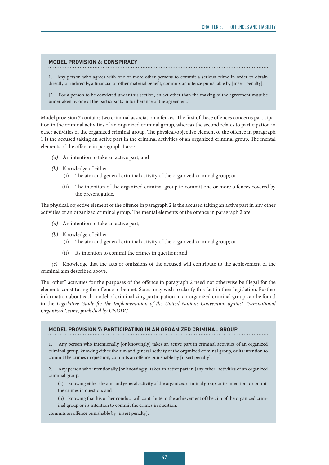## **MODEL PROVISION 6: CONSPIRACY**

1. Any person who agrees with one or more other persons to commit a serious crime in order to obtain directly or indirectly, a financial or other material benefit, commits an offence punishable by [insert penalty].

[2. For a person to be convicted under this section, an act other than the making of the agreement must be undertaken by one of the participants in furtherance of the agreement.]

Model provision 7 contains two criminal association offences. The first of these offences concerns participation in the criminal activities of an organized criminal group, whereas the second relates to participation in other activities of the organized criminal group. The physical/objective element of the offence in paragraph 1 is the accused taking an active part in the criminal activities of an organized criminal group. The mental elements of the offence in paragraph 1 are :

- *(a)* An intention to take an active part; and
- *(b)* Knowledge of either:
	- (i) The aim and general criminal activity of the organized criminal group; or
	- (ii) The intention of the organized criminal group to commit one or more offences covered by the present guide.

The physical/objective element of the offence in paragraph 2 is the accused taking an active part in any other activities of an organized criminal group. The mental elements of the offence in paragraph 2 are:

- *(a)* An intention to take an active part;
- *(b)* Knowledge of either:
	- (i) The aim and general criminal activity of the organized criminal group; or
	- (ii) Its intention to commit the crimes in question; and

*(c)* Knowledge that the acts or omissions of the accused will contribute to the achievement of the criminal aim described above.

The "other" activities for the purposes of the offence in paragraph 2 need not otherwise be illegal for the elements constituting the offence to be met. States may wish to clarify this fact in their legislation. Further information about each model of criminalizing participation in an organized criminal group can be found in the *Legislative Guide for the Implementation of the United Nations Convention against Transnational Organized Crime, published by UNODC.*

## **MODEL PROVISION 7: PARTICIPATING IN AN ORGANIZED CRIMINAL GROUP**

1. Any person who intentionally [or knowingly] takes an active part in criminal activities of an organized criminal group, knowing either the aim and general activity of the organized criminal group, or its intention to commit the crimes in question, commits an offence punishable by [insert penalty].

2. Any person who intentionally [or knowingly] takes an active part in [any other] activities of an organized criminal group:

- (a) knowing either the aim and general activity of the organized criminal group, or its intention to commit the crimes in question; and
- (b) knowing that his or her conduct will contribute to the achievement of the aim of the organized criminal group or its intention to commit the crimes in question;

commits an offence punishable by [insert penalty].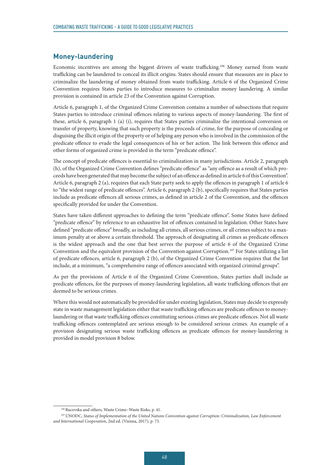# **Money-laundering**

Economic incentives are among the biggest drivers of waste trafficking.106 Money earned from waste trafficking can be laundered to conceal its illicit origins. States should ensure that measures are in place to criminalize the laundering of money obtained from waste trafficking. Article 6 of the Organized Crime Convention requires States parties to introduce measures to criminalize money laundering. A similar provision is contained in article 23 of the Convention against Corruption.

Article 6, paragraph 1, of the Organized Crime Convention contains a number of subsections that require States parties to introduce criminal offences relating to various aspects of money-laundering. The first of these, article 6, paragraph 1 (a) (i), requires that States parties criminalize the intentional conversion or transfer of property, knowing that such property is the proceeds of crime, for the purpose of concealing or disguising the illicit origin of the property or of helping any person who is involved in the commission of the predicate offence to evade the legal consequences of his or her action. The link between this offence and other forms of organized crime is provided in the term "predicate offence".

The concept of predicate offences is essential to criminalization in many jurisdictions. Article 2, paragraph (h), of the Organized Crime Convention defines "predicate offence" as "any offence as a result of which proceeds have been generated that may become the subject of an offence as defined in article 6 of this Convention". Article 6, paragraph 2 (a), requires that each State party seek to apply the offences in paragraph 1 of article 6 to "the widest range of predicate offences". Article 6, paragraph 2 (b), specifically requires that States parties include as predicate offences all serious crimes, as defined in article 2 of the Convention, and the offences specifically provided for under the Convention.

States have taken different approaches to defining the term "predicate offence". Some States have defined "predicate offence" by reference to an exhaustive list of offences contained in legislation. Other States have defined "predicate offence" broadly, as including all crimes, all serious crimes, or all crimes subject to a maximum penalty at or above a certain threshold. The approach of designating all crimes as predicate offences is the widest approach and the one that best serves the purpose of article 6 of the Organized Crime Convention and the equivalent provision of the Convention against Corruption.107 For States utilizing a list of predicate offences, article 6, paragraph 2 (b), of the Organized Crime Convention requires that the list include, at a minimum, "a comprehensive range of offences associated with organized criminal groups".

As per the provisions of Article 6 of the Organized Crime Convention, States parties shall include as predicate offences, for the purposes of money-laundering legislation, all waste trafficking offences that are deemed to be serious crimes.

Where this would not automatically be provided for under existing legislation, States may decide to expressly state in waste management legislation either that waste trafficking offences are predicate offences to moneylaundering or that waste trafficking offences constituting serious crimes are predicate offences. Not all waste trafficking offences contemplated are serious enough to be considered serious crimes. An example of a provision designating serious waste trafficking offences as predicate offences for money-laundering is provided in model provision 8 below.

<sup>106</sup> Rucevska and others, Waste Crime–Waste Risks, p. 41.

<sup>107</sup> UNODC, *Status of Implementation of the United Nations Convention against Corruption: Criminalization, Law Enforcement and International Cooperation*, 2nd ed. (Vienna, 2017), p. 73.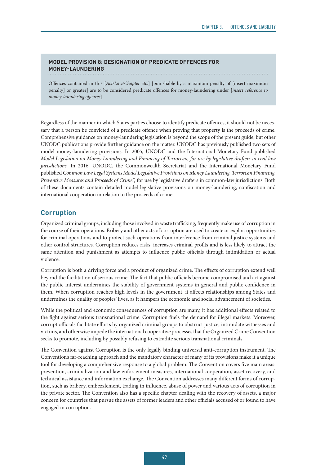#### **MODEL PROVISION 8: DESIGNATION OF PREDICATE OFFENCES FOR MONEY-LAUNDERING**

Offences contained in this [*Act/Law/Chapter etc.*] [punishable by a maximum penalty of [insert maximum penalty] or greater] are to be considered predicate offences for money-laundering under [*insert reference to money-laundering offences*].

Regardless of the manner in which States parties choose to identify predicate offences, it should not be necessary that a person be convicted of a predicate offence when proving that property is the proceeds of crime. Comprehensive guidance on money-laundering legislation is beyond the scope of the present guide, but other UNODC publications provide further guidance on the matter. UNODC has previously published two sets of model money-laundering provisions. In 2005, UNODC and the International Monetary Fund published *Model Legislation on Money Laundering and Financing of Terrorism, for use by legislative drafters in civil law jurisdictions.* In 2016, UNODC, the Commonwealth Secretariat and the International Monetary Fund published *Common Law Legal Systems Model Legislative Provisions on Money Laundering, Terrorism Financing, Preventive Measures and Proceeds of Crime",* for use by legislative drafters in common-law jurisdictions. Both of these documents contain detailed model legislative provisions on money-laundering, confiscation and international cooperation in relation to the proceeds of crime.

# **Corruption**

Organized criminal groups, including those involved in waste trafficking, frequently make use of corruption in the course of their operations. Bribery and other acts of corruption are used to create or exploit opportunities for criminal operations and to protect such operations from interference from criminal justice systems and other control structures. Corruption reduces risks, increases criminal profits and is less likely to attract the same attention and punishment as attempts to influence public officials through intimidation or actual violence.

Corruption is both a driving force and a product of organized crime. The effects of corruption extend well beyond the facilitation of serious crime. The fact that public officials become compromised and act against the public interest undermines the stability of government systems in general and public confidence in them. When corruption reaches high levels in the government, it affects relationships among States and undermines the quality of peoples' lives, as it hampers the economic and social advancement of societies.

While the political and economic consequences of corruption are many, it has additional effects related to the fight against serious transnational crime. Corruption fuels the demand for illegal markets. Moreover, corrupt officials facilitate efforts by organized criminal groups to obstruct justice, intimidate witnesses and victims, and otherwise impede the international cooperative processes that the Organized Crime Convention seeks to promote, including by possibly refusing to extradite serious transnational criminals.

The Convention against Corruption is the only legally binding universal anti-corruption instrument. The Convention's far-reaching approach and the mandatory character of many of its provisions make it a unique tool for developing a comprehensive response to a global problem. The Convention covers five main areas: prevention, criminalization and law enforcement measures, international cooperation, asset recovery, and technical assistance and information exchange. The Convention addresses many different forms of corruption, such as bribery, embezzlement, trading in influence, abuse of power and various acts of corruption in the private sector. The Convention also has a specific chapter dealing with the recovery of assets, a major concern for countries that pursue the assets of former leaders and other officials accused of or found to have engaged in corruption.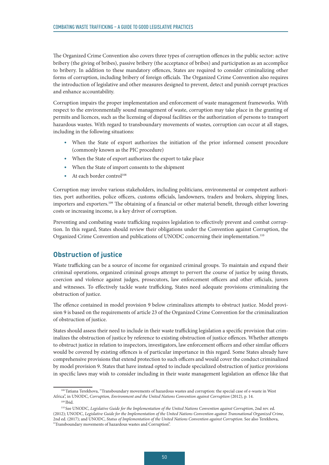The Organized Crime Convention also covers three types of corruption offences in the public sector: active bribery (the giving of bribes), passive bribery (the acceptance of bribes) and participation as an accomplice to bribery. In addition to these mandatory offences, States are required to consider criminalizing other forms of corruption, including bribery of foreign officials. The Organized Crime Convention also requires the introduction of legislative and other measures designed to prevent, detect and punish corrupt practices and enhance accountability.

Corruption impairs the proper implementation and enforcement of waste management frameworks. With respect to the environmentally sound management of waste, corruption may take place in the granting of permits and licences, such as the licensing of disposal facilities or the authorization of persons to transport hazardous wastes. With regard to transboundary movements of wastes, corruption can occur at all stages, including in the following situations:

- When the State of export authorizes the initiation of the prior informed consent procedure (commonly known as the PIC procedure)
- When the State of export authorizes the export to take place
- When the State of import consents to the shipment
- At each border control<sup>108</sup>

Corruption may involve various stakeholders, including politicians, environmental or competent authorities, port authorities, police officers, customs officials, landowners, traders and brokers, shipping lines, importers and exporters.109 The obtaining of a financial or other material benefit, through either lowering costs or increasing income, is a key driver of corruption.

Preventing and combating waste trafficking requires legislation to effectively prevent and combat corruption. In this regard, States should review their obligations under the Convention against Corruption, the Organized Crime Convention and publications of UNODC concerning their implementation.110

# **Obstruction of justice**

Waste trafficking can be a source of income for organized criminal groups. To maintain and expand their criminal operations, organized criminal groups attempt to pervert the course of justice by using threats, coercion and violence against judges, prosecutors, law enforcement officers and other officials, jurors and witnesses. To effectively tackle waste trafficking, States need adequate provisions criminalizing the obstruction of justice.

The offence contained in model provision 9 below criminalizes attempts to obstruct justice. Model provision 9 is based on the requirements of article 23 of the Organized Crime Convention for the criminalization of obstruction of justice.

States should assess their need to include in their waste trafficking legislation a specific provision that criminalizes the obstruction of justice by reference to existing obstruction of justice offences. Whether attempts to obstruct justice in relation to inspectors, investigators, law enforcement officers and other similar officers would be covered by existing offences is of particular importance in this regard. Some States already have comprehensive provisions that extend protection to such officers and would cover the conduct criminalized by model provision 9. States that have instead opted to include specialized obstruction of justice provisions in specific laws may wish to consider including in their waste management legislation an offence like that

<sup>108</sup> Tatiana Terekhova, "Transboundary movements of hazardous wastes and corruption: the special case of e-waste in West Africa", in UNODC, *Corruption, Environment and the United Nations Convention against Corruption* (2012), p. 14. 109 Ibid.

<sup>110</sup> See UNODC, *Legislative Guide for the Implementation of the United Nations Convention against Corruption*, 2nd rev. ed. (2012); UNODC, *Legislative Guide for the Implementation of the United Nations Convention against Transnational Organized Crime*, 2nd ed. (2017); and UNODC, *Status of Implementation of the United Nations Convention against Corruption*. See also Terekhova, "Transboundary movements of hazardous wastes and Corruption".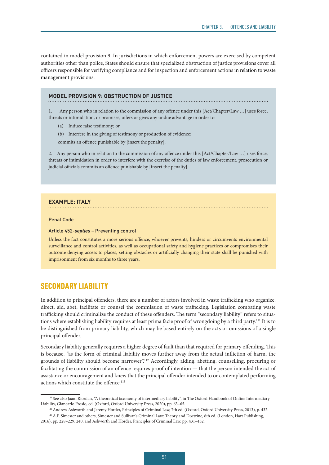contained in model provision 9. In jurisdictions in which enforcement powers are exercised by competent authorities other than police, States should ensure that specialized obstruction of justice provisions cover all officers responsible for verifying compliance and for inspection and enforcement actions in relation to waste management provisions.

## **MODEL PROVISION 9: OBSTRUCTION OF JUSTICE**

Any person who in relation to the commission of any offence under this [Act/Chapter/Law ...] uses force, threats or intimidation, or promises, offers or gives any undue advantage in order to:

(a) Induce false testimony; or

(b) Interfere in the giving of testimony or production of evidence;

commits an offence punishable by [insert the penalty].

2. Any person who in relation to the commission of any offence under this [Act/Chapter/Law …] uses force, threats or intimidation in order to interfere with the exercise of the duties of law enforcement, prosecution or judicial officials commits an offence punishable by [insert the penalty].

## **EXAMPLE: ITALY**

#### Penal Code

#### Article 452-*septies* – Preventing control

Unless the fact constitutes a more serious offence, whoever prevents, hinders or circumvents environmental surveillance and control activities, as well as occupational safety and hygiene practices or compromises their outcome denying access to places, setting obstacles or artificially changing their state shall be punished with imprisonment from six months to three years.

# SECONDARY LIABILITY

In addition to principal offenders, there are a number of actors involved in waste trafficking who organize, direct, aid, abet, facilitate or counsel the commission of waste trafficking. Legislation combating waste trafficking should criminalize the conduct of these offenders. The term "secondary liability" refers to situations where establishing liability requires at least prima facie proof of wrongdoing by a third party.<sup>111</sup> It is to be distinguished from primary liability, which may be based entirely on the acts or omissions of a single principal offender.

Secondary liability generally requires a higher degree of fault than that required for primary offending. This is because, "as the form of criminal liability moves further away from the actual infliction of harm, the grounds of liability should become narrower".112 Accordingly, aiding, abetting, counselling, procuring or facilitating the commission of an offence requires proof of intention — that the person intended the act of assistance or encouragement and knew that the principal offender intended to or contemplated performing actions which constitute the offence.<sup>113</sup>

<sup>111</sup> See also Jaani Riordan, "A theoretical taxonomy of intermediary liability", in The Oxford Handbook of Online Intermediary Liability, Giancarlo Frosio, ed. (Oxford, Oxford University Press, 2020), pp. 63–65.

<sup>112</sup> Andrew Ashworth and Jeremy Horder, Principles of Criminal Law, 7th ed. (Oxford, Oxford University Press, 2013), p. 432.

<sup>113</sup> A.P. Simester and others, Simester and Sullivan's Criminal Law: Theory and Doctrine, 6th ed. (London, Hart Publishing,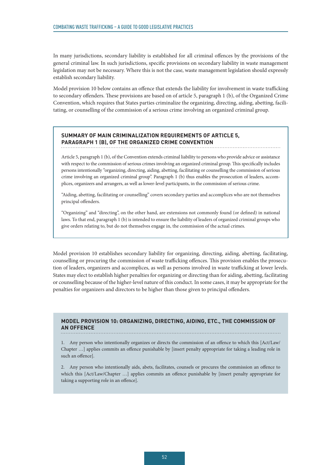In many jurisdictions, secondary liability is established for all criminal offences by the provisions of the general criminal law. In such jurisdictions, specific provisions on secondary liability in waste management legislation may not be necessary. Where this is not the case, waste management legislation should expressly establish secondary liability.

Model provision 10 below contains an offence that extends the liability for involvement in waste trafficking to secondary offenders. These provisions are based on of article 5, paragraph 1 (b), of the Organized Crime Convention, which requires that States parties criminalize the organizing, directing, aiding, abetting, facilitating, or counselling of the commission of a serious crime involving an organized criminal group.

# **SUMMARY OF MAIN CRIMINALIZATION REQUIREMENTS OF ARTICLE 5, PARAGRAPH 1 (B), OF THE ORGANIZED CRIME CONVENTION**

Article 5, paragraph 1 (b), of the Convention extends criminal liability to persons who provide advice or assistance with respect to the commission of serious crimes involving an organized criminal group. This specifically includes persons intentionally "organizing, directing, aiding, abetting, facilitating or counselling the commission of serious crime involving an organized criminal group". Paragraph 1 (b) thus enables the prosecution of leaders, accomplices, organizers and arrangers, as well as lower-level participants, in the commission of serious crime.

"Aiding, abetting, facilitating or counselling" covers secondary parties and accomplices who are not themselves principal offenders.

"Organizing" and "directing", on the other hand, are extensions not commonly found (or defined) in national laws. To that end, paragraph 1 (b) is intended to ensure the liability of leaders of organized criminal groups who give orders relating to, but do not themselves engage in, the commission of the actual crimes.

Model provision 10 establishes secondary liability for organizing, directing, aiding, abetting, facilitating, counselling or procuring the commission of waste trafficking offences. This provision enables the prosecution of leaders, organizers and accomplices, as well as persons involved in waste trafficking at lower levels. States may elect to establish higher penalties for organizing or directing than for aiding, abetting, facilitating or counselling because of the higher-level nature of this conduct. In some cases, it may be appropriate for the penalties for organizers and directors to be higher than those given to principal offenders.

## **MODEL PROVISION 10: ORGANIZING, DIRECTING, AIDING, ETC., THE COMMISSION OF AN OFFENCE**

1. Any person who intentionally organizes or directs the commission of an offence to which this [Act/Law/ Chapter …] applies commits an offence punishable by [insert penalty appropriate for taking a leading role in such an offence].

2. Any person who intentionally aids, abets, facilitates, counsels or procures the commission an offence to which this [Act/Law/Chapter ...] applies commits an offence punishable by [insert penalty appropriate for taking a supporting role in an offence].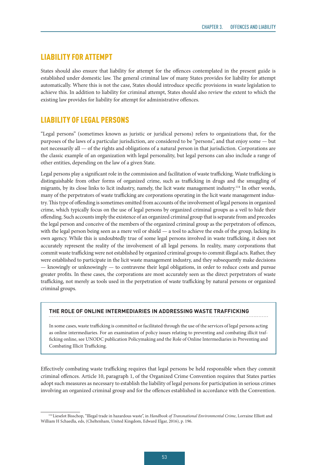# LIABILITY FOR ATTEMPT

States should also ensure that liability for attempt for the offences contemplated in the present guide is established under domestic law. The general criminal law of many States provides for liability for attempt automatically. Where this is not the case, States should introduce specific provisions in waste legislation to achieve this. In addition to liability for criminal attempt, States should also review the extent to which the existing law provides for liability for attempt for administrative offences.

# LIABILITY OF LEGAL PERSONS

"Legal persons" (sometimes known as juristic or juridical persons) refers to organizations that, for the purposes of the laws of a particular jurisdiction, are considered to be "persons", and that enjoy some — but not necessarily all — of the rights and obligations of a natural person in that jurisdiction. Corporations are the classic example of an organization with legal personality, but legal persons can also include a range of other entities, depending on the law of a given State.

Legal persons play a significant role in the commission and facilitation of waste trafficking. Waste trafficking is distinguishable from other forms of organized crime, such as trafficking in drugs and the smuggling of migrants, by its close links to licit industry, namely, the licit waste management industry.114 In other words, many of the perpetrators of waste trafficking are corporations operating in the licit waste management industry. This type of offending is sometimes omitted from accounts of the involvement of legal persons in organized crime, which typically focus on the use of legal persons by organized criminal groups as a veil to hide their offending. Such accounts imply the existence of an organized criminal group that is separate from and precedes the legal person and conceive of the members of the organized criminal group as the perpetrators of offences, with the legal person being seen as a mere veil or shield — a tool to achieve the ends of the group, lacking its own agency. While this is undoubtedly true of some legal persons involved in waste trafficking, it does not accurately represent the reality of the involvement of all legal persons. In reality, many corporations that commit waste trafficking were not established by organized criminal groups to commit illegal acts. Rather, they were established to participate in the licit waste management industry, and they subsequently make decisions — knowingly or unknowingly — to contravene their legal obligations, in order to reduce costs and pursue greater profits. In these cases, the corporations are most accurately seen as the direct perpetrators of waste trafficking, not merely as tools used in the perpetration of waste trafficking by natural persons or organized criminal groups.

# **THE ROLE OF ONLINE INTERMEDIARIES IN ADDRESSING WASTE TRAFFICKING**

In some cases, waste trafficking is committed or facilitated through the use of the services of legal persons acting as online intermediaries. For an examination of policy issues relating to preventing and combating illicit trafficking online, see UNODC publication Policymaking and the Role of Online Intermediaries in Preventing and Combating Illicit Trafficking.

Effectively combating waste trafficking requires that legal persons be held responsible when they commit criminal offences. Article 10, paragraph 1, of the Organized Crime Convention requires that States parties adopt such measures as necessary to establish the liability of legal persons for participation in serious crimes involving an organized criminal group and for the offences established in accordance with the Convention.

<sup>114</sup> Lieselot Bisschop, "Illegal trade in hazardous waste", in *Handbook of Transnational Environmental Crime*, Lorraine Elliott and William H Schaedla, eds, (Cheltenham, United Kingdom, Edward Elgar, 2016), p. 196.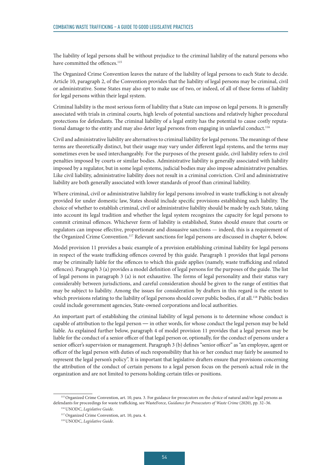The liability of legal persons shall be without prejudice to the criminal liability of the natural persons who have committed the offences.<sup>115</sup>

The Organized Crime Convention leaves the nature of the liability of legal persons to each State to decide. Article 10, paragraph 2, of the Convention provides that the liability of legal persons may be criminal, civil or administrative. Some States may also opt to make use of two, or indeed, of all of these forms of liability for legal persons within their legal system.

Criminal liability is the most serious form of liability that a State can impose on legal persons. It is generally associated with trials in criminal courts, high levels of potential sanctions and relatively higher procedural protections for defendants. The criminal liability of a legal entity has the potential to cause costly reputational damage to the entity and may also deter legal persons from engaging in unlawful conduct.116

Civil and administrative liability are alternatives to criminal liability for legal persons. The meanings of these terms are theoretically distinct, but their usage may vary under different legal systems, and the terms may sometimes even be used interchangeably. For the purposes of the present guide, civil liability refers to civil penalties imposed by courts or similar bodies. Administrative liability is generally associated with liability imposed by a regulator, but in some legal systems, judicial bodies may also impose administrative penalties. Like civil liability, administrative liability does not result in a criminal conviction. Civil and administrative liability are both generally associated with lower standards of proof than criminal liability.

Where criminal, civil or administrative liability for legal persons involved in waste trafficking is not already provided for under domestic law, States should include specific provisions establishing such liability. The choice of whether to establish criminal, civil or administrative liability should be made by each State, taking into account its legal tradition and whether the legal system recognizes the capacity for legal persons to commit criminal offences. Whichever form of liability is established, States should ensure that courts or regulators can impose effective, proportionate and dissuasive sanctions — indeed, this is a requirement of the Organized Crime Convention.<sup>117</sup> Relevant sanctions for legal persons are discussed in chapter 6, below.

Model provision 11 provides a basic example of a provision establishing criminal liability for legal persons in respect of the waste trafficking offences covered by this guide. Paragraph 1 provides that legal persons may be criminally liable for the offences to which this guide applies (namely, waste trafficking and related offences). Paragraph 3 (a) provides a model definition of legal persons for the purposes of the guide. The list of legal persons in paragraph 3 (a) is not exhaustive. The forms of legal personality and their status vary considerably between jurisdictions, and careful consideration should be given to the range of entities that may be subject to liability. Among the issues for consideration by drafters in this regard is the extent to which provisions relating to the liability of legal persons should cover public bodies, if at all.<sup>118</sup> Public bodies could include government agencies, State-owned corporations and local authorities.

An important part of establishing the criminal liability of legal persons is to determine whose conduct is capable of attribution to the legal person — in other words, for whose conduct the legal person may be held liable. As explained further below, paragraph 4 of model provision 11 provides that a legal person may be liable for the conduct of a senior officer of that legal person or, optionally, for the conduct of persons under a senior officer's supervision or management. Paragraph 3 (b) defines "senior officer" as "an employee, agent or officer of the legal person with duties of such responsibility that his or her conduct may fairly be assumed to represent the legal person's policy". It is important that legislative drafters ensure that provisions concerning the attribution of the conduct of certain persons to a legal person focus on the person's actual role in the organization and are not limited to persons holding certain titles or positions.

<sup>115</sup> Organized Crime Convention, art. 10, para. 3. For guidance for prosecutors on the choice of natural and/or legal persons as defendants for proceedings for waste trafficking, see WasteForce, *Guidance for Prosecutors of Waste Crime* (2020), pp. 32–36.

<sup>116</sup> UNODC, *Legislative Guide*.

<sup>117</sup> Organized Crime Convention, art. 10, para. 4.

<sup>118</sup> UNODC, *Legislative Guide*.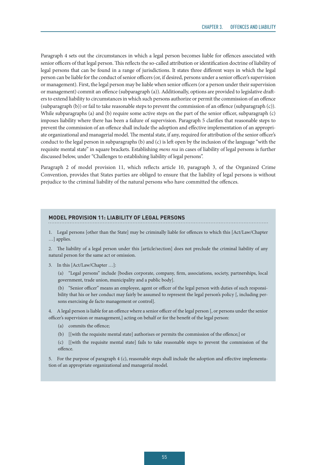Paragraph 4 sets out the circumstances in which a legal person becomes liable for offences associated with senior officers of that legal person. This reflects the so-called attribution or identification doctrine of liability of legal persons that can be found in a range of jurisdictions. It states three different ways in which the legal person can be liable for the conduct of senior officers (or, if desired, persons under a senior officer's supervision or management). First, the legal person may be liable when senior officers (or a person under their supervision or management) commit an offence (subparagraph (a)). Additionally, options are provided to legislative drafters to extend liability to circumstances in which such persons authorize or permit the commission of an offence (subparagraph (b)) or fail to take reasonable steps to prevent the commission of an offence (subparagraph (c)). While subparagraphs (a) and (b) require some active steps on the part of the senior officer, subparagraph (c) imposes liability where there has been a failure of supervision. Paragraph 5 clarifies that reasonable steps to prevent the commission of an offence shall include the adoption and effective implementation of an appropriate organizational and managerial model. The mental state, if any, required for attribution of the senior officer's conduct to the legal person in subparagraphs (b) and (c) is left open by the inclusion of the language "with the requisite mental state" in square brackets. Establishing *mens rea* in cases of liability of legal persons is further discussed below, under "Challenges to establishing liability of legal persons".

Paragraph 2 of model provision 11, which reflects article 10, paragraph 3, of the Organized Crime Convention, provides that States parties are obliged to ensure that the liability of legal persons is without prejudice to the criminal liability of the natural persons who have committed the offences.

## **MODEL PROVISION 11: LIABILITY OF LEGAL PERSONS**

1. Legal persons [other than the State] may be criminally liable for offences to which this [Act/Law/Chapter …] applies.

2. The liability of a legal person under this [article/section] does not preclude the criminal liability of any natural person for the same act or omission.

3. In this [Act/Law/Chapter …]:

(a) "Legal persons" include [bodies corporate, company, firm, associations, society, partnerships, local government, trade union, municipality and a public body].

(b) "Senior officer" means an employee, agent or officer of the legal person with duties of such responsibility that his or her conduct may fairly be assumed to represent the legal person's policy [, including persons exercising de facto management or control].

4. A legal person is liable for an offence where a senior officer of the legal person [, or persons under the senior officer's supervision or management,] acting on behalf or for the benefit of the legal person:

- (a) commits the offence;
- (b) [[with the requisite mental state] authorises or permits the commission of the offence;] or
- (c) [[with the requisite mental state] fails to take reasonable steps to prevent the commission of the offence.

5. For the purpose of paragraph 4 (c), reasonable steps shall include the adoption and effective implementation of an appropriate organizational and managerial model.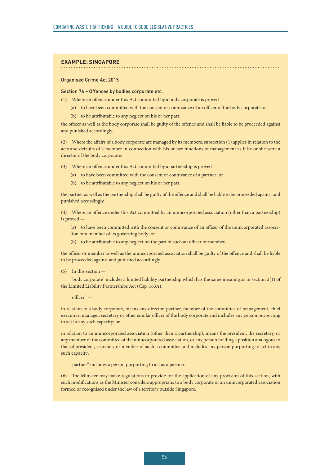#### **EXAMPLE: SINGAPORE**

Organised Crime Act 2015

#### Section 76 – Offences by bodies corporate etc.

(1) Where an offence under this Act committed by a body corporate is proved —

- (a) to have been committed with the consent or connivance of an officer of the body corporate; or
- (b) to be attributable to any neglect on his or her part,

the officer as well as the body corporate shall be guilty of the offence and shall be liable to be proceeded against and punished accordingly.

(2) Where the affairs of a body corporate are managed by its members, subsection (1) applies in relation to the acts and defaults of a member in connection with his or her functions of management as if he or she were a director of the body corporate.

(3) Where an offence under this Act committed by a partnership is proved —

- (a) to have been committed with the consent or connivance of a partner; or
- (b) to be attributable to any neglect on his or her part,

the partner as well as the partnership shall be guilty of the offence and shall be liable to be proceeded against and punished accordingly.

(4) Where an offence under this Act committed by an unincorporated association (other than a partnership) is proved —

- (a) to have been committed with the consent or connivance of an officer of the unincorporated association or a member of its governing body; or
- (b) to be attributable to any neglect on the part of such an officer or member,

the officer or member as well as the unincorporated association shall be guilty of the offence and shall be liable to be proceeded against and punished accordingly.

(5) In this section —

"body corporate" includes a limited liability partnership which has the same meaning as in section 2(1) of the Limited Liability Partnerships Act (Cap. 163A);

"officer" —

in relation to a body corporate, means any director, partner, member of the committee of management, chief executive, manager, secretary or other similar officer of the body corporate and includes any person purporting to act in any such capacity; or

in relation to an unincorporated association (other than a partnership), means the president, the secretary, or any member of the committee of the unincorporated association, or any person holding a position analogous to that of president, secretary or member of such a committee and includes any person purporting to act in any such capacity;

"partner" includes a person purporting to act as a partner.

(6) The Minister may make regulations to provide for the application of any provision of this section, with such modifications as the Minister considers appropriate, to a body corporate or an unincorporated association formed or recognised under the law of a territory outside Singapore.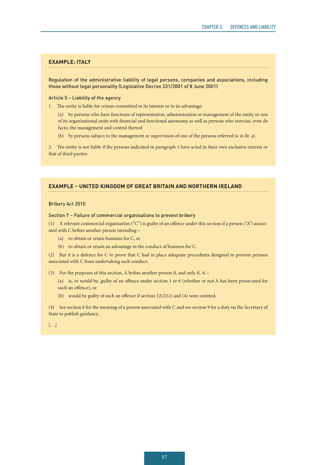## **EXAMPLE: ITALY**

Regulation of the administrative liability of legal persons, companies and associations, including those without legal personality (Legislative Decree 231/2001 of 8 June 2001)

#### Article 5 – Liability of the agency

1. The entity is liable for crimes committed in its interest or to its advantage:

(a) by persons who have functions of representation, administration or management of the entity or one of its organizational units with financial and functional autonomy as well as persons who exercise, even de facto, the management and control thereof

(b) by persons subject to the management or supervision of one of the persons referred to in lit. a).

2. The entity is not liable if the persons indicated in paragraph 1 have acted in their own exclusive interest or that of third parties.

## **EXAMPLE – UNITED KINGDOM OF GREAT BRITAIN AND NORTHERN IRELAND**

#### Bribery Act 2010

#### Section 7 – Failure of commercial organisations to prevent bribery

(1) A relevant commercial organisation ("C") is guilty of an offence under this section if a person ("A") associated with C bribes another person intending—

- (a) to obtain or retain business for C, or
- (b) to obtain or retain an advantage in the conduct of business for C.

(2) But it is a defence for C to prove that C had in place adequate procedures designed to prevent persons associated with C from undertaking such conduct.

(3) For the purposes of this section, A bribes another person if, and only if, A—

(a) is, or would be, guilty of an offence under section 1 or 6 (whether or not A has been prosecuted for such an offence), or

(b) would be guilty of such an offence if section  $12(2)(c)$  and (4) were omitted.

(4) See section 8 for the meaning of a person associated with C and see section 9 for a duty on the Secretary of State to publish guidance.

 $[...]$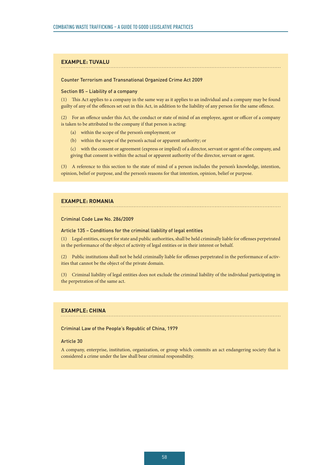### **EXAMPLE: TUVALU**

#### Counter Terrorism and Transnational Organized Crime Act 2009

#### Section 85 – Liability of a company

(1) This Act applies to a company in the same way as it applies to an individual and a company may be found guilty of any of the offences set out in this Act, in addition to the liability of any person for the same offence.

(2) For an offence under this Act, the conduct or state of mind of an employee, agent or officer of a company is taken to be attributed to the company if that person is acting:

- (a) within the scope of the person's employment; or
- (b) within the scope of the person's actual or apparent authority; or

(c) with the consent or agreement (express or implied) of a director, servant or agent of the company, and giving that consent is within the actual or apparent authority of the director, servant or agent.

(3) A reference to this section to the state of mind of a person includes the person's knowledge, intention, opinion, belief or purpose, and the person's reasons for that intention, opinion, belief or purpose.

## **EXAMPLE: ROMANIA**

#### Criminal Code Law No. 286/2009

#### Article 135 – Conditions for the criminal liability of legal entities

(1) Legal entities, except for state and public authorities, shall be held criminally liable for offenses perpetrated in the performance of the object of activity of legal entities or in their interest or behalf.

(2) Public institutions shall not be held criminally liable for offenses perpetrated in the performance of activities that cannot be the object of the private domain.

(3) Criminal liability of legal entities does not exclude the criminal liability of the individual participating in the perpetration of the same act.

# **EXAMPLE: CHINA**

Criminal Law of the People's Republic of China, 1979

### Article 30

A company, enterprise, institution, organization, or group which commits an act endangering society that is considered a crime under the law shall bear criminal responsibility.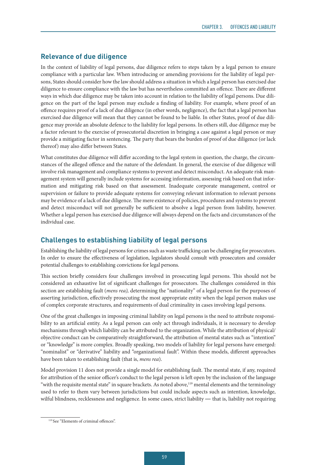# **Relevance of due diligence**

In the context of liability of legal persons, due diligence refers to steps taken by a legal person to ensure compliance with a particular law. When introducing or amending provisions for the liability of legal persons, States should consider how the law should address a situation in which a legal person has exercised due diligence to ensure compliance with the law but has nevertheless committed an offence. There are different ways in which due diligence may be taken into account in relation to the liability of legal persons. Due diligence on the part of the legal person may exclude a finding of liability. For example, where proof of an offence requires proof of a lack of due diligence (in other words, negligence), the fact that a legal person has exercised due diligence will mean that they cannot be found to be liable. In other States, proof of due diligence may provide an absolute defence to the liability for legal persons. In others still, due diligence may be a factor relevant to the exercise of prosecutorial discretion in bringing a case against a legal person or may provide a mitigating factor in sentencing. The party that bears the burden of proof of due diligence (or lack thereof) may also differ between States.

What constitutes due diligence will differ according to the legal system in question, the charge, the circumstances of the alleged offence and the nature of the defendant. In general, the exercise of due diligence will involve risk management and compliance systems to prevent and detect misconduct. An adequate risk management system will generally include systems for accessing information, assessing risk based on that information and mitigating risk based on that assessment. Inadequate corporate management, control or supervision or failure to provide adequate systems for conveying relevant information to relevant persons may be evidence of a lack of due diligence. The mere existence of policies, procedures and systems to prevent and detect misconduct will not generally be sufficient to absolve a legal person from liability, however. Whether a legal person has exercised due diligence will always depend on the facts and circumstances of the individual case.

# **Challenges to establishing liability of legal persons**

Establishing the liability of legal persons for crimes such as waste trafficking can be challenging for prosecutors. In order to ensure the effectiveness of legislation, legislators should consult with prosecutors and consider potential challenges to establishing convictions for legal persons.

This section briefly considers four challenges involved in prosecuting legal persons. This should not be considered an exhaustive list of significant challenges for prosecutors. The challenges considered in this section are establishing fault (*mens rea),* determining the "nationality" of a legal person for the purposes of asserting jurisdiction, effectively prosecuting the most appropriate entity when the legal person makes use of complex corporate structures, and requirements of dual criminality in cases involving legal persons.

One of the great challenges in imposing criminal liability on legal persons is the need to attribute responsibility to an artificial entity. As a legal person can only act through individuals, it is necessary to develop mechanisms through which liability can be attributed to the organization. While the attribution of physical/ objective conduct can be comparatively straightforward, the attribution of mental states such as "intention" or "knowledge" is more complex. Broadly speaking, two models of liability for legal persons have emerged: "nominalist" or "derivative" liability and "organizational fault". Within these models, different approaches have been taken to establishing fault (that is, *mens rea*).

Model provision 11 does not provide a single model for establishing fault. The mental state, if any, required for attribution of the senior officer's conduct to the legal person is left open by the inclusion of the language "with the requisite mental state" in square brackets. As noted above,<sup>119</sup> mental elements and the terminology used to refer to them vary between jurisdictions but could include aspects such as intention, knowledge, wilful blindness, recklessness and negligence. In some cases, strict liability — that is, liability not requiring

<sup>119</sup> See "Elements of criminal offences".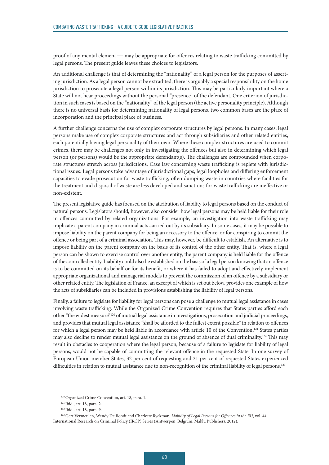proof of any mental element — may be appropriate for offences relating to waste trafficking committed by legal persons. The present guide leaves these choices to legislators.

An additional challenge is that of determining the "nationality" of a legal person for the purposes of asserting jurisdiction. As a legal person cannot be extradited, there is arguably a special responsibility on the home jurisdiction to prosecute a legal person within its jurisdiction. This may be particularly important where a State will not hear proceedings without the personal "presence" of the defendant. One criterion of jurisdiction in such cases is based on the "nationality" of the legal person (the active personality principle). Although there is no universal basis for determining nationality of legal persons, two common bases are the place of incorporation and the principal place of business.

A further challenge concerns the use of complex corporate structures by legal persons. In many cases, legal persons make use of complex corporate structures and act through subsidiaries and other related entities, each potentially having legal personality of their own. Where these complex structures are used to commit crimes, there may be challenges not only in investigating the offences but also in determining which legal person (or persons) would be the appropriate defendant(s). The challenges are compounded when corporate structures stretch across jurisdictions. Case law concerning waste trafficking is replete with jurisdictional issues. Legal persons take advantage of jurisdictional gaps, legal loopholes and differing enforcement capacities to evade prosecution for waste trafficking, often dumping waste in countries where facilities for the treatment and disposal of waste are less developed and sanctions for waste trafficking are ineffective or non-existent.

The present legislative guide has focused on the attribution of liability to legal persons based on the conduct of natural persons. Legislators should, however, also consider how legal persons may be held liable for their role in offences committed by related organizations. For example, an investigation into waste trafficking may implicate a parent company in criminal acts carried out by its subsidiary. In some cases, it may be possible to impose liability on the parent company for being an accessory to the offence, or for conspiring to commit the offence or being part of a criminal association. This may, however, be difficult to establish. An alternative is to impose liability on the parent company on the basis of its control of the other entity. That is, where a legal person can be shown to exercise control over another entity, the parent company is held liable for the offence of the controlled entity. Liability could also be established on the basis of a legal person knowing that an offence is to be committed on its behalf or for its benefit, or where it has failed to adopt and effectively implement appropriate organizational and managerial models to prevent the commission of an offence by a subsidiary or other related entity. The legislation of France, an excerpt of which is set out below, provides one example of how the acts of subsidiaries can be included in provisions establishing the liability of legal persons.

Finally, a failure to legislate for liability for legal persons can pose a challenge to mutual legal assistance in cases involving waste trafficking. While the Organized Crime Convention requires that States parties afford each other "the widest measure"120 of mutual legal assistance in investigations, prosecution and judicial proceedings, and provides that mutual legal assistance "shall be afforded to the fullest extent possible" in relation to offences for which a legal person may be held liable in accordance with article 10 of the Convention,<sup>121</sup> States parties may also decline to render mutual legal assistance on the ground of absence of dual criminality.122 This may result in obstacles to cooperation where the legal person, because of a failure to legislate for liability of legal persons, would not be capable of committing the relevant offence in the requested State. In one survey of European Union member States, 32 per cent of requesting and 21 per cent of requested States experienced difficulties in relation to mutual assistance due to non-recognition of the criminal liability of legal persons.<sup>123</sup>

<sup>120</sup> Organized Crime Convention, art. 18, para. 1.

<sup>121</sup> Ibid., art. 18, para. 2.

<sup>122</sup> Ibid., art. 18, para. 9.

<sup>123</sup> Gert Vermeulen, Wendy De Bondt and Charlotte Ryckman, *Liability of Legal Persons for Offences in the EU*, vol. 44, International Research on Criminal Policy (IRCP) Series (Antwerpen, Belgium, Maklu Publishers, 2012).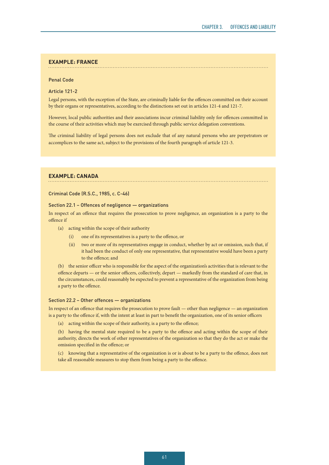## **EXAMPLE: FRANCE**

#### Penal Code

#### Article 121-2

Legal persons, with the exception of the State, are criminally liable for the offences committed on their account by their organs or representatives, according to the distinctions set out in articles 121-4 and 121-7.

However, local public authorities and their associations incur criminal liability only for offences committed in the course of their activities which may be exercised through public service delegation conventions.

The criminal liability of legal persons does not exclude that of any natural persons who are perpetrators or accomplices to the same act, subject to the provisions of the fourth paragraph of article 121-3.

## **EXAMPLE: CANADA**

Criminal Code (R.S.C., 1985, c. C-46)

#### Section 22.1 – Offences of negligence — organizations

In respect of an offence that requires the prosecution to prove negligence, an organization is a party to the offence if

- (a) acting within the scope of their authority
	- (i) one of its representatives is a party to the offence, or
	- (ii) two or more of its representatives engage in conduct, whether by act or omission, such that, if it had been the conduct of only one representative, that representative would have been a party to the offence; and

(b) the senior officer who is responsible for the aspect of the organization's activities that is relevant to the offence departs — or the senior officers, collectively, depart — markedly from the standard of care that, in the circumstances, could reasonably be expected to prevent a representative of the organization from being a party to the offence.

#### Section 22.2 – Other offences — organizations

In respect of an offence that requires the prosecution to prove fault — other than negligence — an organization is a party to the offence if, with the intent at least in part to benefit the organization, one of its senior officers

(a) acting within the scope of their authority, is a party to the offence;

(b) having the mental state required to be a party to the offence and acting within the scope of their authority, directs the work of other representatives of the organization so that they do the act or make the omission specified in the offence; or

(c) knowing that a representative of the organization is or is about to be a party to the offence, does not take all reasonable measures to stop them from being a party to the offence.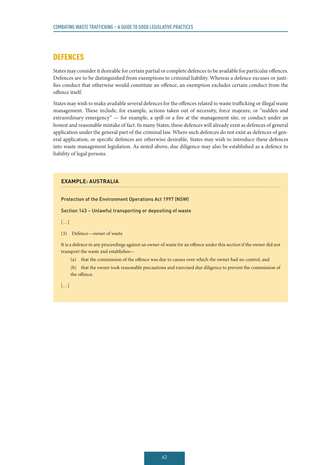# DEFENCES

States may consider it desirable for certain partial or complete defences to be available for particular offences. Defences are to be distinguished from exemptions to criminal liability. Whereas a defence excuses or justifies conduct that otherwise would constitute an offence, an exemption excludes certain conduct from the offence itself.

States may wish to make available several defences for the offences related to waste trafficking or illegal waste management. These include, for example, actions taken out of necessity, force majeure, or "sudden and extraordinary emergency" — for example, a spill or a fire at the management site, or conduct under an honest and reasonable mistake of fact. In many States, these defences will already exist as defences of general application under the general part of the criminal law. Where such defences do not exist as defences of general application, or specific defences are otherwise desirable, States may wish to introduce these defences into waste management legislation. As noted above, due diligence may also be established as a defence to liability of legal persons.

## **EXAMPLE: AUSTRALIA**

Protection of the Environment Operations Act 1997 (NSW)

Section 143 – Unlawful transporting or depositing of waste

 $[...]$ 

(3) Defence—owner of waste

It is a defence in any proceedings against an owner of waste for an offence under this section if the owner did not transport the waste and establishes—

- (a) that the commission of the offence was due to causes over which the owner had no control, and
- (b) that the owner took reasonable precautions and exercised due diligence to prevent the commission of the offence.

[…]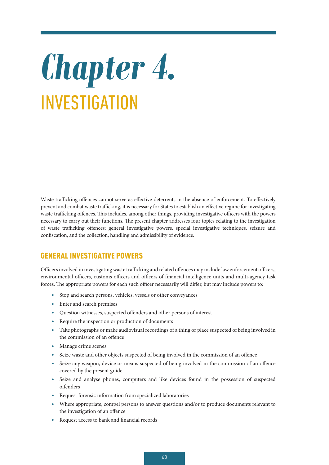# *Chapter 4.*  INVESTIGATION

Waste trafficking offences cannot serve as effective deterrents in the absence of enforcement. To effectively prevent and combat waste trafficking, it is necessary for States to establish an effective regime for investigating waste trafficking offences. This includes, among other things, providing investigative officers with the powers necessary to carry out their functions. The present chapter addresses four topics relating to the investigation of waste trafficking offences: general investigative powers, special investigative techniques, seizure and confiscation, and the collection, handling and admissibility of evidence.

# GENERAL INVESTIGATIVE POWERS

Officers involved in investigating waste trafficking and related offences may include law enforcement officers, environmental officers, customs officers and officers of financial intelligence units and multi-agency task forces. The appropriate powers for each such officer necessarily will differ, but may include powers to:

- Stop and search persons, vehicles, vessels or other conveyances
- Enter and search premises
- Question witnesses, suspected offenders and other persons of interest
- Require the inspection or production of documents
- Take photographs or make audiovisual recordings of a thing or place suspected of being involved in the commission of an offence
- Manage crime scenes
- Seize waste and other objects suspected of being involved in the commission of an offence
- Seize any weapon, device or means suspected of being involved in the commission of an offence covered by the present guide
- Seize and analyse phones, computers and like devices found in the possession of suspected offenders
- Request forensic information from specialized laboratories
- Where appropriate, compel persons to answer questions and/or to produce documents relevant to the investigation of an offence
- Request access to bank and financial records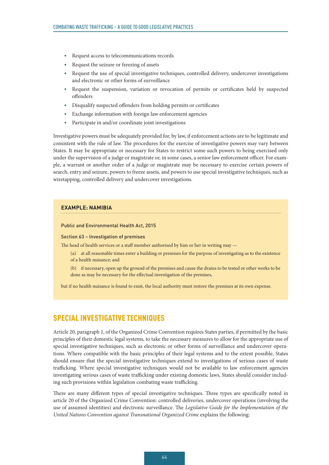- Request access to telecommunications records
- Request the seizure or freezing of assets
- Request the use of special investigative techniques, controlled delivery, undercover investigations and electronic or other forms of surveillance
- Request the suspension, variation or revocation of permits or certificates held by suspected offenders
- Disqualify suspected offenders from holding permits or certificates
- Exchange information with foreign law enforcement agencies
- Participate in and/or coordinate joint investigations

Investigative powers must be adequately provided for, by law, if enforcement actions are to be legitimate and consistent with the rule of law. The procedures for the exercise of investigative powers may vary between States. It may be appropriate or necessary for States to restrict some such powers to being exercised only under the supervision of a judge or magistrate or, in some cases, a senior law enforcement officer. For example, a warrant or another order of a judge or magistrate may be necessary to exercise certain powers of search, entry and seizure, powers to freeze assets, and powers to use special investigative techniques, such as wiretapping, controlled delivery and undercover investigations.

## **EXAMPLE: NAMIBIA**

Public and Environmental Health Act, 2015

#### Section 63 – Investigation of premises

The head of health services or a staff member authorised by him or her in writing may —

- (a) at all reasonable times enter a building or premises for the purpose of investigating as to the existence of a health nuisance; and
- (b) if necessary, open up the ground of the premises and cause the drains to be tested or other works to be done as may be necessary for the effectual investigation of the premises,

but if no health nuisance is found to exist, the local authority must restore the premises at its own expense.

# SPECIAL INVESTIGATIVE TECHNIQUES

Article 20, paragraph 1, of the Organized Crime Convention requires States parties, if permitted by the basic principles of their domestic legal systems, to take the necessary measures to allow for the appropriate use of special investigative techniques, such as electronic or other forms of surveillance and undercover operations. Where compatible with the basic principles of their legal systems and to the extent possible, States should ensure that the special investigative techniques extend to investigations of serious cases of waste trafficking. Where special investigative techniques would not be available to law enforcement agencies investigating serious cases of waste trafficking under existing domestic laws, States should consider including such provisions within legislation combating waste trafficking.

There are many different types of special investigative techniques. Three types are specifically noted in article 20 of the Organized Crime Convention: controlled deliveries, undercover operations (involving the use of assumed identities) and electronic surveillance. The *Legislative Guide for the Implementation of the United Nations Convention against Transnational Organized Crime* explains the following: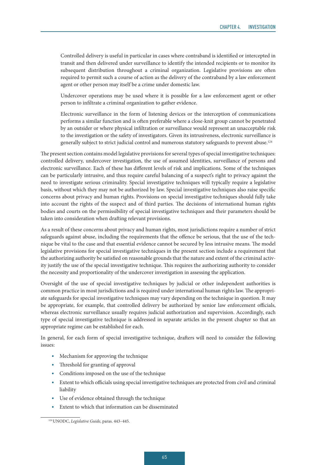Controlled delivery is useful in particular in cases where contraband is identified or intercepted in transit and then delivered under surveillance to identify the intended recipients or to monitor its subsequent distribution throughout a criminal organization. Legislative provisions are often required to permit such a course of action as the delivery of the contraband by a law enforcement agent or other person may itself be a crime under domestic law.

Undercover operations may be used where it is possible for a law enforcement agent or other person to infiltrate a criminal organization to gather evidence.

Electronic surveillance in the form of listening devices or the interception of communications performs a similar function and is often preferable where a close-knit group cannot be penetrated by an outsider or where physical infiltration or surveillance would represent an unacceptable risk to the investigation or the safety of investigators. Given its intrusiveness, electronic surveillance is generally subject to strict judicial control and numerous statutory safeguards to prevent abuse.124

The present section contains model legislative provisions for several types of special investigative techniques: controlled delivery, undercover investigation, the use of assumed identities, surveillance of persons and electronic surveillance. Each of these has different levels of risk and implications. Some of the techniques can be particularly intrusive, and thus require careful balancing of a suspect's right to privacy against the need to investigate serious criminality. Special investigative techniques will typically require a legislative basis, without which they may not be authorized by law. Special investigative techniques also raise specific concerns about privacy and human rights. Provisions on special investigative techniques should fully take into account the rights of the suspect and of third parties. The decisions of international human rights bodies and courts on the permissibility of special investigative techniques and their parameters should be taken into consideration when drafting relevant provisions.

As a result of these concerns about privacy and human rights, most jurisdictions require a number of strict safeguards against abuse, including the requirements that the offence be serious, that the use of the technique be vital to the case and that essential evidence cannot be secured by less intrusive means. The model legislative provisions for special investigative techniques in the present section include a requirement that the authorizing authority be satisfied on reasonable grounds that the nature and extent of the criminal activity justify the use of the special investigative technique. This requires the authorizing authority to consider the necessity and proportionality of the undercover investigation in assessing the application.

Oversight of the use of special investigative techniques by judicial or other independent authorities is common practice in most jurisdictions and is required under international human rights law. The appropriate safeguards for special investigative techniques may vary depending on the technique in question. It may be appropriate, for example, that controlled delivery be authorized by senior law enforcement officials, whereas electronic surveillance usually requires judicial authorization and supervision. Accordingly, each type of special investigative technique is addressed in separate articles in the present chapter so that an appropriate regime can be established for each.

In general, for each form of special investigative technique, drafters will need to consider the following issues:

- Mechanism for approving the technique
- Threshold for granting of approval
- Conditions imposed on the use of the technique
- Extent to which officials using special investigative techniques are protected from civil and criminal liability
- Use of evidence obtained through the technique
- Extent to which that information can be disseminated

<sup>124</sup> UNODC, *Legislative Guide*, paras. 443–445.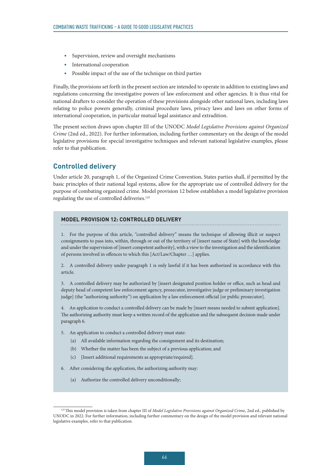- Supervision, review and oversight mechanisms
- International cooperation
- Possible impact of the use of the technique on third parties

Finally, the provisions set forth in the present section are intended to operate in addition to existing laws and regulations concerning the investigative powers of law enforcement and other agencies. It is thus vital for national drafters to consider the operation of these provisions alongside other national laws, including laws relating to police powers generally, criminal procedure laws, privacy laws and laws on other forms of international cooperation, in particular mutual legal assistance and extradition.

The present section draws upon chapter III of the UNODC *Model Legislative Provisions against Organized Crime* (2nd ed., 2022). For further information, including further commentary on the design of the model legislative provisions for special investigative techniques and relevant national legislative examples, please refer to that publication.

# **Controlled delivery**

Under article 20, paragraph 1, of the Organized Crime Convention, States parties shall, if permitted by the basic principles of their national legal systems, allow for the appropriate use of controlled delivery for the purpose of combating organized crime. Model provision 12 below establishes a model legislative provision regulating the use of controlled deliveries.<sup>125</sup>

# **MODEL PROVISION 12: CONTROLLED DELIVERY**

1. For the purpose of this article, "controlled delivery" means the technique of allowing illicit or suspect consignments to pass into, within, through or out of the territory of [insert name of State] with the knowledge and under the supervision of [insert competent authority], with a view to the investigation and the identification of persons involved in offences to which this [Act/Law/Chapter …] applies.

2. A controlled delivery under paragraph 1 is only lawful if it has been authorized in accordance with this article.

3. A controlled delivery may be authorized by [insert designated position holder or office, such as head and deputy head of competent law enforcement agency, prosecutor, investigative judge or preliminary investigation judge] (the "authorizing authority") on application by a law enforcement official [or public prosecutor].

4. An application to conduct a controlled delivery can be made by [insert means needed to submit application]. The authorizing authority must keep a written record of the application and the subsequent decision made under paragraph 6.

- 5. An application to conduct a controlled delivery must state:
	- (a) All available information regarding the consignment and its destination;
	- (b) Whether the matter has been the subject of a previous application; and
	- (c) [Insert additional requirements as appropriate/required].
- 6. After considering the application, the authorizing authority may:
	- (a) Authorize the controlled delivery unconditionally;

<sup>&</sup>lt;sup>125</sup> This model provision is taken from chapter III of *Model Legislative Provisions against Organized Crime*, 2nd ed., published by UNODC in 2022. For further information, including further commentary on the design of the model provision and relevant national legislative examples, refer to that publication.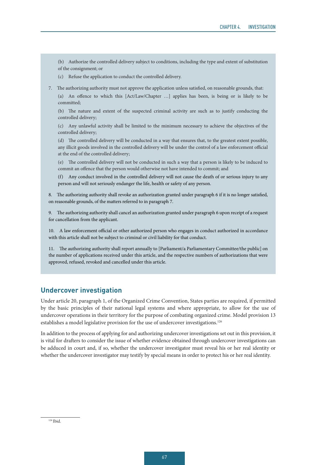(b) Authorize the controlled delivery subject to conditions, including the type and extent of substitution of the consignment; or

(c) Refuse the application to conduct the controlled delivery.

7. The authorizing authority must not approve the application unless satisfied, on reasonable grounds, that:

(a) An offence to which this [Act/Law/Chapter …] applies has been, is being or is likely to be committed;

(b) The nature and extent of the suspected criminal activity are such as to justify conducting the controlled delivery;

(c) Any unlawful activity shall be limited to the minimum necessary to achieve the objectives of the controlled delivery;

(d) The controlled delivery will be conducted in a way that ensures that, to the greatest extent possible, any illicit goods involved in the controlled delivery will be under the control of a law enforcement official at the end of the controlled delivery;

(e) The controlled delivery will not be conducted in such a way that a person is likely to be induced to commit an offence that the person would otherwise not have intended to commit; and

(f) Any conduct involved in the controlled delivery will not cause the death of or serious injury to any person and will not seriously endanger the life, health or safety of any person.

8. The authorizing authority shall revoke an authorization granted under paragraph 6 if it is no longer satisfied, on reasonable grounds, of the matters referred to in paragraph 7.

9. The authorizing authority shall cancel an authorization granted under paragraph 6 upon receipt of a request for cancellation from the applicant.

10. A law enforcement official or other authorized person who engages in conduct authorized in accordance with this article shall not be subject to criminal or civil liability for that conduct.

11. The authorizing authority shall report annually to [Parliament/a Parliamentary Committee/the public] on the number of applications received under this article, and the respective numbers of authorizations that were approved, refused, revoked and cancelled under this article.

# **Undercover investigation**

Under article 20, paragraph 1, of the Organized Crime Convention, States parties are required, if permitted by the basic principles of their national legal systems and where appropriate, to allow for the use of undercover operations in their territory for the purpose of combating organized crime. Model provision 13 establishes a model legislative provision for the use of undercover investigations.<sup>126</sup>

In addition to the process of applying for and authorizing undercover investigations set out in this provision, it is vital for drafters to consider the issue of whether evidence obtained through undercover investigations can be adduced in court and, if so, whether the undercover investigator must reveal his or her real identity or whether the undercover investigator may testify by special means in order to protect his or her real identity.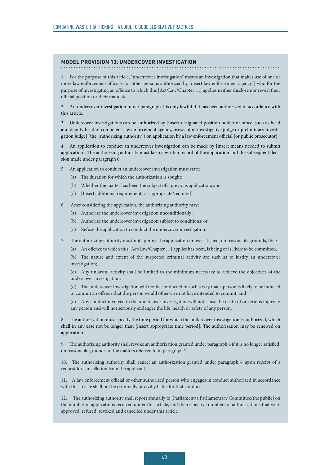#### **MODEL PROVISION 13: UNDERCOVER INVESTIGATION**

1. For the purpose of this article, "undercover investigation" means an investigation that makes use of one or more law enforcement officials [or other persons authorized by [insert law enforcement agency]] who for the purpose of investigating an offence to which this [Act/Law/Chapter …] applies neither disclose nor reveal their official position or their mandate.

2. An undercover investigation under paragraph 1 is only lawful if it has been authorized in accordance with this article.

3. Undercover investigations can be authorized by [insert designated position holder or office, such as head and deputy head of competent law enforcement agency, prosecutor, investigative judge or preliminary investigation judge] (the "authorizing authority") on application by a law enforcement official [or public prosecutor].

4. An application to conduct an undercover investigation can be made by [insert means needed to submit application]. The authorizing authority must keep a written record of the application and the subsequent decision made under paragraph 6.

- 5. An application to conduct an undercover investigation must state:
	- (a) The duration for which the authorization is sought;
	- (b) Whether the matter has been the subject of a previous application; and
	- (c) [Insert additional requirements as appropriate/required]
- 6. After considering the application, the authorizing authority may:
	- (a) Authorize the undercover investigation unconditionally;
	- (b) Authorize the undercover investigation subject to conditions; or
	- (c) Refuse the application to conduct the undercover investigation.
- 7. The authorizing authority must not approve the application unless satisfied, on reasonable grounds, that:
	- (a) An offence to which this [Act/Law/Chapter …] applies has been, is being or is likely to be committed;

(b) The nature and extent of the suspected criminal activity are such as to justify an undercover investigation;

(c) Any unlawful activity shall be limited to the minimum necessary to achieve the objectives of the undercover investigation;

(d) The undercover investigation will not be conducted in such a way that a person is likely to be induced to commit an offence that the person would otherwise not have intended to commit; and

(e) Any conduct involved in the undercover investigation will not cause the death of or serious injury to any person and will not seriously endanger the life, health or safety of any person.

8. The authorization must specify the time period for which the undercover investigation is authorized, which shall in any case not be longer than [insert appropriate time period]. The authorization may be renewed on application.

9. The authorizing authority shall revoke an authorization granted under paragraph 6 if it is no longer satisfied, on reasonable grounds, of the matters referred to in paragraph 7.

10. The authorizing authority shall cancel an authorization granted under paragraph 6 upon receipt of a request for cancellation from the applicant.

11. A law enforcement official or other authorized person who engages in conduct authorized in accordance with this article shall not be criminally or civilly liable for that conduct.

12. The authorizing authority shall report annually to [Parliament/a Parliamentary Committee/the public] on the number of applications received under this article, and the respective numbers of authorizations that were approved, refused, revoked and cancelled under this article.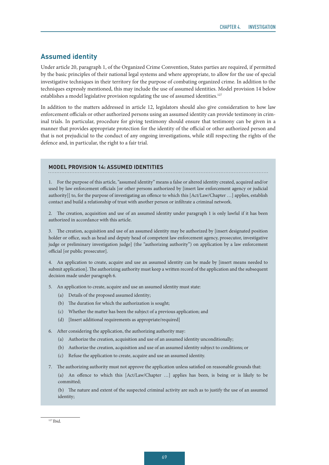# **Assumed identity**

Under article 20, paragraph 1, of the Organized Crime Convention, States parties are required, if permitted by the basic principles of their national legal systems and where appropriate, to allow for the use of special investigative techniques in their territory for the purpose of combating organized crime. In addition to the techniques expressly mentioned, this may include the use of assumed identities. Model provision 14 below establishes a model legislative provision regulating the use of assumed identities.<sup>127</sup>

In addition to the matters addressed in article 12, legislators should also give consideration to how law enforcement officials or other authorized persons using an assumed identity can provide testimony in criminal trials. In particular, procedure for giving testimony should ensure that testimony can be given in a manner that provides appropriate protection for the identity of the official or other authorized person and that is not prejudicial to the conduct of any ongoing investigations, while still respecting the rights of the defence and, in particular, the right to a fair trial.

### **MODEL PROVISION 14: ASSUMED IDENTITIES**

1. For the purpose of this article, "assumed identity" means a false or altered identity created, acquired and/or used by law enforcement officials [or other persons authorized by [insert law enforcement agency or judicial authority]] to, for the purpose of investigating an offence to which this [Act/Law/Chapter …] applies, establish contact and build a relationship of trust with another person or infiltrate a criminal network.

2. The creation, acquisition and use of an assumed identity under paragraph 1 is only lawful if it has been authorized in accordance with this article.

3. The creation, acquisition and use of an assumed identity may be authorized by [insert designated position holder or office, such as head and deputy head of competent law enforcement agency, prosecutor, investigative judge or preliminary investigation judge] (the "authorizing authority") on application by a law enforcement official [or public prosecutor].

4. An application to create, acquire and use an assumed identity can be made by [insert means needed to submit application]. The authorizing authority must keep a written record of the application and the subsequent decision made under paragraph 6.

- 5. An application to create, acquire and use an assumed identity must state:
	- (a) Details of the proposed assumed identity;
	- (b) The duration for which the authorization is sought;
	- (c) Whether the matter has been the subject of a previous application; and
	- (d) [Insert additional requirements as appropriate/required]
- 6. After considering the application, the authorizing authority may:
	- (a) Authorize the creation, acquisition and use of an assumed identity unconditionally;
	- (b) Authorize the creation, acquisition and use of an assumed identity subject to conditions; or
	- (c) Refuse the application to create, acquire and use an assumed identity.
- 7. The authorizing authority must not approve the application unless satisfied on reasonable grounds that:
	- (a) An offence to which this [Act/Law/Chapter …] applies has been, is being or is likely to be committed;

(b) The nature and extent of the suspected criminal activity are such as to justify the use of an assumed identity;

 $127$  Ibid.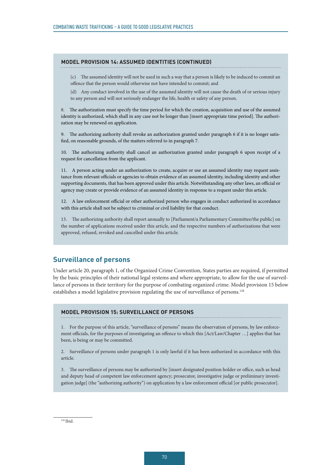#### **MODEL PROVISION 14: ASSUMED IDENTITIES (CONTINUED)**

(c) The assumed identity will not be used in such a way that a person is likely to be induced to commit an offence that the person would otherwise not have intended to commit; and

(d) Any conduct involved in the use of the assumed identity will not cause the death of or serious injury to any person and will not seriously endanger the life, health or safety of any person.

8. The authorization must specify the time period for which the creation, acquisition and use of the assumed identity is authorized, which shall in any case not be longer than [insert appropriate time period]. The authorization may be renewed on application.

9. The authorizing authority shall revoke an authorization granted under paragraph 6 if it is no longer satisfied, on reasonable grounds, of the matters referred to in paragraph 7.

10. The authorizing authority shall cancel an authorization granted under paragraph 6 upon receipt of a request for cancellation from the applicant.

11. A person acting under an authorization to create, acquire or use an assumed identity may request assistance from relevant officials or agencies to obtain evidence of an assumed identity, including identity and other supporting documents, that has been approved under this article. Notwithstanding any other laws, an official or agency may create or provide evidence of an assumed identity in response to a request under this article.

12. A law enforcement official or other authorized person who engages in conduct authorized in accordance with this article shall not be subject to criminal or civil liability for that conduct.

13. The authorizing authority shall report annually to [Parliament/a Parliamentary Committee/the public] on the number of applications received under this article, and the respective numbers of authorizations that were approved, refused, revoked and cancelled under this article.

# **Surveillance of persons**

Under article 20, paragraph 1, of the Organized Crime Convention, States parties are required, if permitted by the basic principles of their national legal systems and where appropriate, to allow for the use of surveillance of persons in their territory for the purpose of combating organized crime. Model provision 15 below establishes a model legislative provision regulating the use of surveillance of persons.<sup>128</sup>

# **MODEL PROVISION 15: SURVEILLANCE OF PERSONS**

1. For the purpose of this article, "surveillance of persons" means the observation of persons, by law enforcement officials, for the purposes of investigating an offence to which this [Act/Law/Chapter …] applies that has been, is being or may be committed.

2. Surveillance of persons under paragraph 1 is only lawful if it has been authorized in accordance with this article.

3. The surveillance of persons may be authorized by [insert designated position holder or office, such as head and deputy head of competent law enforcement agency; prosecutor, investigative judge or preliminary investigation judge] (the "authorizing authority") on application by a law enforcement official [or public prosecutor].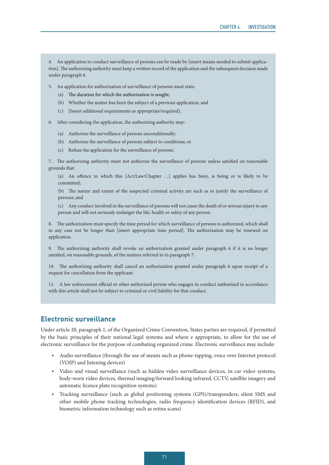4. An application to conduct surveillance of persons can be made by [insert means needed to submit application]. The authorizing authority must keep a written record of the application and the subsequent decision made under paragraph 6.

5. An application for authorization of surveillance of persons must state:

- (a) The duration for which the authorization is sought;
- (b) Whether the matter has been the subject of a previous application; and
- (c) [Insert additional requirements as appropriate/required].

6. After considering the application, the authorizing authority may:

- (a) Authorize the surveillance of persons unconditionally;
- (b) Authorize the surveillance of persons subject to conditions; or
- (c) Refuse the application for the surveillance of persons.

7. The authorizing authority must not authorize the surveillance of persons unless satisfied on reasonable grounds that:

(a) An offence to which this [Act/Law/Chapter …] applies has been, is being or is likely to be committed;

(b) The nature and extent of the suspected criminal activity are such as to justify the surveillance of persons; and

(c) Any conduct involved in the surveillance of persons will not cause the death of or serious injury to any person and will not seriously endanger the life, health or safety of any person.

8. The authorization must specify the time period for which surveillance of persons is authorized, which shall in any case not be longer than [insert appropriate time period]. The authorization may be renewed on application.

9. The authorizing authority shall revoke an authorization granted under paragraph 6 if it is no longer satisfied, on reasonable grounds, of the matters referred to in paragraph 7.

The authorizing authority shall cancel an authorization granted under paragraph 6 upon receipt of a request for cancellation from the applicant.

11. A law enforcement official or other authorized person who engages in conduct authorized in accordance with this article shall not be subject to criminal or civil liability for that conduct.

# **Electronic surveillance**

Under article 20, paragraph 1, of the Organized Crime Convention, States parties are required, if permitted by the basic principles of their national legal systems and where e appropriate, to allow for the use of electronic surveillance for the purpose of combating organized crime. Electronic surveillance may include:

- Audio surveillance (through the use of means such as phone-tapping, voice over Internet protocol (VOIP) and listening devices)
- Video and visual surveillance (such as hidden video surveillance devices, in-car video systems, body-worn video devices, thermal imaging/forward looking infrared, CCTV, satellite imagery and automatic licence plate recognition systems)
- Tracking surveillance (such as global positioning systems (GPS)/transponders, silent SMS and other mobile phone tracking technologies, radio frequency identification devices (RFID), and biometric information technology such as retina scans)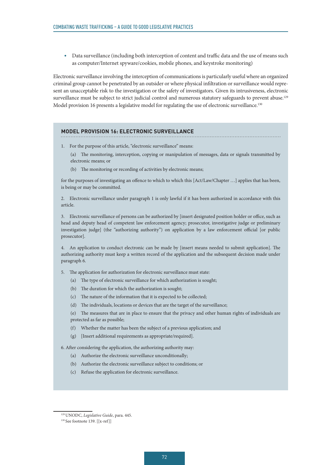• Data surveillance (including both interception of content and traffic data and the use of means such as computer/Internet spyware/cookies, mobile phones, and keystroke monitoring)

Electronic surveillance involving the interception of communications is particularly useful where an organized criminal group cannot be penetrated by an outsider or where physical infiltration or surveillance would represent an unacceptable risk to the investigation or the safety of investigators. Given its intrusiveness, electronic surveillance must be subject to strict judicial control and numerous statutory safeguards to prevent abuse.<sup>129</sup> Model provision 16 presents a legislative model for regulating the use of electronic surveillance.<sup>130</sup>

#### **MODEL PROVISION 16: ELECTRONIC SURVEILLANCE**

1. For the purpose of this article, "electronic surveillance" means:

(a) The monitoring, interception, copying or manipulation of messages, data or signals transmitted by electronic means; or

(b) The monitoring or recording of activities by electronic means;

for the purposes of investigating an offence to which to which this [Act/Law/Chapter …] applies that has been, is being or may be committed.

2. Electronic surveillance under paragraph 1 is only lawful if it has been authorized in accordance with this article.

3. Electronic surveillance of persons can be authorized by [insert designated position holder or office, such as head and deputy head of competent law enforcement agency; prosecutor, investigative judge or preliminary investigation judge] (the "authorizing authority") on application by a law enforcement official [or public prosecutor].

4. An application to conduct electronic can be made by [insert means needed to submit application]. The authorizing authority must keep a written record of the application and the subsequent decision made under paragraph 6.

- 5. The application for authorization for electronic surveillance must state:
	- (a) The type of electronic surveillance for which authorization is sought;
	- (b) The duration for which the authorization is sought;
	- (c) The nature of the information that it is expected to be collected;
	- (d) The individuals, locations or devices that are the target of the surveillance;

(e) The measures that are in place to ensure that the privacy and other human rights of individuals are protected as far as possible;

- (f) Whether the matter has been the subject of a previous application; and
- (g) [Insert additional requirements as appropriate/required].

6. After considering the application, the authorizing authority may:

- (a) Authorize the electronic surveillance unconditionally;
- (b) Authorize the electronic surveillance subject to conditions; or
- (c) Refuse the application for electronic surveillance.

<sup>129</sup> UNODC, *Legislative Guide*, para. 445.

<sup>130</sup> See footnote 139. [[x-ref]]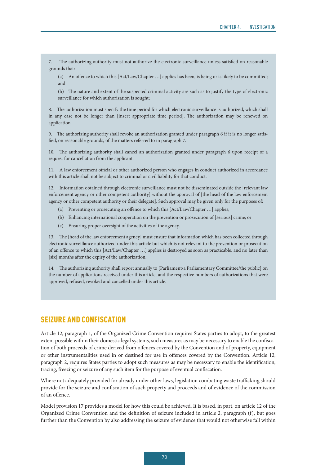7. The authorizing authority must not authorize the electronic surveillance unless satisfied on reasonable grounds that:

(a) An offence to which this [Act/Law/Chapter …] applies has been, is being or is likely to be committed; and

(b) The nature and extent of the suspected criminal activity are such as to justify the type of electronic surveillance for which authorization is sought;

8. The authorization must specify the time period for which electronic surveillance is authorized, which shall in any case not be longer than [insert appropriate time period]. The authorization may be renewed on application.

9. The authorizing authority shall revoke an authorization granted under paragraph 6 if it is no longer satisfied, on reasonable grounds, of the matters referred to in paragraph 7.

10. The authorizing authority shall cancel an authorization granted under paragraph 6 upon receipt of a request for cancellation from the applicant.

11. A law enforcement official or other authorized person who engages in conduct authorized in accordance with this article shall not be subject to criminal or civil liability for that conduct.

12. Information obtained through electronic surveillance must not be disseminated outside the [relevant law enforcement agency or other competent authority] without the approval of [the head of the law enforcement agency or other competent authority or their delegate]. Such approval may be given only for the purposes of:

- (a) Preventing or prosecuting an offence to which this [Act/Law/Chapter …] applies;
- (b) Enhancing international cooperation on the prevention or prosecution of [serious] crime; or
- (c) Ensuring proper oversight of the activities of the agency.

13. The [head of the law enforcement agency] must ensure that information which has been collected through electronic surveillance authorized under this article but which is not relevant to the prevention or prosecution of an offence to which this [Act/Law/Chapter …] applies is destroyed as soon as practicable, and no later than [six] months after the expiry of the authorization.

14. The authorizing authority shall report annually to [Parliament/a Parliamentary Committee/the public] on the number of applications received under this article, and the respective numbers of authorizations that were approved, refused, revoked and cancelled under this article.

# SEIZURE AND CONFISCATION

Article 12, paragraph 1, of the Organized Crime Convention requires States parties to adopt, to the greatest extent possible within their domestic legal systems, such measures as may be necessary to enable the confiscation of both proceeds of crime derived from offences covered by the Convention and of property, equipment or other instrumentalities used in or destined for use in offences covered by the Convention. Article 12, paragraph 2, requires States parties to adopt such measures as may be necessary to enable the identification, tracing, freezing or seizure of any such item for the purpose of eventual confiscation.

Where not adequately provided for already under other laws, legislation combating waste trafficking should provide for the seizure and confiscation of such property and proceeds and of evidence of the commission of an offence.

Model provision 17 provides a model for how this could be achieved. It is based, in part, on article 12 of the Organized Crime Convention and the definition of seizure included in article 2, paragraph (f), but goes further than the Convention by also addressing the seizure of evidence that would not otherwise fall within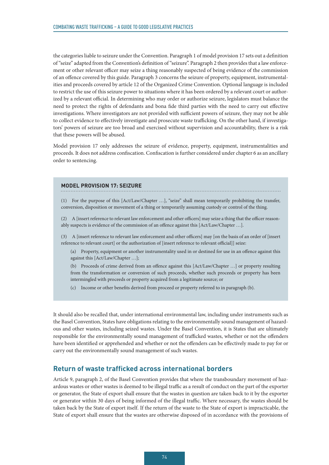the categories liable to seizure under the Convention. Paragraph 1 of model provision 17 sets out a definition of "seize" adapted from the Convention's definition of "seizure". Paragraph 2 then provides that a law enforcement or other relevant officer may seize a thing reasonably suspected of being evidence of the commission of an offence covered by this guide. Paragraph 3 concerns the seizure of property, equipment, instrumentalities and proceeds covered by article 12 of the Organized Crime Convention. Optional language is included to restrict the use of this seizure power to situations where it has been ordered by a relevant court or authorized by a relevant official. In determining who may order or authorize seizure, legislators must balance the need to protect the rights of defendants and bona fide third parties with the need to carry out effective investigations. Where investigators are not provided with sufficient powers of seizure, they may not be able to collect evidence to effectively investigate and prosecute waste trafficking. On the other hand, if investigators' powers of seizure are too broad and exercised without supervision and accountability, there is a risk that these powers will be abused.

Model provision 17 only addresses the seizure of evidence, property, equipment, instrumentalities and proceeds. It does not address confiscation. Confiscation is further considered under chapter 6 as an ancillary order to sentencing.

## **MODEL PROVISION 17: SEIZURE**

(1) For the purpose of this [Act/Law/Chapter …], "seize" shall mean temporarily prohibiting the transfer, conversion, disposition or movement of a thing or temporarily assuming custody or control of the thing.

(2) A [insert reference to relevant law enforcement and other officers] may seize a thing that the officer reasonably suspects is evidence of the commission of an offence against this [Act/Law/Chapter …].

(3) A [insert reference to relevant law enforcement and other officers] may [on the basis of an order of [insert reference to relevant court] or the authorization of [insert reference to relevant official]] seize:

(a) Property, equipment or another instrumentality used in or destined for use in an offence against this against this [Act/Law/Chapter …];

(b) Proceeds of crime derived from an offence against this [Act/Law/Chapter …] or property resulting from the transformation or conversion of such proceeds, whether such proceeds or property has been intermingled with proceeds or property acquired from a legitimate source; or

(c) Income or other benefits derived from proceed or property referred to in paragraph (b).

It should also be recalled that, under international environmental law, including under instruments such as the Basel Convention, States have obligations relating to the environmentally sound management of hazardous and other wastes, including seized wastes. Under the Basel Convention, it is States that are ultimately responsible for the environmentally sound management of trafficked wastes, whether or not the offenders have been identified or apprehended and whether or not the offenders can be effectively made to pay for or carry out the environmentally sound management of such wastes.

# **Return of waste trafficked across international borders**

Article 9, paragraph 2, of the Basel Convention provides that where the transboundary movement of hazardous wastes or other wastes is deemed to be illegal traffic as a result of conduct on the part of the exporter or generator, the State of export shall ensure that the wastes in question are taken back to it by the exporter or generator within 30 days of being informed of the illegal traffic. Where necessary, the wastes should be taken back by the State of export itself. If the return of the waste to the State of export is impracticable, the State of export shall ensure that the wastes are otherwise disposed of in accordance with the provisions of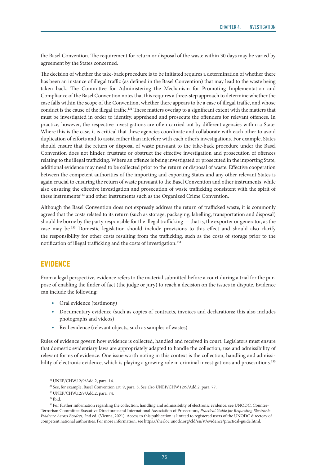the Basel Convention. The requirement for return or disposal of the waste within 30 days may be varied by agreement by the States concerned.

The decision of whether the take-back procedure is to be initiated requires a determination of whether there has been an instance of illegal traffic (as defined in the Basel Convention) that may lead to the waste being taken back. The Committee for Administering the Mechanism for Promoting Implementation and Compliance of the Basel Convention notes that this requires a three-step approach to determine whether the case falls within the scope of the Convention, whether there appears to be a case of illegal traffic, and whose conduct is the cause of the illegal traffic.131 These matters overlap to a significant extent with the matters that must be investigated in order to identify, apprehend and prosecute the offenders for relevant offences. In practice, however, the respective investigations are often carried out by different agencies within a State. Where this is the case, it is critical that these agencies coordinate and collaborate with each other to avoid duplication of efforts and to assist rather than interfere with each other's investigations. For example, States should ensure that the return or disposal of waste pursuant to the take-back procedure under the Basel Convention does not hinder, frustrate or obstruct the effective investigation and prosecution of offences relating to the illegal trafficking. Where an offence is being investigated or prosecuted in the importing State, additional evidence may need to be collected prior to the return or disposal of waste. Effective cooperation between the competent authorities of the importing and exporting States and any other relevant States is again crucial to ensuring the return of waste pursuant to the Basel Convention and other instruments, while also ensuring the effective investigation and prosecution of waste trafficking consistent with the spirit of these instruments<sup>132</sup> and other instruments such as the Organized Crime Convention.

Although the Basel Convention does not expressly address the return of trafficked waste, it is commonly agreed that the costs related to its return (such as storage, packaging, labelling, transportation and disposal) should be borne by the party responsible for the illegal trafficking — that is, the exporter or generator, as the case may be.133 Domestic legislation should include provisions to this effect and should also clarify the responsibility for other costs resulting from the trafficking, such as the costs of storage prior to the notification of illegal trafficking and the costs of investigation.<sup>134</sup>

# EVIDENCE

From a legal perspective, evidence refers to the material submitted before a court during a trial for the purpose of enabling the finder of fact (the judge or jury) to reach a decision on the issues in dispute. Evidence can include the following:

- Oral evidence (testimony)
- Documentary evidence (such as copies of contracts, invoices and declarations; this also includes photographs and videos)
- Real evidence (relevant objects, such as samples of wastes)

Rules of evidence govern how evidence is collected, handled and received in court. Legislators must ensure that domestic evidentiary laws are appropriately adapted to handle the collection, use and admissibility of relevant forms of evidence. One issue worth noting in this context is the collection, handling and admissibility of electronic evidence, which is playing a growing role in criminal investigations and prosecutions.<sup>135</sup>

<sup>131</sup> UNEP/CHW.12/9/Add.2, para. 14.

<sup>&</sup>lt;sup>132</sup> See, for example, Basel Convention art. 9, para. 5. See also UNEP/CHW.12/9/Add.2, para. 77.

<sup>133</sup> UNEP/CHW.12/9/Add.2, para. 74.

<sup>134</sup> Ibid.

<sup>&</sup>lt;sup>135</sup> For further information regarding the collection, handling and admissibility of electronic evidence, see UNODC, Counter-Terrorism Committee Executive Directorate and International Association of Prosecutors, *Practical Guide for Requesting Electronic Evidence Across Borders*, 2nd ed. (Vienna, 2021). Access to this publication is limited to registered users of the UNODC directory of competent national authorities. For more information, see [https://sherloc.unodc.org/cld/en/st/evidence/practical-guide.html.](https://sherloc.unodc.org/cld/en/st/evidence/practical-guide.html)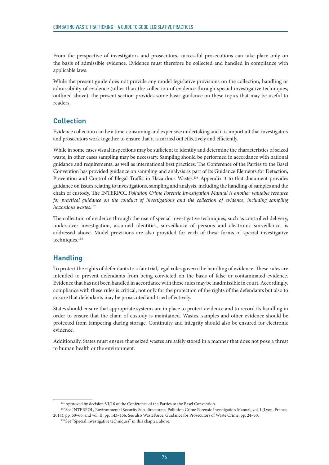From the perspective of investigators and prosecutors, successful prosecutions can take place only on the basis of admissible evidence. Evidence must therefore be collected and handled in compliance with applicable laws.

While the present guide does not provide any model legislative provisions on the collection, handling or admissibility of evidence (other than the collection of evidence through special investigative techniques, outlined above), the present section provides some basic guidance on these topics that may be useful to readers.

# **Collection**

Evidence collection can be a time-consuming and expensive undertaking and it is important that investigators and prosecutors work together to ensure that it is carried out effectively and efficiently.

While in some cases visual inspections may be sufficient to identify and determine the characteristics of seized waste, in other cases sampling may be necessary. Sampling should be performed in accordance with national guidance and requirements, as well as international best practices. The Conference of the Parties to the Basel Convention has provided guidance on sampling and analysis as part of its Guidance Elements for Detection, Prevention and Control of Illegal Traffic in Hazardous Wastes.<sup>136</sup> Appendix 3 to that document provides guidance on issues relating to investigations, sampling and analysis, including the handling of samples and the chain of custody. The INTERPOL *Pollution Crime Forensic Investigation Manual is another valuable resource for practical guidance on the conduct of investigations and the collection of evidence, including sampling hazardous wastes.*<sup>137</sup>

The collection of evidence through the use of special investigative techniques, such as controlled delivery, undercover investigation, assumed identities, surveillance of persons and electronic surveillance, is addressed above. Model provisions are also provided for each of these forms of special investigative techniques.<sup>138</sup>

# **Handling**

To protect the rights of defendants to a fair trial, legal rules govern the handling of evidence. These rules are intended to prevent defendants from being convicted on the basis of false or contaminated evidence. Evidence that has not been handled in accordance with these rules may be inadmissible in court. Accordingly, compliance with these rules is critical, not only for the protection of the rights of the defendants but also to ensure that defendants may be prosecuted and tried effectively.

States should ensure that appropriate systems are in place to protect evidence and to record its handling in order to ensure that the chain of custody is maintained. Wastes, samples and other evidence should be protected from tampering during storage. Continuity and integrity should also be ensured for electronic evidence.

Additionally, States must ensure that seized wastes are safely stored in a manner that does not pose a threat to human health or the environment.

<sup>136</sup> Approved by decision VI/16 of the Conference of the Parties to the Basel Convention.

<sup>137</sup> See INTERPOL, Environmental Security Sub-directorate, Pollution Crime Forensic Investigation Manual, vol. I (Lyon, France, 2014), pp. 50–66; and vol. II, pp. 143–156. See also WasteForce, Guidance for Prosecutors of Waste Crime, pp. 24–30.

<sup>&</sup>lt;sup>138</sup> See "Special investigative techniques" in this chapter, above.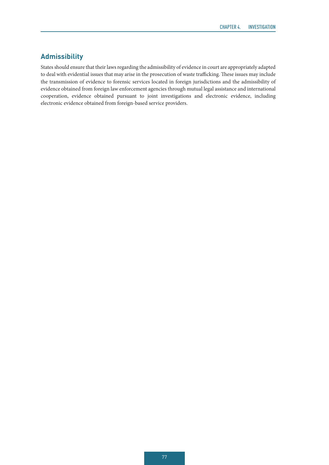# **Admissibility**

States should ensure that their laws regarding the admissibility of evidence in court are appropriately adapted to deal with evidential issues that may arise in the prosecution of waste trafficking. These issues may include the transmission of evidence to forensic services located in foreign jurisdictions and the admissibility of evidence obtained from foreign law enforcement agencies through mutual legal assistance and international cooperation, evidence obtained pursuant to joint investigations and electronic evidence, including electronic evidence obtained from foreign-based service providers.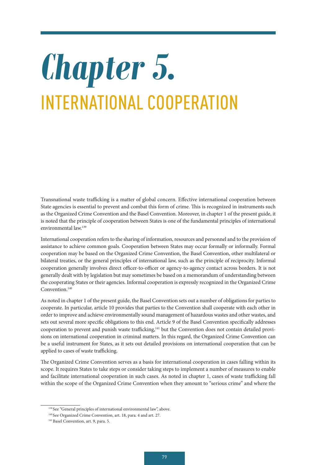# *Chapter 5.*  INTERNATIONAL COOPERATION

Transnational waste trafficking is a matter of global concern. Effective international cooperation between State agencies is essential to prevent and combat this form of crime. This is recognized in instruments such as the Organized Crime Convention and the Basel Convention. Moreover, in chapter 1 of the present guide, it is noted that the principle of cooperation between States is one of the fundamental principles of international environmental law.139

International cooperation refers to the sharing of information, resources and personnel and to the provision of assistance to achieve common goals. Cooperation between States may occur formally or informally. Formal cooperation may be based on the Organized Crime Convention, the Basel Convention, other multilateral or bilateral treaties, or the general principles of international law, such as the principle of reciprocity. Informal cooperation generally involves direct officer-to-officer or agency-to-agency contact across borders. It is not generally dealt with by legislation but may sometimes be based on a memorandum of understanding between the cooperating States or their agencies. Informal cooperation is expressly recognized in the Organized Crime Convention.<sup>140</sup>

As noted in chapter 1 of the present guide, the Basel Convention sets out a number of obligations for parties to cooperate. In particular, article 10 provides that parties to the Convention shall cooperate with each other in order to improve and achieve environmentally sound management of hazardous wastes and other wastes, and sets out several more specific obligations to this end. Article 9 of the Basel Convention specifically addresses cooperation to prevent and punish waste trafficking,<sup>141</sup> but the Convention does not contain detailed provisions on international cooperation in criminal matters. In this regard, the Organized Crime Convention can be a useful instrument for States, as it sets out detailed provisions on international cooperation that can be applied to cases of waste trafficking.

The Organized Crime Convention serves as a basis for international cooperation in cases falling within its scope. It requires States to take steps or consider taking steps to implement a number of measures to enable and facilitate international cooperation in such cases. As noted in chapter 1, cases of waste trafficking fall within the scope of the Organized Crime Convention when they amount to "serious crime" and where the

<sup>&</sup>lt;sup>139</sup> See "General principles of international environmental law", above.

<sup>140</sup> See Organized Crime Convention, art. 18, para. 4 and art. 27.

<sup>&</sup>lt;sup>141</sup> Basel Convention, art. 9, para. 5.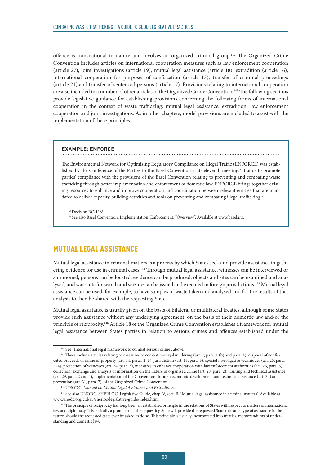offence is transnational in nature and involves an organized criminal group.142 The Organized Crime Convention includes articles on international cooperation measures such as law enforcement cooperation (article 27), joint investigations (article 19), mutual legal assistance (article 18), extradition (article 16), international cooperation for purposes of confiscation (article 13), transfer of criminal proceedings (article 21) and transfer of sentenced persons (article 17). Provisions relating to international cooperation are also included in a number of other articles of the Organized Crime Convention.143 The following sections provide legislative guidance for establishing provisions concerning the following forms of international cooperation in the context of waste trafficking: mutual legal assistance, extradition, law enforcement cooperation and joint investigations. As in other chapters, model provisions are included to assist with the implementation of these principles.

# **EXAMPLE: ENFORCE**

The Environmental Network for Optimizing Regulatory Compliance on Illegal Traffic (ENFORCE) was established by the Conference of the Parties to the Basel Convention at its eleventh meeting.<sup>*a*</sup> It aims to promote parties' compliance with the provisions of the Basel Convention relating to preventing and combating waste trafficking through better implementation and enforcement of domestic law. ENFORCE brings together existing resources to enhance and improve cooperation and coordination between relevant entities that are mandated to deliver capacity-building activities and tools on preventing and combating illegal trafficking.*<sup>b</sup>*

*a* Decision BC-11/8.

*b* See also Basel Convention, Implementation, Enforcement, "Overview". Available at www.basel.int.

# MUTUAL LEGAL ASSISTANCE

Mutual legal assistance in criminal matters is a process by which States seek and provide assistance in gathering evidence for use in criminal cases.<sup>144</sup> Through mutual legal assistance, witnesses can be interviewed or summoned, persons can be located, evidence can be produced, objects and sites can be examined and analysed, and warrants for search and seizure can be issued and executed in foreign jurisdictions.145 Mutual legal assistance can be used, for example, to have samples of waste taken and analysed and for the results of that analysis to then be shared with the requesting State.

Mutual legal assistance is usually given on the basis of bilateral or multilateral treaties, although some States provide such assistance without any underlying agreement, on the basis of their domestic law and/or the principle of reciprocity.146 Article 18 of the Organized Crime Convention establishes a framework for mutual legal assistance between States parties in relation to serious crimes and offences established under the

<sup>&</sup>lt;sup>142</sup> See "International legal framework to combat serious crime", above.

<sup>143</sup> These include articles relating to measures to combat money-laundering (art. 7, para. 1 (b) and para. 4), disposal of confiscated proceeds of crime or property (art. 14, paras. 2–3), jurisdiction (art. 15, para. 5), special investigative techniques (art. 20, para. 2–4), protection of witnesses (art. 24, para. 3), measures to enhance cooperation with law enforcement authorities (art. 26, para. 5), collection, exchange and analysis of information on the nature of organized crime (art. 28, para. 2), training and technical assistance (art. 29, para. 2 and 4), implementation of the Convention through economic development and technical assistance (art. 30) and prevention (art. 31, para. 7), of the Organized Crime Convention.

<sup>144</sup> UNODC, *Manual on Mutual Legal Assistance and Extradition*.

<sup>145</sup> See also UNODC, SHERLOC, Legislative Guide, chap. V, sect. B, "Mutual legal assistance in criminal matters". Available at [www.unodc.org/cld/v3/sherloc/legislative-guide/index.html](file:///C:\Users\LMALDONA2\Downloads\www.unodc.org\cld\v3\sherloc\legislative-guide\index.html).

<sup>146</sup> The principle of reciprocity has long been an established principle in the relations of States with respect to matters of international law and diplomacy. It is basically a promise that the requesting State will provide the requested State the same type of assistance in the future, should the requested State ever be asked to do so. This principle is usually incorporated into treaties, memorandums of understanding and domestic law.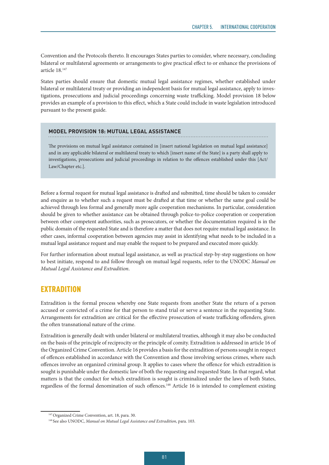Convention and the Protocols thereto. It encourages States parties to consider, where necessary, concluding bilateral or multilateral agreements or arrangements to give practical effect to or enhance the provisions of article 18.147

States parties should ensure that domestic mutual legal assistance regimes, whether established under bilateral or multilateral treaty or providing an independent basis for mutual legal assistance, apply to investigations, prosecutions and judicial proceedings concerning waste trafficking. Model provision 18 below provides an example of a provision to this effect, which a State could include in waste legislation introduced pursuant to the present guide.

#### **MODEL PROVISION 18: MUTUAL LEGAL ASSISTANCE**

The provisions on mutual legal assistance contained in [insert national legislation on mutual legal assistance] and in any applicable bilateral or multilateral treaty to which [insert name of the State] is a party shall apply to investigations, prosecutions and judicial proceedings in relation to the offences established under this [Act/ Law/Chapter etc.].

Before a formal request for mutual legal assistance is drafted and submitted, time should be taken to consider and enquire as to whether such a request must be drafted at that time or whether the same goal could be achieved through less formal and generally more agile cooperation mechanisms. In particular, consideration should be given to whether assistance can be obtained through police-to-police cooperation or cooperation between other competent authorities, such as prosecutors, or whether the documentation required is in the public domain of the requested State and is therefore a matter that does not require mutual legal assistance. In other cases, informal cooperation between agencies may assist in identifying what needs to be included in a mutual legal assistance request and may enable the request to be prepared and executed more quickly.

For further information about mutual legal assistance, as well as practical step-by-step suggestions on how to best initiate, respond to and follow through on mutual legal requests, refer to the UNODC *Manual on Mutual Legal Assistance and Extradition*.

# **EXTRADITION**

Extradition is the formal process whereby one State requests from another State the return of a person accused or convicted of a crime for that person to stand trial or serve a sentence in the requesting State. Arrangements for extradition are critical for the effective prosecution of waste trafficking offenders, given the often transnational nature of the crime.

Extradition is generally dealt with under bilateral or multilateral treaties, although it may also be conducted on the basis of the principle of reciprocity or the principle of comity. Extradition is addressed in article 16 of the Organized Crime Convention. Article 16 provides a basis for the extradition of persons sought in respect of offences established in accordance with the Convention and those involving serious crimes, where such offences involve an organized criminal group. It applies to cases where the offence for which extradition is sought is punishable under the domestic law of both the requesting and requested State. In that regard, what matters is that the conduct for which extradition is sought is criminalized under the laws of both States, regardless of the formal denomination of such offences.148 Article 16 is intended to complement existing

<sup>&</sup>lt;sup>147</sup> Organized Crime Convention, art. 18, para. 30.

<sup>148</sup> See also UNODC, *Manual on Mutual Legal Assistance and Extradition*, para. 103.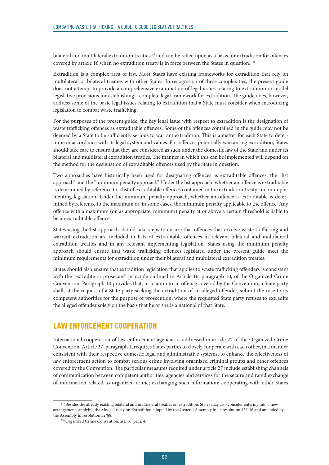bilateral and multilateral extradition treaties<sup>149</sup> and can be relied upon as a basis for extradition for offences covered by article 16 when no extradition treaty is in force between the States in question.<sup>150</sup>

Extradition is a complex area of law. Most States have existing frameworks for extradition that rely on multilateral or bilateral treaties with other States. In recognition of these complexities, the present guide does not attempt to provide a comprehensive examination of legal issues relating to extradition or model legislative provisions for establishing a complete legal framework for extradition. The guide does, however, address some of the basic legal issues relating to extradition that a State must consider when introducing legislation to combat waste trafficking.

For the purposes of the present guide, the key legal issue with respect to extradition is the designation of waste trafficking offences as extraditable offences. Some of the offences contained in the guide may not be deemed by a State to be sufficiently serious to warrant extradition. This is a matter for each State to determine in accordance with its legal system and values. For offences potentially warranting extradition, States should take care to ensure that they are considered as such under the domestic law of the State and under its bilateral and multilateral extradition treaties. The manner in which this can be implemented will depend on the method for the designation of extraditable offences used by the State in question.

Two approaches have historically been used for designating offences as extraditable offences: the "list approach" and the "minimum penalty approach". Under the list approach, whether an offence is extraditable is determined by reference to a list of extraditable offences contained in the extradition treaty and in implementing legislation. Under the minimum penalty approach, whether an offence is extraditable is determined by reference to the maximum or, in some cases, the minimum penalty applicable to the offence. Any offence with a maximum (or, as appropriate, minimum) penalty at or above a certain threshold is liable to be an extraditable offence.

States using the list approach should take steps to ensure that offences that involve waste trafficking and warrant extradition are included in lists of extraditable offences in relevant bilateral and multilateral extradition treaties and in any relevant implementing legislation. States using the minimum penalty approach should ensure that waste trafficking offences legislated under the present guide meet the minimum requirements for extradition under their bilateral and multilateral extradition treaties.

States should also ensure that extradition legislation that applies to waste trafficking offenders is consistent with the "extradite or prosecute" principle outlined in Article 16, paragraph 10, of the Organized Crime Convention. Paragraph 10 provides that, in relation to an offence covered by the Convention, a State party shall, at the request of a State party seeking the extradition of an alleged offender, submit the case to its competent authorities for the purpose of prosecution, where the requested State party refuses to extradite the alleged offender solely on the basis that he or she is a national of that State.

# LAW ENFORCEMENT COOPERATION

International cooperation of law enforcement agencies is addressed in article 27 of the Organized Crime Convention. Article 27, paragraph 1, requires States parties to closely cooperate with each other, in a manner consistent with their respective domestic legal and administrative systems, to enhance the effectiveness of law enforcement action to combat serious crime involving organized criminal groups and other offences covered by the Convention. The particular measures required under article 27 include establishing channels of communication between competent authorities, agencies and services for the secure and rapid exchange of information related to organized crime; exchanging such information; cooperating with other States

<sup>&</sup>lt;sup>149</sup> Besides the already existing bilateral and multilateral treaties on extradition, States may also consider entering into a new arrangements applying the Model Treaty on Extradition adopted by the General Assembly in its resolution 45/116 and amended by the Assembly in resolution 52/88.

<sup>150</sup> Organized Crime Convention, art. 16, para. 4.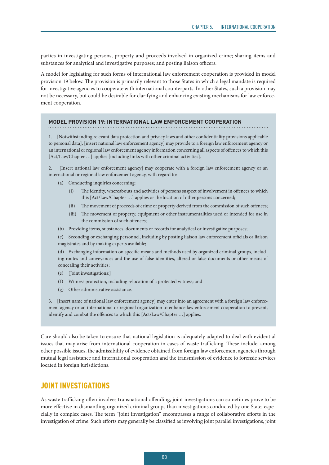parties in investigating persons, property and proceeds involved in organized crime; sharing items and substances for analytical and investigative purposes; and posting liaison officers.

A model for legislating for such forms of international law enforcement cooperation is provided in model provision 19 below. The provision is primarily relevant to those States in which a legal mandate is required for investigative agencies to cooperate with international counterparts. In other States, such a provision may not be necessary, but could be desirable for clarifying and enhancing existing mechanisms for law enforcement cooperation.

#### **MODEL PROVISION 19: INTERNATIONAL LAW ENFORCEMENT COOPERATION**

1. [Notwithstanding relevant data protection and privacy laws and other confidentiality provisions applicable to personal data], [insert national law enforcement agency] may provide to a foreign law enforcement agency or an international or regional law enforcement agency information concerning all aspects of offences to which this [Act/Law/Chapter ...] applies [including links with other criminal activities].

2. [Insert national law enforcement agency] may cooperate with a foreign law enforcement agency or an international or regional law enforcement agency, with regard to:

- (a) Conducting inquiries concerning:
	- (i) The identity, whereabouts and activities of persons suspect of involvement in offences to which this [Act/Law/Chapter …] applies or the location of other persons concerned;
	- (ii) The movement of proceeds of crime or property derived from the commission of such offences;
	- (iii) The movement of property, equipment or other instrumentalities used or intended for use in the commission of such offences;
- (b) Providing items, substances, documents or records for analytical or investigative purposes;

(c) Seconding or exchanging personnel, including by posting liaison law enforcement officials or liaison magistrates and by making experts available;

(d) Exchanging information on specific means and methods used by organized criminal groups, including routes and conveyances and the use of false identities, altered or false documents or other means of concealing their activities;

- (e) [Joint investigations;]
- (f) Witness protection, including relocation of a protected witness; and
- (g) Other administrative assistance.

3. [Insert name of national law enforcement agency] may enter into an agreement with a foreign law enforcement agency or an international or regional organization to enhance law enforcement cooperation to prevent, identify and combat the offences to which this [Act/Law/Chapter …] applies.

Care should also be taken to ensure that national legislation is adequately adapted to deal with evidential issues that may arise from international cooperation in cases of waste trafficking. These include, among other possible issues, the admissibility of evidence obtained from foreign law enforcement agencies through mutual legal assistance and international cooperation and the transmission of evidence to forensic services located in foreign jurisdictions.

# JOINT INVESTIGATIONS

As waste trafficking often involves transnational offending, joint investigations can sometimes prove to be more effective in dismantling organized criminal groups than investigations conducted by one State, especially in complex cases. The term "joint investigation" encompasses a range of collaborative efforts in the investigation of crime. Such efforts may generally be classified as involving joint parallel investigations, joint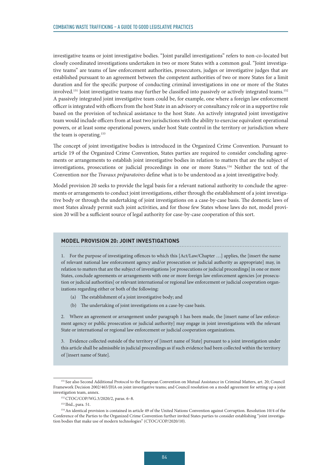investigative teams or joint investigative bodies. "Joint parallel investigations" refers to non-co-located but closely coordinated investigations undertaken in two or more States with a common goal. "Joint investigative teams" are teams of law enforcement authorities, prosecutors, judges or investigative judges that are established pursuant to an agreement between the competent authorities of two or more States for a limit duration and for the specific purpose of conducting criminal investigations in one or more of the States involved.<sup>151</sup> Joint investigative teams may further be classified into passively or actively integrated teams.<sup>152</sup> A passively integrated joint investigative team could be, for example, one where a foreign law enforcement officer is integrated with officers from the host State in an advisory or consultancy role or in a supportive role based on the provision of technical assistance to the host State. An actively integrated joint investigative team would include officers from at least two jurisdictions with the ability to exercise equivalent operational powers, or at least some operational powers, under host State control in the territory or jurisdiction where the team is operating.<sup>153</sup>

The concept of joint investigative bodies is introduced in the Organized Crime Convention. Pursuant to article 19 of the Organized Crime Convention, States parties are required to consider concluding agreements or arrangements to establish joint investigative bodies in relation to matters that are the subject of investigations, prosecutions or judicial proceedings in one or more States.154 Neither the text of the Convention nor the *Travaux préparatoires* define what is to be understood as a joint investigative body.

Model provision 20 seeks to provide the legal basis for a relevant national authority to conclude the agreements or arrangements to conduct joint investigations, either through the establishment of a joint investigative body or through the undertaking of joint investigations on a case-by-case basis. The domestic laws of most States already permit such joint activities, and for those few States whose laws do not, model provision 20 will be a sufficient source of legal authority for case-by-case cooperation of this sort.

#### **MODEL PROVISION 20: JOINT INVESTIGATIONS**

1. For the purpose of investigating offences to which this [Act/Law/Chapter …] applies, the [insert the name of relevant national law enforcement agency and/or prosecution or judicial authority as appropriate] may, in relation to matters that are the subject of investigations [or prosecutions or judicial proceedings] in one or more States, conclude agreements or arrangements with one or more foreign law enforcement agencies [or prosecution or judicial authorities] or relevant international or regional law enforcement or judicial cooperation organizations regarding either or both of the following:

- (a) The establishment of a joint investigative body; and
- (b) The undertaking of joint investigations on a case-by-case basis.

2. Where an agreement or arrangement under paragraph 1 has been made, the [insert name of law enforcement agency or public prosecution or judicial authority] may engage in joint investigations with the relevant State or international or regional law enforcement or judicial cooperation organizations.

3. Evidence collected outside of the territory of [insert name of State] pursuant to a joint investigation under this article shall be admissible in judicial proceedings as if such evidence had been collected within the territory of [insert name of State].

<sup>151</sup> See also Second Additional Protocol to the European Convention on Mutual Assistance in Criminal Matters, art. 20; Council Framework Decision 2002/465/JHA on joint investigative teams; and Council resolution on a model agreement for setting up a joint investigation team, annex.

<sup>152</sup> [CTOC/COP/WG.3/2020/2](https://undocs.org/Home/Mobile?FinalSymbol=CTOC%2FCOP%2FWG.3%2F2020%2F2&Language=E&DeviceType=Desktop&LangRequested=False), paras. 6–8.

<sup>153</sup> Ibid., para. 51.

<sup>&</sup>lt;sup>154</sup> An identical provision is contained in article 49 of the United Nations Convention against Corruption. Resolution 10/4 of the Conference of the Parties to the Organized Crime Convention further invited States parties to consider establishing "joint investigation bodies that make use of modern technologies" (CTOC/COP/2020/10).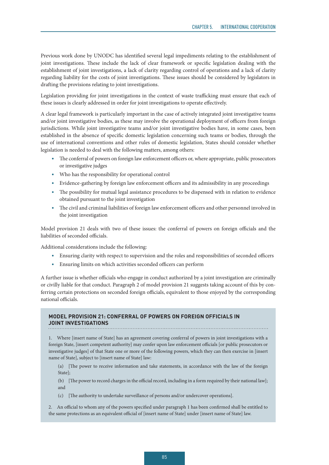Previous work done by UNODC has identified several legal impediments relating to the establishment of joint investigations. These include the lack of clear framework or specific legislation dealing with the establishment of joint investigations, a lack of clarity regarding control of operations and a lack of clarity regarding liability for the costs of joint investigations. These issues should be considered by legislators in drafting the provisions relating to joint investigations.

Legislation providing for joint investigations in the context of waste trafficking must ensure that each of these issues is clearly addressed in order for joint investigations to operate effectively.

A clear legal framework is particularly important in the case of actively integrated joint investigative teams and/or joint investigative bodies, as these may involve the operational deployment of officers from foreign jurisdictions. While joint investigative teams and/or joint investigative bodies have, in some cases, been established in the absence of specific domestic legislation concerning such teams or bodies, through the use of international conventions and other rules of domestic legislation, States should consider whether legislation is needed to deal with the following matters, among others:

- The conferral of powers on foreign law enforcement officers or, where appropriate, public prosecutors or investigative judges
- Who has the responsibility for operational control
- Evidence-gathering by foreign law enforcement officers and its admissibility in any proceedings
- The possibility for mutual legal assistance procedures to be dispensed with in relation to evidence obtained pursuant to the joint investigation
- The civil and criminal liabilities of foreign law enforcement officers and other personnel involved in the joint investigation

Model provision 21 deals with two of these issues: the conferral of powers on foreign officials and the liabilities of seconded officials.

Additional considerations include the following:

- Ensuring clarity with respect to supervision and the roles and responsibilities of seconded officers
- Ensuring limits on which activities seconded officers can perform

A further issue is whether officials who engage in conduct authorized by a joint investigation are criminally or civilly liable for that conduct. Paragraph 2 of model provision 21 suggests taking account of this by conferring certain protections on seconded foreign officials, equivalent to those enjoyed by the corresponding national officials.

# **MODEL PROVISION 21: CONFERRAL OF POWERS ON FOREIGN OFFICIALS IN JOINT INVESTIGATIONS**

1. Where [insert name of State] has an agreement covering conferral of powers in joint investigations with a foreign State, [insert competent authority] may confer upon law enforcement officials [or public prosecutors or investigative judges] of that State one or more of the following powers, which they can then exercise in [insert name of State], subject to [insert name of State] law:

(a) [The power to receive information and take statements, in accordance with the law of the foreign State];

(b) [The power to record charges in the official record, including in a form required by their national law]; and

(c) [The authority to undertake surveillance of persons and/or undercover operations].

2. An official to whom any of the powers specified under paragraph 1 has been confirmed shall be entitled to the same protections as an equivalent official of [insert name of State] under [insert name of State] law.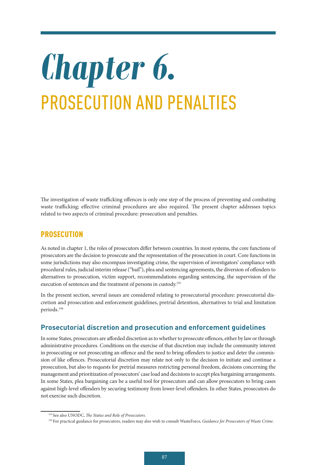# *Chapter 6.*  PROSECUTION AND PENALTIES

The investigation of waste trafficking offences is only one step of the process of preventing and combating waste trafficking; effective criminal procedures are also required. The present chapter addresses topics related to two aspects of criminal procedure: prosecution and penalties.

# **PROSECUTION**

As noted in chapter 1, the roles of prosecutors differ between countries. In most systems, the core functions of prosecutors are the decision to prosecute and the representation of the prosecution in court. Core functions in some jurisdictions may also encompass investigating crime, the supervision of investigators' compliance with procedural rules, judicial interim release ("bail"), plea and sentencing agreements, the diversion of offenders to alternatives to prosecution, victim support, recommendations regarding sentencing, the supervision of the execution of sentences and the treatment of persons in custody.155

In the present section, several issues are considered relating to prosecutorial procedure: prosecutorial discretion and prosecution and enforcement guidelines, pretrial detention, alternatives to trial and limitation periods.156

# **Prosecutorial discretion and prosecution and enforcement guidelines**

In some States, prosecutors are afforded discretion as to whether to prosecute offences, either by law or through administrative procedures. Conditions on the exercise of that discretion may include the community interest in prosecuting or not prosecuting an offence and the need to bring offenders to justice and deter the commission of like offences. Prosecutorial discretion may relate not only to the decision to initiate and continue a prosecution, but also to requests for pretrial measures restricting personal freedom, decisions concerning the management and prioritization of prosecutors' case load and decisions to accept plea bargaining arrangements. In some States, plea bargaining can be a useful tool for prosecutors and can allow prosecutors to bring cases against high-level offenders by securing testimony from lower-level offenders. In other States, prosecutors do not exercise such discretion.

<sup>155</sup> See also UNODC, *The Status and Role of Prosecutors*.

<sup>156</sup> For practical guidance for prosecutors, readers may also wish to consult WasteForce, *Guidance for Prosecutors of Waste Crime*.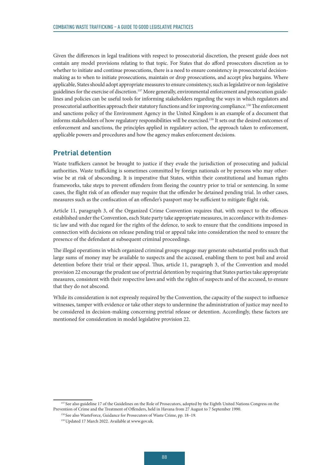Given the differences in legal traditions with respect to prosecutorial discretion, the present guide does not contain any model provisions relating to that topic. For States that do afford prosecutors discretion as to whether to initiate and continue prosecutions, there is a need to ensure consistency in prosecutorial decisionmaking as to when to initiate prosecutions, maintain or drop prosecutions, and accept plea bargains. Where applicable, States should adopt appropriate measures to ensure consistency, such as legislative or non-legislative guidelines for the exercise of discretion.157 More generally, environmental enforcement and prosecution guidelines and policies can be useful tools for informing stakeholders regarding the ways in which regulators and prosecutorial authorities approach their statutory functions and for improving compliance.158 The enforcement and sanctions policy of the Environment Agency in the United Kingdom is an example of a document that informs stakeholders of how regulatory responsibilities will be exercised.159 It sets out the desired outcomes of enforcement and sanctions, the principles applied in regulatory action, the approach taken to enforcement, applicable powers and procedures and how the agency makes enforcement decisions.

# **Pretrial detention**

Waste traffickers cannot be brought to justice if they evade the jurisdiction of prosecuting and judicial authorities. Waste trafficking is sometimes committed by foreign nationals or by persons who may otherwise be at risk of absconding. It is imperative that States, within their constitutional and human rights frameworks, take steps to prevent offenders from fleeing the country prior to trial or sentencing. In some cases, the flight risk of an offender may require that the offender be detained pending trial. In other cases, measures such as the confiscation of an offender's passport may be sufficient to mitigate flight risk.

Article 11, paragraph 3, of the Organized Crime Convention requires that, with respect to the offences established under the Convention, each State party take appropriate measures, in accordance with its domestic law and with due regard for the rights of the defence, to seek to ensure that the conditions imposed in connection with decisions on release pending trial or appeal take into consideration the need to ensure the presence of the defendant at subsequent criminal proceedings.

The illegal operations in which organized criminal groups engage may generate substantial profits such that large sums of money may be available to suspects and the accused, enabling them to post bail and avoid detention before their trial or their appeal. Thus, article 11, paragraph 3, of the Convention and model provision 22 encourage the prudent use of pretrial detention by requiring that States parties take appropriate measures, consistent with their respective laws and with the rights of suspects and of the accused, to ensure that they do not abscond.

While its consideration is not expressly required by the Convention, the capacity of the suspect to influence witnesses, tamper with evidence or take other steps to undermine the administration of justice may need to be considered in decision-making concerning pretrial release or detention. Accordingly, these factors are mentioned for consideration in model legislative provision 22.

<sup>157</sup> See also guideline 17 of the Guidelines on the Role of Prosecutors, adopted by the Eighth United Nations Congress on the Prevention of Crime and the Treatment of Offenders, held in Havana from 27 August to 7 September 1990.

<sup>158</sup> See also WasteForce, Guidance for Prosecutors of Waste Crime, pp. 18–19.

<sup>159</sup> Updated 17 March 2022. Available at www.gov.uk.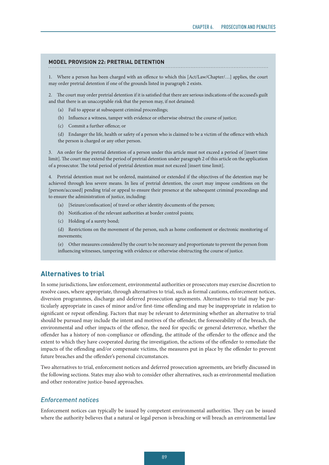#### **MODEL PROVISION 22: PRETRIAL DETENTION**

1. Where a person has been charged with an offence to which this [Act/Law/Chapter/…] applies, the court may order pretrial detention if one of the grounds listed in paragraph 2 exists.

2. The court may order pretrial detention if it is satisfied that there are serious indications of the accused's guilt and that there is an unacceptable risk that the person may, if not detained:

- (a) Fail to appear at subsequent criminal proceedings;
- (b) Influence a witness, tamper with evidence or otherwise obstruct the course of justice;
- (c) Commit a further offence; or

(d) Endanger the life, health or safety of a person who is claimed to be a victim of the offence with which the person is charged or any other person.

3. An order for the pretrial detention of a person under this article must not exceed a period of [insert time limit]. The court may extend the period of pretrial detention under paragraph 2 of this article on the application of a prosecutor. The total period of pretrial detention must not exceed [insert time limit].

4. Pretrial detention must not be ordered, maintained or extended if the objectives of the detention may be achieved through less severe means. In lieu of pretrial detention, the court may impose conditions on the [person/accused] pending trial or appeal to ensure their presence at the subsequent criminal proceedings and to ensure the administration of justice, including:

- (a) [Seizure/confiscation] of travel or other identity documents of the person;
- (b) Notification of the relevant authorities at border control points;
- (c) Holding of a surety bond;
- (d) Restrictions on the movement of the person, such as home confinement or electronic monitoring of movements;

(e) Other measures considered by the court to be necessary and proportionate to prevent the person from influencing witnesses, tampering with evidence or otherwise obstructing the course of justice.

# **Alternatives to trial**

In some jurisdictions, law enforcement, environmental authorities or prosecutors may exercise discretion to resolve cases, where appropriate, through alternatives to trial, such as formal cautions, enforcement notices, diversion programmes, discharge and deferred prosecution agreements. Alternatives to trial may be particularly appropriate in cases of minor and/or first-time offending and may be inappropriate in relation to significant or repeat offending. Factors that may be relevant to determining whether an alternative to trial should be pursued may include the intent and motives of the offender, the foreseeability of the breach, the environmental and other impacts of the offence, the need for specific or general deterrence, whether the offender has a history of non-compliance or offending, the attitude of the offender to the offence and the extent to which they have cooperated during the investigation, the actions of the offender to remediate the impacts of the offending and/or compensate victims, the measures put in place by the offender to prevent future breaches and the offender's personal circumstances.

Two alternatives to trial, enforcement notices and deferred prosecution agreements, are briefly discussed in the following sections. States may also wish to consider other alternatives, such as environmental mediation and other restorative justice-based approaches.

# *Enforcement notices*

Enforcement notices can typically be issued by competent environmental authorities. They can be issued where the authority believes that a natural or legal person is breaching or will breach an environmental law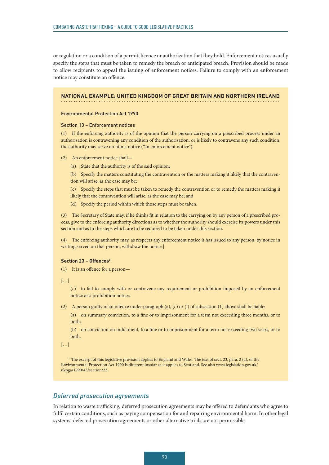or regulation or a condition of a permit, licence or authorization that they hold. Enforcement notices usually specify the steps that must be taken to remedy the breach or anticipated breach. Provision should be made to allow recipients to appeal the issuing of enforcement notices. Failure to comply with an enforcement notice may constitute an offence.

#### **NATIONAL EXAMPLE: UNITED KINGDOM OF GREAT BRITAIN AND NORTHERN IRELAND**

#### Environmental Protection Act 1990

#### Section 13 – Enforcement notices

(1) If the enforcing authority is of the opinion that the person carrying on a prescribed process under an authorisation is contravening any condition of the authorisation, or is likely to contravene any such condition, the authority may serve on him a notice ("an enforcement notice").

- (2) An enforcement notice shall—
	- (a) State that the authority is of the said opinion;

(b) Specify the matters constituting the contravention or the matters making it likely that the contravention will arise, as the case may be;

(c) Specify the steps that must be taken to remedy the contravention or to remedy the matters making it likely that the contravention will arise, as the case may be; and

(d) Specify the period within which those steps must be taken.

(3) The Secretary of State may, if he thinks fit in relation to the carrying on by any person of a prescribed process, give to the enforcing authority directions as to whether the authority should exercise its powers under this section and as to the steps which are to be required to be taken under this section.

(4) The enforcing authority may, as respects any enforcement notice it has issued to any person, by notice in writing served on that person, withdraw the notice.]

#### **Section 23 – Offences***<sup>a</sup>*

(1) It is an offence for a person—

 $[$   $[$   $]$   $]$ 

(c) to fail to comply with or contravene any requirement or prohibition imposed by an enforcement notice or a prohibition notice;

(2) A person guilty of an offence under paragraph (a), (c) or (l) of subsection (1) above shall be liable:

(a) on summary conviction, to a fine or to imprisonment for a term not exceeding three months, or to both;

(b) on conviction on indictment, to a fine or to imprisonment for a term not exceeding two years, or to both.

[…]

*a* The excerpt of this legislative provision applies to England and Wales. The text of sect. 23, para. 2 (a), of the Environmental Protection Act 1990 is different insofar as it applies to Scotland. See also www.legislation.gov.uk/ ukpga/1990/43/section/23.

# *Deferred prosecution agreements*

In relation to waste trafficking, deferred prosecution agreements may be offered to defendants who agree to fulfil certain conditions, such as paying compensation for and repairing environmental harm. In other legal systems, deferred prosecution agreements or other alternative trials are not permissible.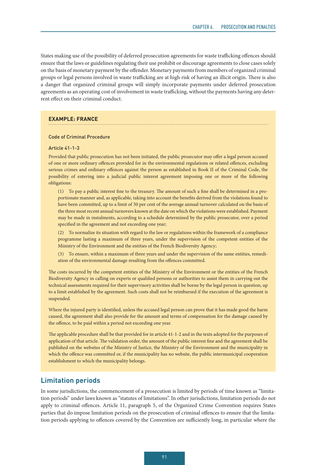States making use of the possibility of deferred prosecution agreements for waste trafficking offences should ensure that the laws or guidelines regulating their use prohibit or discourage agreements to close cases solely on the basis of monetary payment by the offender. Monetary payments from members of organized criminal groups or legal persons involved in waste trafficking are at high risk of having an illicit origin. There is also a danger that organized criminal groups will simply incorporate payments under deferred prosecution agreements as an operating cost of involvement in waste trafficking, without the payments having any deterrent effect on their criminal conduct.

# **EXAMPLE: FRANCE**

Code of Criminal Procedure

#### Article 41-1-3

Provided that public prosecution has not been initiated, the public prosecutor may offer a legal person accused of one or more ordinary offences provided for in the environmental regulations or related offences, excluding serious crimes and ordinary offences against the person as established in Book II of the Criminal Code, the possibility of entering into a judicial public interest agreement imposing one or more of the following obligations:

(1) To pay a public interest fine to the treasury. The amount of such a fine shall be determined in a proportionate manner and, as applicable, taking into account the benefits derived from the violations found to have been committed, up to a limit of 30 per cent of the average annual turnover calculated on the basis of the three most recent annual turnovers known at the date on which the violations were established. Payment may be made in instalments, according to a schedule determined by the public prosecutor, over a period specified in the agreement and not exceeding one year;

(2) To normalize its situation with regard to the law or regulations within the framework of a compliance programme lasting a maximum of three years, under the supervision of the competent entities of the Ministry of the Environment and the entities of the French Biodiversity Agency;

(3) To ensure, within a maximum of three years and under the supervision of the same entities, remediation of the environmental damage resulting from the offences committed.

The costs incurred by the competent entities of the Ministry of the Environment or the entities of the French Biodiversity Agency in calling on experts or qualified persons or authorities to assist them in carrying out the technical assessments required for their supervisory activities shall be borne by the legal person in question, up to a limit established by the agreement. Such costs shall not be reimbursed if the execution of the agreement is suspended.

Where the injured party is identified, unless the accused legal person can prove that it has made good the harm caused, the agreement shall also provide for the amount and terms of compensation for the damage caused by the offence, to be paid within a period not exceeding one year.

The applicable procedure shall be that provided for in article 41-1-2 and in the texts adopted for the purposes of application of that article. The validation order, the amount of the public interest fine and the agreement shall be published on the websites of the Ministry of Justice, the Ministry of the Environment and the municipality in which the offence was committed or, if the municipality has no website, the public intermunicipal cooperation establishment to which the municipality belongs.

# **Limitation periods**

In some jurisdictions, the commencement of a prosecution is limited by periods of time known as "limitation periods" under laws known as "statutes of limitations". In other jurisdictions, limitation periods do not apply to criminal offences. Article 11, paragraph 5, of the Organized Crime Convention requires States parties that do impose limitation periods on the prosecution of criminal offences to ensure that the limitation periods applying to offences covered by the Convention are sufficiently long, in particular where the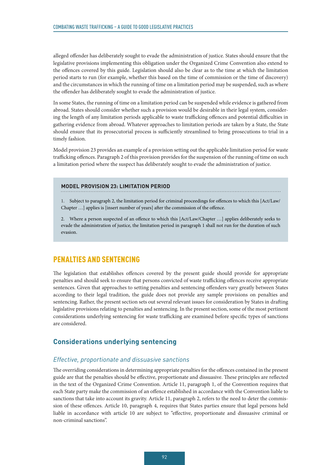alleged offender has deliberately sought to evade the administration of justice. States should ensure that the legislative provisions implementing this obligation under the Organized Crime Convention also extend to the offences covered by this guide. Legislation should also be clear as to the time at which the limitation period starts to run (for example, whether this based on the time of commission or the time of discovery) and the circumstances in which the running of time on a limitation period may be suspended, such as where the offender has deliberately sought to evade the administration of justice.

In some States, the running of time on a limitation period can be suspended while evidence is gathered from abroad. States should consider whether such a provision would be desirable in their legal system, considering the length of any limitation periods applicable to waste trafficking offences and potential difficulties in gathering evidence from abroad. Whatever approaches to limitation periods are taken by a State, the State should ensure that its prosecutorial process is sufficiently streamlined to bring prosecutions to trial in a timely fashion.

Model provision 23 provides an example of a provision setting out the applicable limitation period for waste trafficking offences. Paragraph 2 of this provision provides for the suspension of the running of time on such a limitation period where the suspect has deliberately sought to evade the administration of justice.

## **MODEL PROVISION 23: LIMITATION PERIOD**

1. Subject to paragraph 2, the limitation period for criminal proceedings for offences to which this [Act/Law/ Chapter …] applies is [insert number of years] after the commission of the offence.

2. Where a person suspected of an offence to which this [Act/Law/Chapter …] applies deliberately seeks to evade the administration of justice, the limitation period in paragraph 1 shall not run for the duration of such evasion.

# PENALTIES AND SENTENCING

The legislation that establishes offences covered by the present guide should provide for appropriate penalties and should seek to ensure that persons convicted of waste trafficking offences receive appropriate sentences. Given that approaches to setting penalties and sentencing offenders vary greatly between States according to their legal tradition, the guide does not provide any sample provisions on penalties and sentencing. Rather, the present section sets out several relevant issues for consideration by States in drafting legislative provisions relating to penalties and sentencing. In the present section, some of the most pertinent considerations underlying sentencing for waste trafficking are examined before specific types of sanctions are considered.

# **Considerations underlying sentencing**

## *Effective, proportionate and dissuasive sanctions*

The overriding considerations in determining appropriate penalties for the offences contained in the present guide are that the penalties should be effective, proportionate and dissuasive. These principles are reflected in the text of the Organized Crime Convention. Article 11, paragraph 1, of the Convention requires that each State party make the commission of an offence established in accordance with the Convention liable to sanctions that take into account its gravity. Article 11, paragraph 2, refers to the need to deter the commission of these offences. Article 10, paragraph 4, requires that States parties ensure that legal persons held liable in accordance with article 10 are subject to "effective, proportionate and dissuasive criminal or non-criminal sanctions".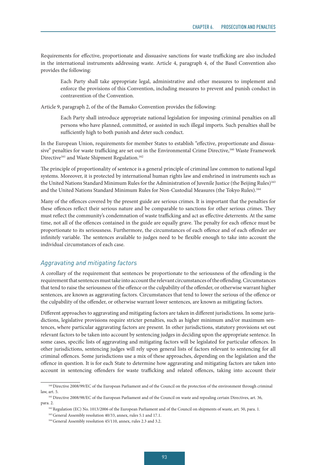Requirements for effective, proportionate and dissuasive sanctions for waste trafficking are also included in the international instruments addressing waste. Article 4, paragraph 4, of the Basel Convention also provides the following:

Each Party shall take appropriate legal, administrative and other measures to implement and enforce the provisions of this Convention, including measures to prevent and punish conduct in contravention of the Convention.

Article 9, paragraph 2, of the of the Bamako Convention provides the following:

Each Party shall introduce appropriate national legislation for imposing criminal penalties on all persons who have planned, committed, or assisted in such illegal imports. Such penalties shall be sufficiently high to both punish and deter such conduct.

In the European Union, requirements for member States to establish "effective, proportionate and dissuasive" penalties for waste trafficking are set out in the Environmental Crime Directive,<sup>160</sup> Waste Framework Directive<sup>161</sup> and Waste Shipment Regulation.<sup>162</sup>

The principle of proportionality of sentence is a general principle of criminal law common to national legal systems. Moreover, it is protected by international human rights law and enshrined in instruments such as the United Nations Standard Minimum Rules for the Administration of Juvenile Justice (the Beijing Rules)<sup>163</sup> and the United Nations Standard Minimum Rules for Non-Custodial Measures (the Tokyo Rules).<sup>164</sup>

Many of the offences covered by the present guide are serious crimes. It is important that the penalties for these offences reflect their serious nature and be comparable to sanctions for other serious crimes. They must reflect the community's condemnation of waste trafficking and act as effective deterrents. At the same time, not all of the offences contained in the guide are equally grave. The penalty for each offence must be proportionate to its seriousness. Furthermore, the circumstances of each offence and of each offender are infinitely variable. The sentences available to judges need to be flexible enough to take into account the individual circumstances of each case.

# *Aggravating and mitigating factors*

A corollary of the requirement that sentences be proportionate to the seriousness of the offending is the requirement that sentences must take into account the relevant circumstances of the offending. Circumstances that tend to raise the seriousness of the offence or the culpability of the offender, or otherwise warrant higher sentences, are known as aggravating factors. Circumstances that tend to lower the serious of the offence or the culpability of the offender, or otherwise warrant lower sentences, are known as mitigating factors.

Different approaches to aggravating and mitigating factors are taken in different jurisdictions. In some jurisdictions, legislative provisions require stricter penalties, such as higher minimum and/or maximum sentences, where particular aggravating factors are present. In other jurisdictions, statutory provisions set out relevant factors to be taken into account by sentencing judges in deciding upon the appropriate sentence. In some cases, specific lists of aggravating and mitigating factors will be legislated for particular offences. In other jurisdictions, sentencing judges will rely upon general lists of factors relevant to sentencing for all criminal offences. Some jurisdictions use a mix of these approaches, depending on the legislation and the offence in question. It is for each State to determine how aggravating and mitigating factors are taken into account in sentencing offenders for waste trafficking and related offences, taking into account their

<sup>160</sup> Directive 2008/99/EC of the European Parliament and of the Council on the protection of the environment through criminal law, art. 5.

<sup>&</sup>lt;sup>161</sup> Directive 2008/98/EC of the European Parliament and of the Council on waste and repealing certain Directives, art. 36, para. 2.

<sup>162</sup> Regulation (EC) No. 1013/2006 of the European Parliament and of the Council on shipments of waste, art. 50, para. 1.

<sup>&</sup>lt;sup>163</sup> General Assembly resolution 40/33, annex, rules 5.1 and 17.1.

<sup>&</sup>lt;sup>164</sup> General Assembly resolution 45/110, annex, rules 2.3 and 3.2.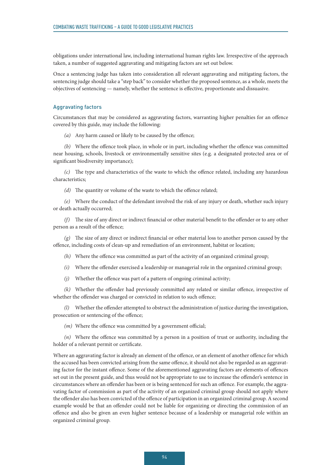obligations under international law, including international human rights law. Irrespective of the approach taken, a number of suggested aggravating and mitigating factors are set out below.

Once a sentencing judge has taken into consideration all relevant aggravating and mitigating factors, the sentencing judge should take a "step back" to consider whether the proposed sentence, as a whole, meets the objectives of sentencing — namely, whether the sentence is effective, proportionate and dissuasive.

#### Aggravating factors

Circumstances that may be considered as aggravating factors, warranting higher penalties for an offence covered by this guide, may include the following:

*(a)* Any harm caused or likely to be caused by the offence;

*(b)* Where the offence took place, in whole or in part, including whether the offence was committed near housing, schools, livestock or environmentally sensitive sites (e.g. a designated protected area or of significant biodiversity importance);

*(c)* The type and characteristics of the waste to which the offence related, including any hazardous characteristics;

*(d)* The quantity or volume of the waste to which the offence related;

*(e)* Where the conduct of the defendant involved the risk of any injury or death, whether such injury or death actually occurred;

*(f)* The size of any direct or indirect financial or other material benefit to the offender or to any other person as a result of the offence;

*(g)* The size of any direct or indirect financial or other material loss to another person caused by the offence, including costs of clean-up and remediation of an environment, habitat or location;

*(h)* Where the offence was committed as part of the activity of an organized criminal group;

*(i)* Where the offender exercised a leadership or managerial role in the organized criminal group;

*(j)* Whether the offence was part of a pattern of ongoing criminal activity;

*(k)* Whether the offender had previously committed any related or similar offence, irrespective of whether the offender was charged or convicted in relation to such offence;

*(l)* Whether the offender attempted to obstruct the administration of justice during the investigation, prosecution or sentencing of the offence;

*(m)* Where the offence was committed by a government official;

*(n)* Where the offence was committed by a person in a position of trust or authority, including the holder of a relevant permit or certificate.

Where an aggravating factor is already an element of the offence, or an element of another offence for which the accused has been convicted arising from the same offence, it should not also be regarded as an aggravating factor for the instant offence. Some of the aforementioned aggravating factors are elements of offences set out in the present guide, and thus would not be appropriate to use to increase the offender's sentence in circumstances where an offender has been or is being sentenced for such an offence. For example, the aggravating factor of commission as part of the activity of an organized criminal group should not apply where the offender also has been convicted of the offence of participation in an organized criminal group. A second example would be that an offender could not be liable for organizing or directing the commission of an offence and also be given an even higher sentence because of a leadership or managerial role within an organized criminal group.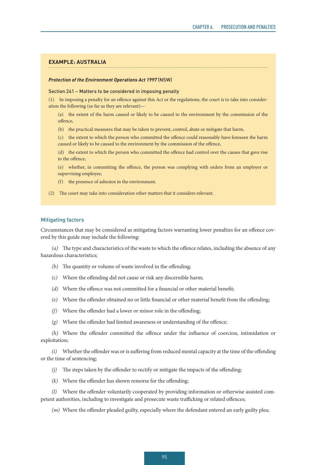#### **EXAMPLE: AUSTRALIA**

#### *Protection of the Environment Operations Act 1997* (NSW)

#### Section 241 – Matters to be considered in imposing penalty

(1) In imposing a penalty for an offence against this Act or the regulations, the court is to take into consideration the following (so far as they are relevant)—

(a) the extent of the harm caused or likely to be caused to the environment by the commission of the offence,

(b) the practical measures that may be taken to prevent, control, abate or mitigate that harm,

(c) the extent to which the person who committed the offence could reasonably have foreseen the harm caused or likely to be caused to the environment by the commission of the offence,

(d) the extent to which the person who committed the offence had control over the causes that gave rise to the offence,

(e) whether, in committing the offence, the person was complying with orders from an employer or supervising employee,

(f) the presence of asbestos in the environment.

(2) The court may take into consideration other matters that it considers relevant.

### Mitigating factors

Circumstances that may be considered as mitigating factors warranting lower penalties for an offence covered by this guide may include the following:

*(a)* The type and characteristics of the waste to which the offence relates, including the absence of any hazardous characteristics;

- *(b)* The quantity or volume of waste involved in the offending;
- *(c)* Where the offending did not cause or risk any discernible harm;
- *(d)* Where the offence was not committed for a financial or other material benefit;
- *(e)* Where the offender obtained no or little financial or other material benefit from the offending;
- *(f)* Where the offender had a lower or minor role in the offending;
- *(g)* Where the offender had limited awareness or understanding of the offence;

*(h)* Where the offender committed the offence under the influence of coercion, intimidation or exploitation;

*(i)* Whether the offender was or is suffering from reduced mental capacity at the time of the offending or the time of sentencing;

- *(j)* The steps taken by the offender to rectify or mitigate the impacts of the offending;
- *(k)* Where the offender has shown remorse for the offending;

*(l)* Where the offender voluntarily cooperated by providing information or otherwise assisted competent authorities, including to investigate and prosecute waste trafficking or related offences;

*(m)* Where the offender pleaded guilty, especially where the defendant entered an early guilty plea;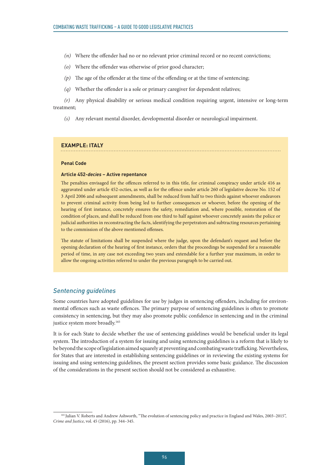- *(n)* Where the offender had no or no relevant prior criminal record or no recent convictions;
- *(o)* Where the offender was otherwise of prior good character;
- *(p)* The age of the offender at the time of the offending or at the time of sentencing;
- *(q)* Whether the offender is a sole or primary caregiver for dependent relatives;

*(r)* Any physical disability or serious medical condition requiring urgent, intensive or long-term treatment;

*(s)* Any relevant mental disorder, developmental disorder or neurological impairment.

#### **EXAMPLE: ITALY**

#### **Penal Code**

#### **Article 452-***decies* **– Active repentance**

The penalties envisaged for the offences referred to in this title, for criminal conspiracy under article 416 as aggravated under article 452-octies, as well as for the offence under article 260 of legislative decree No. 152 of 3 April 2006 and subsequent amendments, shall be reduced from half to two thirds against whoever endeavors to prevent criminal activity from being led to further consequences or whoever, before the opening of the hearing of first instance, concretely ensures the safety, remediation and, where possible, restoration of the condition of places, and shall be reduced from one third to half against whoever concretely assists the police or judicial authorities in reconstructing the facts, identifying the perpetrators and subtracting resources pertaining to the commission of the above mentioned offenses.

The statute of limitations shall be suspended where the judge, upon the defendant's request and before the opening declaration of the hearing of first instance, orders that the proceedings be suspended for a reasonable period of time, in any case not exceeding two years and extendable for a further year maximum, in order to allow the ongoing activities referred to under the previous paragraph to be carried out.

#### *Sentencing guidelines*

Some countries have adopted guidelines for use by judges in sentencing offenders, including for environmental offences such as waste offences. The primary purpose of sentencing guidelines is often to promote consistency in sentencing, but they may also promote public confidence in sentencing and in the criminal justice system more broadly.<sup>165</sup>

It is for each State to decide whether the use of sentencing guidelines would be beneficial under its legal system. The introduction of a system for issuing and using sentencing guidelines is a reform that is likely to be beyond the scope of legislation aimed squarely at preventing and combating waste trafficking. Nevertheless, for States that are interested in establishing sentencing guidelines or in reviewing the existing systems for issuing and using sentencing guidelines, the present section provides some basic guidance. The discussion of the considerations in the present section should not be considered as exhaustive.

<sup>&</sup>lt;sup>165</sup> Julian V. Roberts and Andrew Ashworth, "The evolution of sentencing policy and practice in England and Wales, 2003-2015", *Crime and Justice*, vol. 45 (2016), pp. 344–345.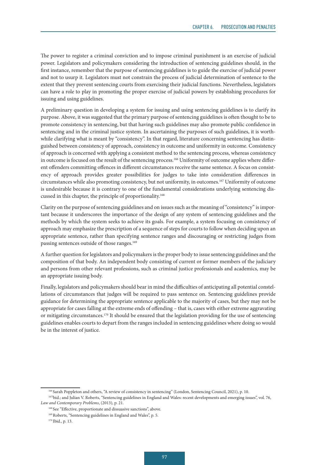The power to register a criminal conviction and to impose criminal punishment is an exercise of judicial power. Legislators and policymakers considering the introduction of sentencing guidelines should, in the first instance, remember that the purpose of sentencing guidelines is to guide the exercise of judicial power and not to usurp it. Legislators must not constrain the process of judicial determination of sentence to the extent that they prevent sentencing courts from exercising their judicial functions. Nevertheless, legislators can have a role to play in promoting the proper exercise of judicial powers by establishing procedures for issuing and using guidelines.

A preliminary question in developing a system for issuing and using sentencing guidelines is to clarify its purpose. Above, it was suggested that the primary purpose of sentencing guidelines is often thought to be to promote consistency in sentencing, but that having such guidelines may also promote public confidence in sentencing and in the criminal justice system. In ascertaining the purposes of such guidelines, it is worthwhile clarifying what is meant by "consistency". In that regard, literature concerning sentencing has distinguished between consistency of approach, consistency in outcome and uniformity in outcome. Consistency of approach is concerned with applying a consistent method to the sentencing process, whereas consistency in outcome is focused on the result of the sentencing process.<sup>166</sup> Uniformity of outcome applies where different offenders committing offences in different circumstances receive the same sentence. A focus on consistency of approach provides greater possibilities for judges to take into consideration differences in circumstances while also promoting consistency, but not uniformity, in outcomes.167 Uniformity of outcome is undesirable because it is contrary to one of the fundamental considerations underlying sentencing discussed in this chapter, the principle of proportionality.168

Clarity on the purpose of sentencing guidelines and on issues such as the meaning of "consistency" is important because it underscores the importance of the design of any system of sentencing guidelines and the methods by which the system seeks to achieve its goals. For example, a system focusing on consistency of approach may emphasize the prescription of a sequence of steps for courts to follow when deciding upon an appropriate sentence, rather than specifying sentence ranges and discouraging or restricting judges from passing sentences outside of those ranges.<sup>169</sup>

A further question for legislators and policymakers is the proper body to issue sentencing guidelines and the composition of that body. An independent body consisting of current or former members of the judiciary and persons from other relevant professions, such as criminal justice professionals and academics, may be an appropriate issuing body.

Finally, legislators and policymakers should bear in mind the difficulties of anticipating all potential constellations of circumstances that judges will be required to pass sentence on. Sentencing guidelines provide guidance for determining the appropriate sentence applicable to the majority of cases, but they may not be appropriate for cases falling at the extreme ends of offending – that is, cases with either extreme aggravating or mitigating circumstances.170 It should be ensured that the legislation providing for the use of sentencing guidelines enables courts to depart from the ranges included in sentencing guidelines where doing so would be in the interest of justice.

<sup>166</sup> Sarah Poppleton and others, "A review of consistency in sentencing" (London, Sentencing Council, 2021), p. 10.

<sup>167</sup>Ibid.; and Julian V. Roberts, "Sentencing guidelines in England and Wales: recent developments and emerging issues", vol. 76, *Law and Contemporary Problems*, (2013), p. 21.

<sup>&</sup>lt;sup>168</sup> See "Effective, proportionate and dissuasive sanctions", above.

<sup>169</sup> Roberts, "Sentencing guidelines in England and Wales", p. 5.

<sup>&</sup>lt;sup>170</sup> Ibid., p. 13.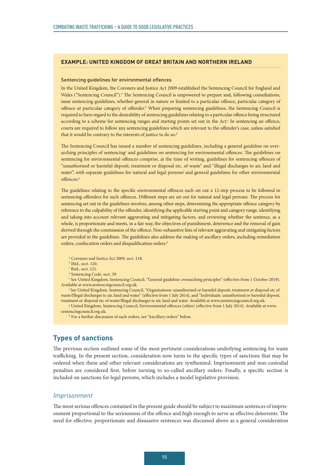#### **EXAMPLE: UNITED KINGDOM OF GREAT BRITAIN AND NORTHERN IRELAND**

#### Sentencing guidelines for environmental offences

In the United Kingdom, the Coroners and Justice Act 2009 established the Sentencing Council for England and Wales ("Sentencing Council").<sup>*a*</sup> The Sentencing Council is empowered to prepare and, following consultations, issue sentencing guidelines, whether general in nature or limited to a particular offence, particular category of offence or particular category of offender.*<sup>b</sup>* When preparing sentencing guidelines, the Sentencing Council is required to have regard to the desirability of sentencing guidelines relating to a particular offence being structured according to a scheme for sentencing ranges and starting points set out in the Act.*<sup>c</sup>* In sentencing an offence, courts are required to follow any sentencing guidelines which are relevant to the offender's case, unless satisfied that it would be contrary to the interests of justice to do so.*<sup>d</sup>*

The Sentencing Council has issued a number of sentencing guidelines, including a general guideline on overarching principles of sentencing<sup>e</sup> and guidelines on sentencing for environmental offences. The guidelines on sentencing for environmental offences comprise, at the time of writing, guidelines for sentencing offences of "unauthorised or harmful deposit, treatment or disposal etc. of waste" and "illegal discharges to air, land and water", with separate guidelines for natural and legal persons<sup>*f*</sup> and general guidelines for other environmental offences.*<sup>g</sup>*

The guidelines relating to the specific environmental offences each set out a 12-step process to be followed in sentencing offenders for such offences. Different steps are set out for natural and legal persons. The process for sentencing set out in the guidelines involves, among other steps, determining the appropriate offence category by reference to the culpability of the offender, identifying the applicable starting point and category range, identifying and taking into account relevant aggravating and mitigating factors, and reviewing whether the sentence, as a whole, is proportionate and meets, in a fair way, the objectives of punishment, deterrence and the removal of gain derived through the commission of the offence. Non-exhaustive lists of relevant aggravating and mitigating factors are provided in the guidelines. The guidelines also address the making of ancillary orders, including remediation orders, confiscation orders and disqualification orders.*<sup>h</sup>*

*a* Coroners and Justice Act 2009, sect. 118.

*b* Ibid., sect. 120.

*c* Ibid., sect. 121.

*d* Sentencing Code, sect. 59

*e* See United Kingdom, Sentencing Council, "General guideline: overarching principles" (effective from 1 October 2019). Available at www.sentencingcouncil.org.uk.

*f* See United Kingdom, Sentencing Council, "Organisations: unauthorised or harmful deposit, treatment or disposal etc of waste/Illegal discharges to air, land and water" (effective from 1 July 2014), and "Individuals: unauthorised or harmful deposit, treatment or disposal etc of waste/Illegal discharges to air, land and water. Available at www.sentencingcouncil.org.uk.

*g* United Kingdom, Sentencing Council, Environmental offences (other) (effective from 1 July 2014). Available at www. sentencingcouncil.org.uk.

*h* For a further discussion of such orders, see "Ancillary orders" below.

# **Types of sanctions**

The previous section outlined some of the most pertinent considerations underlying sentencing for waste trafficking. In the present section, consideration now turns to the specific types of sanctions that may be ordered when these and other relevant considerations are synthesized. Imprisonment and non-custodial penalties are considered first, before turning to so-called ancillary orders. Finally, a specific section is included on sanctions for legal persons, which includes a model legislative provision.

### *Imprisonment*

The most serious offences contained in the present guide should be subject to maximum sentences of imprisonment proportional to the seriousness of the offence and high enough to serve as effective deterrents. The need for effective, proportionate and dissuasive sentences was discussed above as a general consideration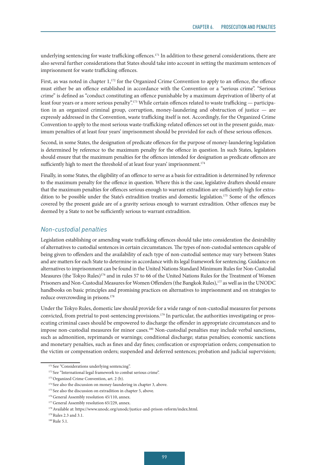underlying sentencing for waste trafficking offences.171 In addition to these general considerations, there are also several further considerations that States should take into account in setting the maximum sentences of imprisonment for waste trafficking offences.

First, as was noted in chapter 1,<sup>172</sup> for the Organized Crime Convention to apply to an offence, the offence must either be an offence established in accordance with the Convention or a "serious crime". "Serious crime" is defined as "conduct constituting an offence punishable by a maximum deprivation of liberty of at least four years or a more serious penalty".173 While certain offences related to waste trafficking — participation in an organized criminal group, corruption, money-laundering and obstruction of justice — are expressly addressed in the Convention, waste trafficking itself is not. Accordingly, for the Organized Crime Convention to apply to the most serious waste-trafficking-related offences set out in the present guide, maximum penalties of at least four years' imprisonment should be provided for each of these serious offences.

Second, in some States, the designation of predicate offences for the purpose of money-laundering legislation is determined by reference to the maximum penalty for the offence in question. In such States, legislators should ensure that the maximum penalties for the offences intended for designation as predicate offences are sufficiently high to meet the threshold of at least four years' imprisonment.<sup>174</sup>

Finally, in some States, the eligibility of an offence to serve as a basis for extradition is determined by reference to the maximum penalty for the offence in question. Where this is the case, legislative drafters should ensure that the maximum penalties for offences serious enough to warrant extradition are sufficiently high for extradition to be possible under the State's extradition treaties and domestic legislation.175 Some of the offences covered by the present guide are of a gravity serious enough to warrant extradition. Other offences may be deemed by a State to not be sufficiently serious to warrant extradition.

# *Non-custodial penalties*

Legislation establishing or amending waste trafficking offences should take into consideration the desirability of alternatives to custodial sentences in certain circumstances. The types of non-custodial sentences capable of being given to offenders and the availability of each type of non-custodial sentence may vary between States and are matters for each State to determine in accordance with its legal framework for sentencing. Guidance on alternatives to imprisonment can be found in the United Nations Standard Minimum Rules for Non-Custodial Measures (the Tokyo Rules)<sup>176</sup> and in rules 57 to 66 of the United Nations Rules for the Treatment of Women Prisoners and Non-Custodial Measures for Women Offenders (the Bangkok Rules),<sup>177</sup> as well as in the UNODC handbooks on basic principles and promising practices on alternatives to imprisonment and on strategies to reduce overcrowding in prisons.<sup>178</sup>

Under the Tokyo Rules, domestic law should provide for a wide range of non-custodial measures for persons convicted, from pretrial to post-sentencing provisions.179 In particular, the authorities investigating or prosecuting criminal cases should be empowered to discharge the offender in appropriate circumstances and to impose non-custodial measures for minor cases.<sup>180</sup> Non-custodial penalties may include verbal sanctions, such as admonition, reprimands or warnings; conditional discharge; status penalties; economic sanctions and monetary penalties, such as fines and day fines; confiscation or expropriation orders; compensation to the victim or compensation orders; suspended and deferred sentences; probation and judicial supervision;

<sup>&</sup>lt;sup>171</sup> See "Considerations underlying sentencing".

<sup>&</sup>lt;sup>172</sup> See "International legal framework to combat serious crime".

<sup>&</sup>lt;sup>173</sup> Organized Crime Convention, art. 2 (b).

<sup>&</sup>lt;sup>174</sup> See also the discussion on money-laundering in chapter 3, above.

<sup>&</sup>lt;sup>175</sup> See also the discussion on extradition in chapter 5, above.

<sup>&</sup>lt;sup>176</sup> General Assembly resolution 45/110, annex.

<sup>&</sup>lt;sup>177</sup> General Assembly resolution 65/229, annex.

<sup>178</sup> Available at: https://www.unodc.org/unodc/justice-and-prison-reform/index.html.

<sup>&</sup>lt;sup>179</sup> Rules 2.3 and 3.1.

<sup>180</sup> Rule 5.1.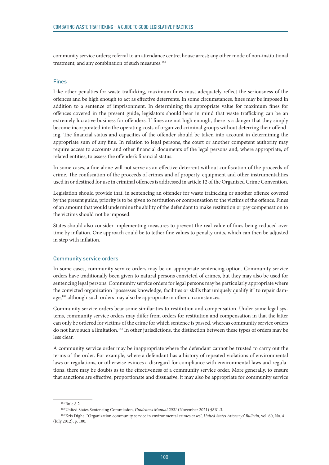community service orders; referral to an attendance centre; house arrest; any other mode of non-institutional treatment; and any combination of such measures.<sup>181</sup>

#### Fines

Like other penalties for waste trafficking, maximum fines must adequately reflect the seriousness of the offences and be high enough to act as effective deterrents. In some circumstances, fines may be imposed in addition to a sentence of imprisonment. In determining the appropriate value for maximum fines for offences covered in the present guide, legislators should bear in mind that waste trafficking can be an extremely lucrative business for offenders. If fines are not high enough, there is a danger that they simply become incorporated into the operating costs of organized criminal groups without deterring their offending. The financial status and capacities of the offender should be taken into account in determining the appropriate sum of any fine. In relation to legal persons, the court or another competent authority may require access to accounts and other financial documents of the legal persons and, where appropriate, of related entities, to assess the offender's financial status.

In some cases, a fine alone will not serve as an effective deterrent without confiscation of the proceeds of crime. The confiscation of the proceeds of crimes and of property, equipment and other instrumentalities used in or destined for use in criminal offences is addressed in article 12 of the Organized Crime Convention.

Legislation should provide that, in sentencing an offender for waste trafficking or another offence covered by the present guide, priority is to be given to restitution or compensation to the victims of the offence. Fines of an amount that would undermine the ability of the defendant to make restitution or pay compensation to the victims should not be imposed.

States should also consider implementing measures to prevent the real value of fines being reduced over time by inflation. One approach could be to tether fine values to penalty units, which can then be adjusted in step with inflation.

#### Community service orders

In some cases, community service orders may be an appropriate sentencing option. Community service orders have traditionally been given to natural persons convicted of crimes, but they may also be used for sentencing legal persons. Community service orders for legal persons may be particularly appropriate where the convicted organization "possesses knowledge, facilities or skills that uniquely qualify it" to repair damage,182 although such orders may also be appropriate in other circumstances.

Community service orders bear some similarities to restitution and compensation. Under some legal systems, community service orders may differ from orders for restitution and compensation in that the latter can only be ordered for victims of the crime for which sentence is passed, whereas community service orders do not have such a limitation.183 In other jurisdictions, the distinction between these types of orders may be less clear.

A community service order may be inappropriate where the defendant cannot be trusted to carry out the terms of the order. For example, where a defendant has a history of repeated violations of environmental laws or regulations, or otherwise evinces a disregard for compliance with environmental laws and regulations, there may be doubts as to the effectiveness of a community service order. More generally, to ensure that sanctions are effective, proportionate and dissuasive, it may also be appropriate for community service

<sup>&</sup>lt;sup>181</sup> Rule 8.2.

<sup>182</sup> United States Sentencing Commission, *Guidelines Manual 2021* (November 2021) §8B1.3.

<sup>183</sup> Kris Dighe, "Organization community service in environmental crimes cases", *United States Attorneys' Bulletin*, vol. 60, No. 4 (July 2012), p. 100.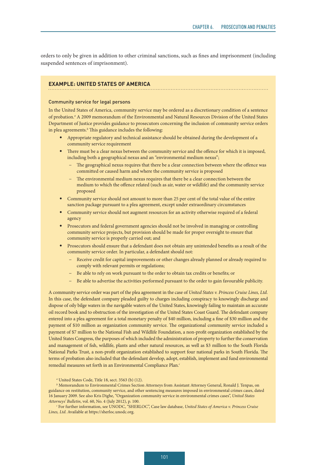orders to only be given in addition to other criminal sanctions, such as fines and imprisonment (including suspended sentences of imprisonment).

#### **EXAMPLE: UNITED STATES OF AMERICA**

#### Community service for legal persons

In the United States of America, community service may be ordered as a discretionary condition of a sentence of probation.<sup>*a*</sup> A 2009 memorandum of the Environmental and Natural Resources Division of the United States Department of Justice provides guidance to prosecutors concerning the inclusion of community service orders in plea agreements.*<sup>b</sup>* This guidance includes the following:

- Appropriate regulatory and technical assistance should be obtained during the development of a community service requirement
- There must be a clear nexus between the community service and the offence for which it is imposed, including both a geographical nexus and an "environmental medium nexus";
	- The geographical nexus requires that there be a clear connection between where the offence was committed or caused harm and where the community service is proposed
	- The environmental medium nexus requires that there be a clear connection between the medium to which the offence related (such as air, water or wildlife) and the community service proposed
- Community service should not amount to more than 25 per cent of the total value of the entire sanction package pursuant to a plea agreement, except under extraordinary circumstances
- Community service should not augment resources for an activity otherwise required of a federal agency
- Prosecutors and federal government agencies should not be involved in managing or controlling community service projects, but provision should be made for proper oversight to ensure that community service is properly carried out; and
- Prosecutors should ensure that a defendant does not obtain any unintended benefits as a result of the community service order. In particular, a defendant should not:
	- Receive credit for capital improvements or other changes already planned or already required to comply with relevant permits or regulations;
	- Be able to rely on work pursuant to the order to obtain tax credits or benefits; or
	- Be able to advertise the activities performed pursuant to the order to gain favourable publicity.

A community service order was part of the plea agreement in the case of *United States v. Princess Cruise Lines, Ltd*. In this case, the defendant company pleaded guilty to charges including conspiracy to knowingly discharge and dispose of oily bilge waters in the navigable waters of the United States, knowingly failing to maintain an accurate oil record book and to obstruction of the investigation of the United States Coast Guard. The defendant company entered into a plea agreement for a total monetary penalty of \$40 million, including a fine of \$30 million and the payment of \$10 million as organization community service. The organizational community service included a payment of \$7 million to the National Fish and Wildlife Foundation, a non-profit organization established by the United States Congress, the purposes of which included the administration of property to further the conservation and management of fish, wildlife, plants and other natural resources, as well as \$3 million to the South Florida National Parks Trust, a non-profit organization established to support four national parks in South Florida. The terms of probation also included that the defendant develop, adopt, establish, implement and fund environmental remedial measures set forth in an Environmental Compliance Plan.*<sup>c</sup>*

*a* United States Code, Title 18, sect. 3563 (b) (12).

*b* Memorandum to Environmental Crimes Section Attorneys from Assistant Attorney General, Ronald J. Tenpas, on guidance on restitution, community service, and other sentencing measures imposed in environmental crimes cases, dated 16 January 2009. See also Kris Dighe, "Organization community service in environmental crimes cases", *United States Attorneys' Bulletin*, vol. 60, No. 4 (July 2012), p. 100.

*c* For further information, see UNODC, "SHERLOC", Case law database, *United States of America v. Princess Cruise Lines, Ltd*. Available at https://sherloc.unodc.org.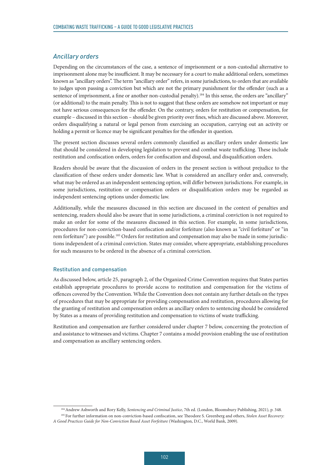#### *Ancillary orders*

Depending on the circumstances of the case, a sentence of imprisonment or a non-custodial alternative to imprisonment alone may be insufficient. It may be necessary for a court to make additional orders, sometimes known as "ancillary orders". The term "ancillary order" refers, in some jurisdictions, to orders that are available to judges upon passing a conviction but which are not the primary punishment for the offender (such as a sentence of imprisonment, a fine or another non-custodial penalty).<sup>184</sup> In this sense, the orders are "ancillary" (or additional) to the main penalty. This is not to suggest that these orders are somehow not important or may not have serious consequences for the offender. On the contrary, orders for restitution or compensation, for example – discussed in this section – should be given priority over fines, which are discussed above. Moreover, orders disqualifying a natural or legal person from exercising an occupation, carrying out an activity or holding a permit or licence may be significant penalties for the offender in question.

The present section discusses several orders commonly classified as ancillary orders under domestic law that should be considered in developing legislation to prevent and combat waste trafficking. These include restitution and confiscation orders, orders for confiscation and disposal, and disqualification orders.

Readers should be aware that the discussion of orders in the present section is without prejudice to the classification of these orders under domestic law. What is considered an ancillary order and, conversely, what may be ordered as an independent sentencing option, will differ between jurisdictions. For example, in some jurisdictions, restitution or compensation orders or disqualification orders may be regarded as independent sentencing options under domestic law.

Additionally, while the measures discussed in this section are discussed in the context of penalties and sentencing, readers should also be aware that in some jurisdictions, a criminal conviction is not required to make an order for some of the measures discussed in this section. For example, in some jurisdictions, procedures for non-conviction-based confiscation and/or forfeiture (also known as "civil forfeiture" or "in rem forfeiture") are possible.<sup>185</sup> Orders for restitution and compensation may also be made in some jurisdictions independent of a criminal conviction. States may consider, where appropriate, establishing procedures for such measures to be ordered in the absence of a criminal conviction.

#### Restitution and compensation

As discussed below, article 25, paragraph 2, of the Organized Crime Convention requires that States parties establish appropriate procedures to provide access to restitution and compensation for the victims of offences covered by the Convention. While the Convention does not contain any further details on the types of procedures that may be appropriate for providing compensation and restitution, procedures allowing for the granting of restitution and compensation orders as ancillary orders to sentencing should be considered by States as a means of providing restitution and compensation to victims of waste trafficking.

Restitution and compensation are further considered under chapter 7 below, concerning the protection of and assistance to witnesses and victims. Chapter 7 contains a model provision enabling the use of restitution and compensation as ancillary sentencing orders.

<sup>184</sup> Andrew Ashworth and Rory Kelly, *Sentencing and Criminal Justice*, 7th ed. (London, Bloomsbury Publishing, 2021), p. 348.

<sup>185</sup> For further information on non-conviction-based confiscation, see Theodore S. Greenberg and others, *Stolen Asset Recovery: A Good Practices Guide for Non-Conviction Based Asset Forfeiture* (Washington, D.C., World Bank, 2009).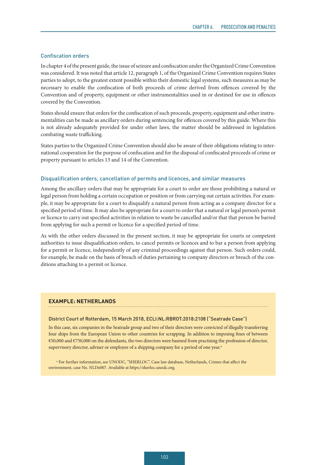#### Confiscation orders

In chapter 4 of the present guide, the issue of seizure and confiscation under the Organized Crime Convention was considered. It was noted that article 12, paragraph 1, of the Organized Crime Convention requires States parties to adopt, to the greatest extent possible within their domestic legal systems, such measures as may be necessary to enable the confiscation of both proceeds of crime derived from offences covered by the Convention and of property, equipment or other instrumentalities used in or destined for use in offences covered by the Convention.

States should ensure that orders for the confiscation of such proceeds, property, equipment and other instrumentalities can be made as ancillary orders during sentencing for offences covered by this guide. Where this is not already adequately provided for under other laws, the matter should be addressed in legislation combating waste trafficking.

States parties to the Organized Crime Convention should also be aware of their obligations relating to international cooperation for the purpose of confiscation and for the disposal of confiscated proceeds of crime or property pursuant to articles 13 and 14 of the Convention.

#### Disqualification orders, cancellation of permits and licences, and similar measures

Among the ancillary orders that may be appropriate for a court to order are those prohibiting a natural or legal person from holding a certain occupation or position or from carrying out certain activities. For example, it may be appropriate for a court to disqualify a natural person from acting as a company director for a specified period of time. It may also be appropriate for a court to order that a natural or legal person's permit or licence to carry out specified activities in relation to waste be cancelled and/or that that person be barred from applying for such a permit or licence for a specified period of time.

As with the other orders discussed in the present section, it may be appropriate for courts or competent authorities to issue disqualification orders, to cancel permits or licences and to bar a person from applying for a permit or licence, independently of any criminal proceedings against that person. Such orders could, for example, be made on the basis of breach of duties pertaining to company directors or breach of the conditions attaching to a permit or licence.

#### **EXAMPLE: NETHERLANDS**

#### District Court of Rotterdam, 15 March 2018, ECLI:NL:RBROT:2018:2108 ("Seatrade Case")

In this case, six companies in the Seatrade group and two of their directors were convicted of illegally transferring four ships from the European Union to other countries for scrapping. In addition to imposing fines of between €50,000 and €750,000 on the defendants, the two directors were banned from practising the profession of director, supervisory director, adviser or employee of a shipping company for a period of one year.*<sup>a</sup>*

*a* For further information, see UNODC, "SHERLOC", Case law database, Netherlands, Crimes that affect the environment, case No. NLDx007. Available at https://sherloc.unodc.org.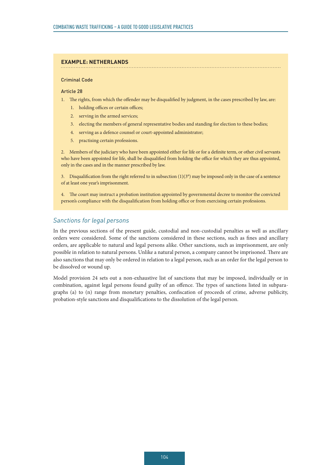#### **EXAMPLE: NETHERLANDS**

#### Criminal Code

#### Article 28

- 1. The rights, from which the offender may be disqualified by judgment, in the cases prescribed by law, are:
	- 1. holding offices or certain offices;
	- 2. serving in the armed services;
	- 3. electing the members of general representative bodies and standing for election to these bodies;
	- 4. serving as a defence counsel or court-appointed administrator;
	- 5. practising certain professions.

2. Members of the judiciary who have been appointed either for life or for a definite term, or other civil servants who have been appointed for life, shall be disqualified from holding the office for which they are thus appointed, only in the cases and in the manner prescribed by law.

3. Disqualification from the right referred to in subsection (1)(3°) may be imposed only in the case of a sentence of at least one year's imprisonment.

4. The court may instruct a probation institution appointed by governmental decree to monitor the convicted person's compliance with the disqualification from holding office or from exercising certain professions.

#### *Sanctions for legal persons*

In the previous sections of the present guide, custodial and non-custodial penalties as well as ancillary orders were considered. Some of the sanctions considered in these sections, such as fines and ancillary orders, are applicable to natural and legal persons alike. Other sanctions, such as imprisonment, are only possible in relation to natural persons. Unlike a natural person, a company cannot be imprisoned. There are also sanctions that may only be ordered in relation to a legal person, such as an order for the legal person to be dissolved or wound up.

Model provision 24 sets out a non-exhaustive list of sanctions that may be imposed, individually or in combination, against legal persons found guilty of an offence. The types of sanctions listed in subparagraphs (a) to (n) range from monetary penalties, confiscation of proceeds of crime, adverse publicity, probation-style sanctions and disqualifications to the dissolution of the legal person.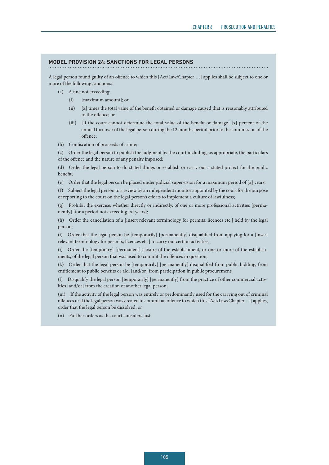#### **MODEL PROVISION 24: SANCTIONS FOR LEGAL PERSONS**

A legal person found guilty of an offence to which this [Act/Law/Chapter …] applies shall be subject to one or more of the following sanctions:

- (a) A fine not exceeding:
	- (i) [maximum amount]; or
	- (ii) [x] times the total value of the benefit obtained or damage caused that is reasonably attributed to the offence; or
	- (iii) [If the court cannot determine the total value of the benefit or damage] [x] percent of the annual turnover of the legal person during the 12 months period prior to the commission of the offence;
- (b) Confiscation of proceeds of crime;

(c) Order the legal person to publish the judgment by the court including, as appropriate, the particulars of the offence and the nature of any penalty imposed;

(d) Order the legal person to do stated things or establish or carry out a stated project for the public benefit;

(e) Order that the legal person be placed under judicial supervision for a maximum period of [x] years;

(f) Subject the legal person to a review by an independent monitor appointed by the court for the purpose of reporting to the court on the legal person's efforts to implement a culture of lawfulness;

(g) Prohibit the exercise, whether directly or indirectly, of one or more professional activities [permanently] [for a period not exceeding [x] years];

(h) Order the cancellation of a [insert relevant terminology for permits, licences etc.] held by the legal person;

(i) Order that the legal person be [temporarily] [permanently] disqualified from applying for a [insert relevant terminology for permits, licences etc.] to carry out certain activities;

(j) Order the [temporary] [permanent] closure of the establishment, or one or more of the establishments, of the legal person that was used to commit the offences in question;

(k) Order that the legal person be [temporarily] [permanently] disqualified from public bidding, from entitlement to public benefits or aid, [and/or] from participation in public procurement;

(l) Disqualify the legal person [temporarily] [permanently] from the practice of other commercial activities [and/or] from the creation of another legal person;

(m) If the activity of the legal person was entirely or predominantly used for the carrying out of criminal offences or if the legal person was created to commit an offence to which this [Act/Law/Chapter …] applies, order that the legal person be dissolved; or

(n) Further orders as the court considers just.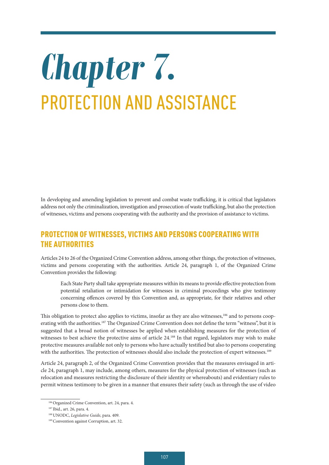# *Chapter 7.* PROTECTION AND ASSISTANCE

In developing and amending legislation to prevent and combat waste trafficking, it is critical that legislators address not only the criminalization, investigation and prosecution of waste trafficking, but also the protection of witnesses, victims and persons cooperating with the authority and the provision of assistance to victims.

### PROTECTION OF WITNESSES, VICTIMS AND PERSONS COOPERATING WITH THE AUTHORITIES

Articles 24 to 26 of the Organized Crime Convention address, among other things, the protection of witnesses, victims and persons cooperating with the authorities. Article 24, paragraph 1, of the Organized Crime Convention provides the following:

Each State Party shall take appropriate measures within its means to provide effective protection from potential retaliation or intimidation for witnesses in criminal proceedings who give testimony concerning offences covered by this Convention and, as appropriate, for their relatives and other persons close to them.

This obligation to protect also applies to victims, insofar as they are also witnesses,<sup>186</sup> and to persons cooperating with the authorities.<sup>187</sup> The Organized Crime Convention does not define the term "witness", but it is suggested that a broad notion of witnesses be applied when establishing measures for the protection of witnesses to best achieve the protective aims of article 24.<sup>188</sup> In that regard, legislators may wish to make protective measures available not only to persons who have actually testified but also to persons cooperating with the authorities. The protection of witnesses should also include the protection of expert witnesses.<sup>189</sup>

Article 24, paragraph 2, of the Organized Crime Convention provides that the measures envisaged in article 24, paragraph 1, may include, among others, measures for the physical protection of witnesses (such as relocation and measures restricting the disclosure of their identity or whereabouts) and evidentiary rules to permit witness testimony to be given in a manner that ensures their safety (such as through the use of video

<sup>186</sup> Organized Crime Convention, art. 24, para. 4.

<sup>187</sup> Ibid., art. 26, para. 4.

<sup>188</sup> UNODC, *Legislative Guide*, para. 409.

<sup>189</sup> Convention against Corruption, art. 32.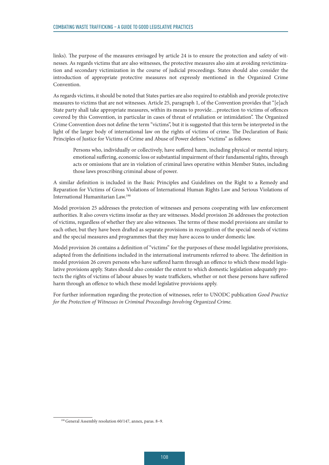links). The purpose of the measures envisaged by article 24 is to ensure the protection and safety of witnesses. As regards victims that are also witnesses, the protective measures also aim at avoiding revictimization and secondary victimization in the course of judicial proceedings. States should also consider the introduction of appropriate protective measures not expressly mentioned in the Organized Crime Convention.

As regards victims, it should be noted that States parties are also required to establish and provide protective measures to victims that are not witnesses. Article 25, paragraph 1, of the Convention provides that "[e]ach State party shall take appropriate measures, within its means to provide…protection to victims of offences covered by this Convention, in particular in cases of threat of retaliation or intimidation". The Organized Crime Convention does not define the term "victims", but it is suggested that this term be interpreted in the light of the larger body of international law on the rights of victims of crime. The Declaration of Basic Principles of Justice for Victims of Crime and Abuse of Power defines "victims" as follows:

Persons who, individually or collectively, have suffered harm, including physical or mental injury, emotional suffering, economic loss or substantial impairment of their fundamental rights, through acts or omissions that are in violation of criminal laws operative within Member States, including those laws proscribing criminal abuse of power.

A similar definition is included in the Basic Principles and Guidelines on the Right to a Remedy and Reparation for Victims of Gross Violations of International Human Rights Law and Serious Violations of International Humanitarian Law.190

Model provision 25 addresses the protection of witnesses and persons cooperating with law enforcement authorities. It also covers victims insofar as they are witnesses. Model provision 26 addresses the protection of victims, regardless of whether they are also witnesses. The terms of these model provisions are similar to each other, but they have been drafted as separate provisions in recognition of the special needs of victims and the special measures and programmes that they may have access to under domestic law.

Model provision 26 contains a definition of "victims" for the purposes of these model legislative provisions, adapted from the definitions included in the international instruments referred to above. The definition in model provision 26 covers persons who have suffered harm through an offence to which these model legislative provisions apply. States should also consider the extent to which domestic legislation adequately protects the rights of victims of labour abuses by waste traffickers, whether or not these persons have suffered harm through an offence to which these model legislative provisions apply.

For further information regarding the protection of witnesses, refer to UNODC publication *Good Practice for the Protection of Witnesses in Criminal Proceedings Involving Organized Crime.*

<sup>190</sup> General Assembly resolution 60/147, annex, paras. 8–9.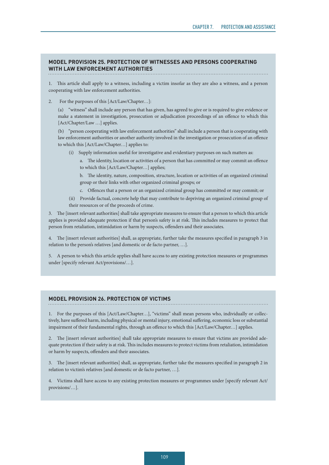#### **MODEL PROVISION 25. PROTECTION OF WITNESSES AND PERSONS COOPERATING WITH LAW ENFORCEMENT AUTHORITIES**

1. This article shall apply to a witness, including a victim insofar as they are also a witness, and a person cooperating with law enforcement authorities.

2. For the purposes of this [Act/Law/Chapter…]:

(a) "witness" shall include any person that has given, has agreed to give or is required to give evidence or make a statement in investigation, prosecution or adjudication proceedings of an offence to which this [Act/Chapter/Law …] applies.

(b) "person cooperating with law enforcement authorities" shall include a person that is cooperating with law enforcement authorities or another authority involved in the investigation or prosecution of an offence to which this [Act/Law/Chapter…] applies to:

- (i) Supply information useful for investigative and evidentiary purposes on such matters as:
	- a. The identity, location or activities of a person that has committed or may commit an offence to which this [Act/Law/Chapter…] applies;

b. The identity, nature, composition, structure, location or activities of an organized criminal group or their links with other organized criminal groups; or

- c. Offences that a person or an organized criminal group has committed or may commit; or
- (ii) Provide factual, concrete help that may contribute to depriving an organized criminal group of their resources or of the proceeds of crime.

3. The [insert relevant authorities] shall take appropriate measures to ensure that a person to which this article applies is provided adequate protection if that person's safety is at risk. This includes measures to protect that person from retaliation, intimidation or harm by suspects, offenders and their associates.

4. The [insert relevant authorities] shall, as appropriate, further take the measures specified in paragraph 3 in relation to the person's relatives [and domestic or de facto partner, …].

5. A person to which this article applies shall have access to any existing protection measures or programmes under [specify relevant Act/provisions/…].

#### **MODEL PROVISION 26. PROTECTION OF VICTIMS**

1. For the purposes of this [Act/Law/Chapter…], "victims" shall mean persons who, individually or collectively, have suffered harm, including physical or mental injury, emotional suffering, economic loss or substantial impairment of their fundamental rights, through an offence to which this [Act/Law/Chapter…] applies.

2. The [insert relevant authorities] shall take appropriate measures to ensure that victims are provided adequate protection if their safety is at risk. This includes measures to protect victims from retaliation, intimidation or harm by suspects, offenders and their associates.

3. The [insert relevant authorities] shall, as appropriate, further take the measures specified in paragraph 2 in relation to victim's relatives [and domestic or de facto partner, …].

4. Victims shall have access to any existing protection measures or programmes under [specify relevant Act/ provisions/…].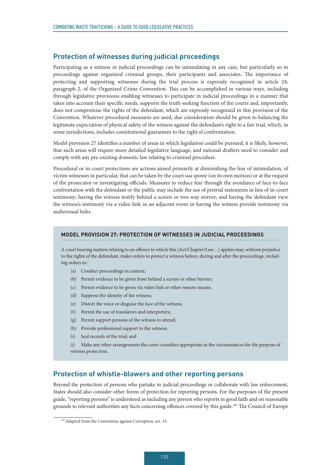### **Protection of witnesses during judicial proceedings**

Participating as a witness in judicial proceedings can be intimidating in any case, but particularly so in proceedings against organized criminal groups, their participants and associates. The importance of protecting and supporting witnesses during the trial process is expressly recognized in article 24, paragraph 2, of the Organized Crime Convention. This can be accomplished in various ways, including through legislative provisions enabling witnesses to participate in judicial proceedings in a manner that takes into account their specific needs, supports the truth-seeking function of the courts and, importantly, does not compromise the rights of the defendant, which are expressly recognized in this provision of the Convention. Whatever procedural measures are used, due consideration should be given to balancing the legitimate expectation of physical safety of the witness against the defendant's right to a fair trial, which, in some jurisdictions, includes constitutional guarantees to the right of confrontation.

Model provision 27 identifies a number of areas in which legislation could be pursued; it is likely, however, that such areas will require more detailed legislative language, and national drafters need to consider and comply with any pre-existing domestic law relating to criminal procedure.

Procedural or in-court protections are actions aimed primarily at diminishing the fear of intimidation, of victim witnesses in particular, that can be taken by the court *sua sponte* (on its own motion) or at the request of the prosecutor or investigating officials. Measures to reduce fear through the avoidance of face-to-face confrontation with the defendant or the public may include the use of pretrial statements in lieu of in-court testimony; having the witness testify behind a screen or two-way mirror; and having the defendant view the witness's testimony via a video link in an adjacent room or having the witness provide testimony via audiovisual links.

#### **MODEL PROVISION 27: PROTECTION OF WITNESSES IN JUDICIAL PROCEEDINGS**

A court hearing matters relating to an offence to which this [Act/Chapter/Law…] applies may, without prejudice to the rights of the defendant, make orders to protect a witness before, during and after the proceedings, including orders to:

- (a) Conduct proceedings in camera;
- (b) Permit evidence to be given from behind a screen or other barrier;
- (c) Permit evidence to be given via video link or other remote means;
- (d) Suppress the identity of the witness;
- (e) Distort the voice or disguise the face of the witness;
- (f) Permit the use of translators and interpreters;
- (g) Permit support persons of the witness to attend;
- (h) Provide professional support to the witness;
- (i) Seal records of the trial; and
- (j) Make any other arrangements the court considers appropriate in the circumstances for the purpose of witness protection.

#### **Protection of whistle-blowers and other reporting persons**

Beyond the protection of persons who partake in judicial proceedings or collaborate with law enforcement, States should also consider other forms of protection for reporting persons. For the purposes of the present guide, "reporting persons" is understood as including any person who reports in good faith and on reasonable grounds to relevant authorities any facts concerning offences covered by this guide.191 The Council of Europe

<sup>&</sup>lt;sup>191</sup> Adapted from the Convention against Corruption, art. 33.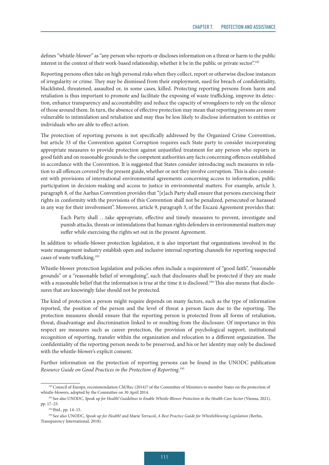defines "whistle-blower" as "any person who reports or discloses information on a threat or harm to the public interest in the context of their work-based relationship, whether it be in the public or private sector".<sup>192</sup>

Reporting persons often take on high personal risks when they collect, report or otherwise disclose instances of irregularity or crime. They may be dismissed from their employment, sued for breach of confidentiality, blacklisted, threatened, assaulted or, in some cases, killed. Protecting reporting persons from harm and retaliation is thus important to promote and facilitate the exposing of waste trafficking, improve its detection, enhance transparency and accountability and reduce the capacity of wrongdoers to rely on the silence of those around them. In turn, the absence of effective protection may mean that reporting persons are more vulnerable to intimidation and retaliation and may thus be less likely to disclose information to entities or individuals who are able to effect action.

The protection of reporting persons is not specifically addressed by the Organized Crime Convention, but article 33 of the Convention against Corruption requires each State party to consider incorporating appropriate measures to provide protection against unjustified treatment for any person who reports in good faith and on reasonable grounds to the competent authorities any facts concerning offences established in accordance with the Convention. It is suggested that States consider introducing such measures in relation to all offences covered by the present guide, whether or not they involve corruption. This is also consistent with provisions of international environmental agreements concerning access to information, public participation in decision-making and access to justice in environmental matters. For example, article 3, paragraph 8, of the Aarhus Convention provides that "[e]ach Party shall ensure that persons exercising their rights in conformity with the provisions of this Convention shall not be penalized, persecuted or harassed in any way for their involvement". Moreover, article 9, paragraph 3, of the Escazú Agreement provides that:

Each Party shall …take appropriate, effective and timely measures to prevent, investigate and punish attacks, threats or intimidations that human rights defenders in environmental matters may suffer while exercising the rights set out in the present Agreement.

In addition to whistle-blower protection legislation, it is also important that organizations involved in the waste management industry establish open and inclusive internal reporting channels for reporting suspected cases of waste trafficking.193

Whistle-blower protection legislation and policies often include a requirement of "good faith", "reasonable grounds" or a "reasonable belief of wrongdoing", such that disclosures shall be protected if they are made with a reasonable belief that the information is true at the time it is disclosed.<sup>194</sup> This also means that disclosures that are knowingly false should not be protected.

The kind of protection a person might require depends on many factors, such as the type of information reported, the position of the person and the level of threat a person faces due to the reporting. The protection measures should ensure that the reporting person is protected from all forms of retaliation, threat, disadvantage and discrimination linked to or resulting from the disclosure. Of importance in this respect are measures such as career protection, the provision of psychological support, institutional recognition of reporting, transfer within the organization and relocation to a different organization. The confidentiality of the reporting person needs to be preserved, and his or her identity may only be disclosed with the whistle-blower's explicit consent.

Further information on the protection of reporting persons can be found in the UNODC publication *Resource Guide on Good Practices in the Protection of Reporting*. 195

<sup>192</sup> Council of Europe, recommendation CM/Rec (2014)7 of the Committee of Ministers to member States on the protection of whistle-blowers, adopted by the Committee on 30 April 2014.

<sup>193</sup> See also UNODC, *Speak up for Health! Guidelines to Enable Whistle-Blower Protection in the Health-Care Sector* (Vienna, 2021), pp. 17–23.

<sup>194</sup> Ibid., pp. 14–15.

<sup>195</sup> See also UNODC, *Speak up for Health!* and Marie Terracol, *A Best Practice Guide for Whistleblowing Legislation* (Berlin, Transparency International, 2018).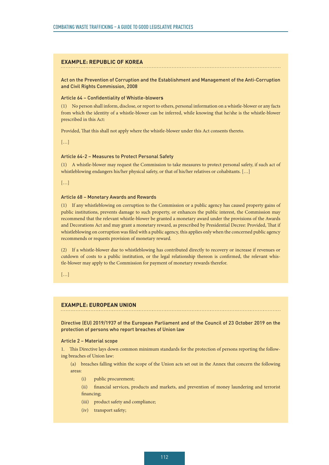#### **EXAMPLE: REPUBLIC OF KOREA**

Act on the Prevention of Corruption and the Establishment and Management of the Anti-Corruption and Civil Rights Commission, 2008

#### Article 64 – Confidentiality of Whistle-blower**s**

(1) No person shall inform, disclose, or report to others, personal information on a whistle-blower or any facts from which the identity of a whistle-blower can be inferred, while knowing that he/she is the whistle-blower prescribed in this Act:

Provided, That this shall not apply where the whistle-blower under this Act consents thereto.

[…]

#### Article 64-2 – Measures to Protect Personal Safety

(1) A whistle-blower may request the Commission to take measures to protect personal safety, if such act of whistleblowing endangers his/her physical safety, or that of his/her relatives or cohabitants. [...]

 $[...]$ 

#### Article 68 – Monetary Awards and Rewards

(1) If any whistleblowing on corruption to the Commission or a public agency has caused property gains of public institutions, prevents damage to such property, or enhances the public interest, the Commission may recommend that the relevant whistle-blower be granted a monetary award under the provisions of the Awards and Decorations Act and may grant a monetary reward, as prescribed by Presidential Decree: Provided, That if whistleblowing on corruption was filed with a public agency, this applies only when the concerned public agency recommends or requests provision of monetary reward.

(2) If a whistle-blower due to whistleblowing has contributed directly to recovery or increase if revenues or cutdown of costs to a public institution, or the legal relationship thereon is confirmed, the relevant whistle-blower may apply to the Commission for payment of monetary rewards therefor.

[…]

#### **EXAMPLE: EUROPEAN UNION**

Directive (EU) 2019/1937 of the European Parliament and of the Council of 23 October 2019 on the protection of persons who report breaches of Union law

#### Article 2 – Material scope

1. This Directive lays down common minimum standards for the protection of persons reporting the following breaches of Union law:

(a) breaches falling within the scope of the Union acts set out in the Annex that concern the following areas:

(i) public procurement;

(ii) financial services, products and markets, and prevention of money laundering and terrorist financing;

- (iii) product safety and compliance;
- (iv) transport safety;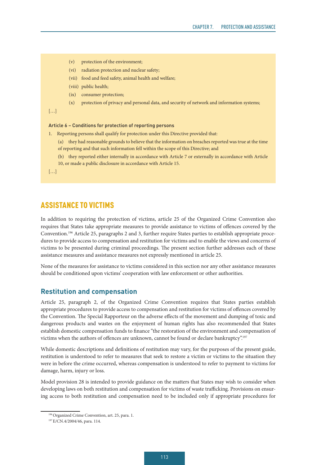- (v) protection of the environment;
- (vi) radiation protection and nuclear safety;
- (vii) food and feed safety, animal health and welfare;
- (viii) public health;
- (ix) consumer protection;
- (x) protection of privacy and personal data, and security of network and information systems;

[…]

#### Article 6 – Conditions for protection of reporting persons

- 1. Reporting persons shall qualify for protection under this Directive provided that:
	- (a) they had reasonable grounds to believe that the information on breaches reported was true at the time of reporting and that such information fell within the scope of this Directive; and
	- (b) they reported either internally in accordance with Article 7 or externally in accordance with Article
	- 10, or made a public disclosure in accordance with Article 15.

[…]

### ASSISTANCE TO VICTIMS

In addition to requiring the protection of victims, article 25 of the Organized Crime Convention also requires that States take appropriate measures to provide assistance to victims of offences covered by the Convention.196 Article 25, paragraphs 2 and 3, further require States parties to establish appropriate procedures to provide access to compensation and restitution for victims and to enable the views and concerns of victims to be presented during criminal proceedings. The present section further addresses each of these assistance measures and assistance measures not expressly mentioned in article 25.

None of the measures for assistance to victims considered in this section nor any other assistance measures should be conditioned upon victims' cooperation with law enforcement or other authorities.

#### **Restitution and compensation**

Article 25, paragraph 2, of the Organized Crime Convention requires that States parties establish appropriate procedures to provide access to compensation and restitution for victims of offences covered by the Convention. The Special Rapporteur on the adverse effects of the movement and dumping of toxic and dangerous products and wastes on the enjoyment of human rights has also recommended that States establish domestic compensation funds to finance "the restoration of the environment and compensation of victims when the authors of offences are unknown, cannot be found or declare bankruptcy".197

While domestic descriptions and definitions of restitution may vary, for the purposes of the present guide, restitution is understood to refer to measures that seek to restore a victim or victims to the situation they were in before the crime occurred, whereas compensation is understood to refer to payment to victims for damage, harm, injury or loss.

Model provision 28 is intended to provide guidance on the matters that States may wish to consider when developing laws on both restitution and compensation for victims of waste trafficking. Provisions on ensuring access to both restitution and compensation need to be included only if appropriate procedures for

<sup>196</sup> Organized Crime Convention, art. 25, para. 1.

<sup>197</sup> E/CN.4/2004/46, para. 114.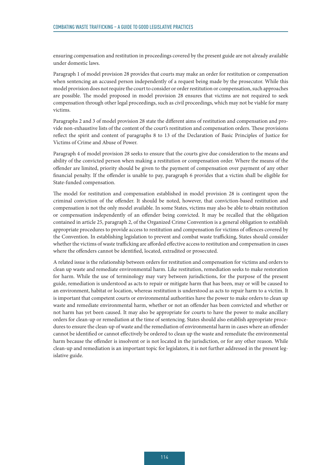ensuring compensation and restitution in proceedings covered by the present guide are not already available under domestic laws.

Paragraph 1 of model provision 28 provides that courts may make an order for restitution or compensation when sentencing an accused person independently of a request being made by the prosecutor. While this model provision does not require the court to consider or order restitution or compensation, such approaches are possible. The model proposed in model provision 28 ensures that victims are not required to seek compensation through other legal proceedings, such as civil proceedings, which may not be viable for many victims.

Paragraphs 2 and 3 of model provision 28 state the different aims of restitution and compensation and provide non-exhaustive lists of the content of the court's restitution and compensation orders. These provisions reflect the spirit and content of paragraphs 8 to 13 of the Declaration of Basic Principles of Justice for Victims of Crime and Abuse of Power.

Paragraph 4 of model provision 28 seeks to ensure that the courts give due consideration to the means and ability of the convicted person when making a restitution or compensation order. Where the means of the offender are limited, priority should be given to the payment of compensation over payment of any other financial penalty. If the offender is unable to pay, paragraph 6 provides that a victim shall be eligible for State-funded compensation.

The model for restitution and compensation established in model provision 28 is contingent upon the criminal conviction of the offender. It should be noted, however, that conviction-based restitution and compensation is not the only model available. In some States, victims may also be able to obtain restitution or compensation independently of an offender being convicted. It may be recalled that the obligation contained in article 25, paragraph 2, of the Organized Crime Convention is a general obligation to establish appropriate procedures to provide access to restitution and compensation for victims of offences covered by the Convention. In establishing legislation to prevent and combat waste trafficking, States should consider whether the victims of waste trafficking are afforded effective access to restitution and compensation in cases where the offenders cannot be identified, located, extradited or prosecuted.

A related issue is the relationship between orders for restitution and compensation for victims and orders to clean up waste and remediate environmental harm. Like restitution, remediation seeks to make restoration for harm. While the use of terminology may vary between jurisdictions, for the purpose of the present guide, remediation is understood as acts to repair or mitigate harm that has been, may or will be caused to an environment, habitat or location, whereas restitution is understood as acts to repair harm to a victim. It is important that competent courts or environmental authorities have the power to make orders to clean up waste and remediate environmental harm, whether or not an offender has been convicted and whether or not harm has yet been caused. It may also be appropriate for courts to have the power to make ancillary orders for clean-up or remediation at the time of sentencing. States should also establish appropriate procedures to ensure the clean-up of waste and the remediation of environmental harm in cases where an offender cannot be identified or cannot effectively be ordered to clean up the waste and remediate the environmental harm because the offender is insolvent or is not located in the jurisdiction, or for any other reason. While clean-up and remediation is an important topic for legislators, it is not further addressed in the present legislative guide.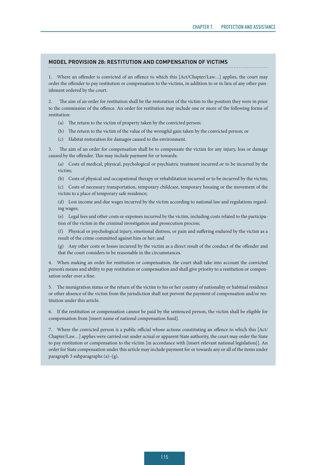#### **MODEL PROVISION 28: RESTITUTION AND COMPENSATION OF VICTIMS**

1. Where an offender is convicted of an offence to which this [Act/Chapter/Law…] applies, the court may order the offender to pay restitution or compensation to the victims, in addition to or in lieu of any other punishment ordered by the court.

2. The aim of an order for restitution shall be the restoration of the victim to the position they were in prior to the commission of the offence. An order for restitution may include one or more of the following forms of restitution:

- (a) The return to the victim of property taken by the convicted person;
- (b) The return to the victim of the value of the wrongful gain taken by the convicted person; or
- (c) Habitat restoration for damages caused to the environment.

3. The aim of an order for compensation shall be to compensate the victim for any injury, loss or damage caused by the offender. This may include payment for or towards:

(a) Costs of medical, physical, psychological or psychiatric treatment incurred or to be incurred by the victim;

(b) Costs of physical and occupational therapy or rehabilitation incurred or to be incurred by the victim;

(c) Costs of necessary transportation, temporary childcare, temporary housing or the movement of the victim to a place of temporary safe residence;

(d) Lost income and due wages incurred by the victim according to national law and regulations regarding wages;

(e) Legal fees and other costs or expenses incurred by the victim, including costs related to the participation of the victim in the criminal investigation and prosecution process;

(f) Physical or psychological injury, emotional distress, or pain and suffering endured by the victim as a result of the crime committed against him or her; and

(g) Any other costs or losses incurred by the victim as a direct result of the conduct of the offender and that the court considers to be reasonable in the circumstances.

4. When making an order for restitution or compensation, the court shall take into account the convicted person's means and ability to pay restitution or compensation and shall give priority to a restitution or compensation order over a fine.

5. The immigration status or the return of the victim to his or her country of nationality or habitual residence or other absence of the victim from the jurisdiction shall not prevent the payment of compensation and/or restitution under this article.

6. If the restitution or compensation cannot be paid by the sentenced person, the victim shall be eligible for compensation from [insert name of national compensation fund].

7. Where the convicted person is a public official whose actions constituting an offence to which this [Act/ Chapter/Law…] applies were carried out under actual or apparent State authority, the court may order the State to pay restitution or compensation to the victim [in accordance with [insert relevant national legislation]]. An order for State compensation under this article may include payment for or towards any or all of the items under paragraph 3 subparagraphs (a)–(g).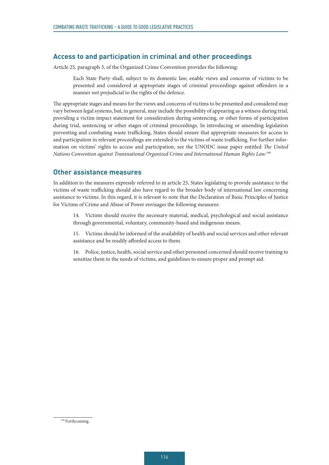### **Access to and participation in criminal and other proceedings**

Article 25, paragraph 3, of the Organized Crime Convention provides the following:

Each State Party shall, subject to its domestic law, enable views and concerns of victims to be presented and considered at appropriate stages of criminal proceedings against offenders in a manner not prejudicial to the rights of the defence.

The appropriate stages and means for the views and concerns of victims to be presented and considered may vary between legal systems, but, in general, may include the possibility of appearing as a witness during trial, providing a victim impact statement for consideration during sentencing, or other forms of participation during trial, sentencing or other stages of criminal proceedings. In introducing or amending legislation preventing and combating waste trafficking, States should ensure that appropriate measures for access to and participation in relevant proceedings are extended to the victims of waste trafficking. For further information on victims' rights to access and participation, see the UNODC issue paper entitled *The United Nations Convention against Transnational Organized Crime and International Human Rights Law.*<sup>198</sup>

#### **Other assistance measures**

In addition to the measures expressly referred to in article 25, States legislating to provide assistance to the victims of waste trafficking should also have regard to the broader body of international law concerning assistance to victims. In this regard, it is relevant to note that the Declaration of Basic Principles of Justice for Victims of Crime and Abuse of Power envisages the following measures:

14. Victims should receive the necessary material, medical, psychological and social assistance through governmental, voluntary, community-based and indigenous means.

15. Victims should be informed of the availability of health and social services and other relevant assistance and be readily afforded access to them.

16. Police, justice, health, social service and other personnel concerned should receive training to sensitize them to the needs of victims, and guidelines to ensure proper and prompt aid.

<sup>198</sup> Forthcoming.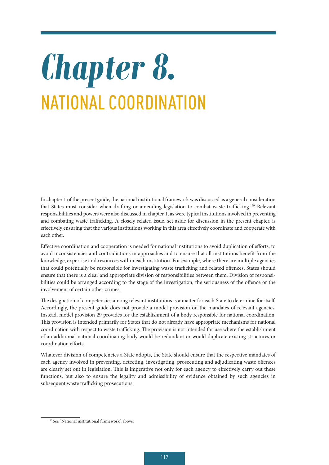# *Chapter 8.*  NATIONAL COORDINATION

In chapter 1 of the present guide, the national institutional framework was discussed as a general consideration that States must consider when drafting or amending legislation to combat waste trafficking.199 Relevant responsibilities and powers were also discussed in chapter 1, as were typical institutions involved in preventing and combating waste trafficking. A closely related issue, set aside for discussion in the present chapter, is effectively ensuring that the various institutions working in this area effectively coordinate and cooperate with each other.

Effective coordination and cooperation is needed for national institutions to avoid duplication of efforts, to avoid inconsistencies and contradictions in approaches and to ensure that all institutions benefit from the knowledge, expertise and resources within each institution. For example, where there are multiple agencies that could potentially be responsible for investigating waste trafficking and related offences, States should ensure that there is a clear and appropriate division of responsibilities between them. Division of responsibilities could be arranged according to the stage of the investigation, the seriousness of the offence or the involvement of certain other crimes.

The designation of competencies among relevant institutions is a matter for each State to determine for itself. Accordingly, the present guide does not provide a model provision on the mandates of relevant agencies. Instead, model provision 29 provides for the establishment of a body responsible for national coordination. This provision is intended primarily for States that do not already have appropriate mechanisms for national coordination with respect to waste trafficking. The provision is not intended for use where the establishment of an additional national coordinating body would be redundant or would duplicate existing structures or coordination efforts.

Whatever division of competencies a State adopts, the State should ensure that the respective mandates of each agency involved in preventing, detecting, investigating, prosecuting and adjudicating waste offences are clearly set out in legislation. This is imperative not only for each agency to effectively carry out these functions, but also to ensure the legality and admissibility of evidence obtained by such agencies in subsequent waste trafficking prosecutions.

<sup>&</sup>lt;sup>199</sup> See "National institutional framework", above.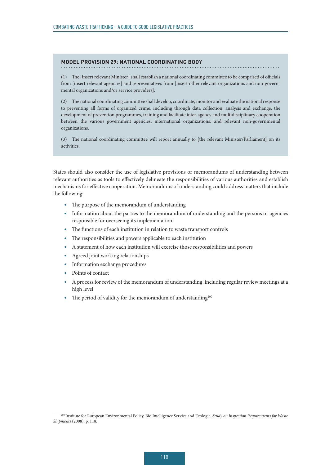#### **MODEL PROVISION 29: NATIONAL COORDINATING BODY**

(1) The [insert relevant Minister] shall establish a national coordinating committee to be comprised of officials from [insert relevant agencies] and representatives from [insert other relevant organizations and non-governmental organizations and/or service providers].

(2) The national coordinating committee shall develop, coordinate, monitor and evaluate the national response to preventing all forms of organized crime, including through data collection, analysis and exchange, the development of prevention programmes, training and facilitate inter-agency and multidisciplinary cooperation between the various government agencies, international organizations, and relevant non-governmental organizations.

(3) The national coordinating committee will report annually to [the relevant Minister/Parliament] on its activities.

States should also consider the use of legislative provisions or memorandums of understanding between relevant authorities as tools to effectively delineate the responsibilities of various authorities and establish mechanisms for effective cooperation. Memorandums of understanding could address matters that include the following:

- The purpose of the memorandum of understanding
- Information about the parties to the memorandum of understanding and the persons or agencies responsible for overseeing its implementation
- The functions of each institution in relation to waste transport controls
- The responsibilities and powers applicable to each institution
- A statement of how each institution will exercise those responsibilities and powers
- Agreed joint working relationships
- Information exchange procedures
- Points of contact
- A process for review of the memorandum of understanding, including regular review meetings at a high level
- The period of validity for the memorandum of understanding $200$

<sup>200</sup> Institute for European Environmental Policy, Bio Intelligence Service and Ecologic, *Study on Inspection Requirements for Waste Shipments* (2008), p. 118.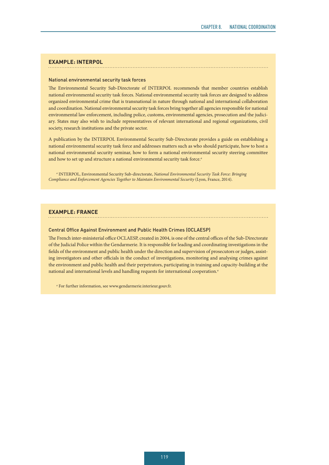#### **EXAMPLE: INTERPOL**

#### National environmental security task forces

The Environmental Security Sub-Directorate of INTERPOL recommends that member countries establish national environmental security task forces. National environmental security task forces are designed to address organized environmental crime that is transnational in nature through national and international collaboration and coordination. National environmental security task forces bring together all agencies responsible for national environmental law enforcement, including police, customs, environmental agencies, prosecution and the judiciary. States may also wish to include representatives of relevant international and regional organizations, civil society, research institutions and the private sector.

A publication by the INTERPOL Environmental Security Sub-Directorate provides a guide on establishing a national environmental security task force and addresses matters such as who should participate, how to host a national environmental security seminar, how to form a national environmental security steering committee and how to set up and structure a national environmental security task force.*<sup>a</sup>*

*a* INTERPOL, Environmental Security Sub-directorate, *National Environmental Security Task Force: Bringing Compliance and Enforcement Agencies Together to Maintain Environmental Security* (Lyon, France, 2014).

#### **EXAMPLE: FRANCE**

#### Central Office Against Environment and Public Health Crimes (OCLAESP)

The French inter-ministerial office OCLAESP, created in 2004, is one of the central offices of the Sub-Directorate of the Judicial Police within the Gendarmerie. It is responsible for leading and coordinating investigations in the fields of the environment and public health under the direction and supervision of prosecutors or judges, assisting investigators and other officials in the conduct of investigations, monitoring and analysing crimes against the environment and public health and their perpetrators, participating in training and capacity-building at the national and international levels and handling requests for international cooperation.*<sup>a</sup>*

*a* For further information, see www.gendarmerie.interieur.gouv.fr.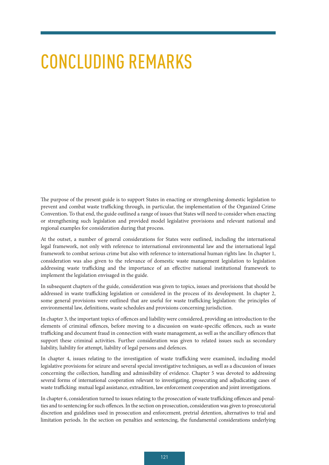## CONCLUDING REMARKS

The purpose of the present guide is to support States in enacting or strengthening domestic legislation to prevent and combat waste trafficking through, in particular, the implementation of the Organized Crime Convention. To that end, the guide outlined a range of issues that States will need to consider when enacting or strengthening such legislation and provided model legislative provisions and relevant national and regional examples for consideration during that process.

At the outset, a number of general considerations for States were outlined, including the international legal framework, not only with reference to international environmental law and the international legal framework to combat serious crime but also with reference to international human rights law. In chapter 1, consideration was also given to the relevance of domestic waste management legislation to legislation addressing waste trafficking and the importance of an effective national institutional framework to implement the legislation envisaged in the guide.

In subsequent chapters of the guide, consideration was given to topics, issues and provisions that should be addressed in waste trafficking legislation or considered in the process of its development. In chapter 2, some general provisions were outlined that are useful for waste trafficking legislation: the principles of environmental law, definitions, waste schedules and provisions concerning jurisdiction.

In chapter 3, the important topics of offences and liability were considered, providing an introduction to the elements of criminal offences, before moving to a discussion on waste-specific offences, such as waste trafficking and document fraud in connection with waste management, as well as the ancillary offences that support these criminal activities. Further consideration was given to related issues such as secondary liability, liability for attempt, liability of legal persons and defences.

In chapter 4, issues relating to the investigation of waste trafficking were examined, including model legislative provisions for seizure and several special investigative techniques, as well as a discussion of issues concerning the collection, handling and admissibility of evidence. Chapter 5 was devoted to addressing several forms of international cooperation relevant to investigating, prosecuting and adjudicating cases of waste trafficking: mutual legal assistance, extradition, law enforcement cooperation and joint investigations.

In chapter 6, consideration turned to issues relating to the prosecution of waste trafficking offences and penalties and to sentencing for such offences. In the section on prosecution, consideration was given to prosecutorial discretion and guidelines used in prosecution and enforcement, pretrial detention, alternatives to trial and limitation periods. In the section on penalties and sentencing, the fundamental considerations underlying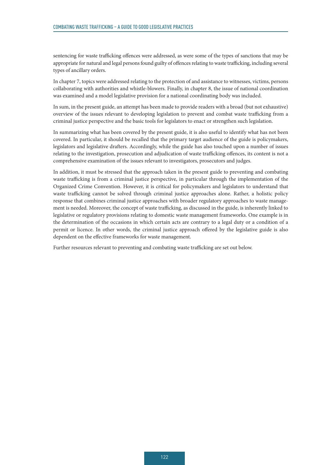sentencing for waste trafficking offences were addressed, as were some of the types of sanctions that may be appropriate for natural and legal persons found guilty of offences relating to waste trafficking, including several types of ancillary orders.

In chapter 7, topics were addressed relating to the protection of and assistance to witnesses, victims, persons collaborating with authorities and whistle-blowers. Finally, in chapter 8, the issue of national coordination was examined and a model legislative provision for a national coordinating body was included.

In sum, in the present guide, an attempt has been made to provide readers with a broad (but not exhaustive) overview of the issues relevant to developing legislation to prevent and combat waste trafficking from a criminal justice perspective and the basic tools for legislators to enact or strengthen such legislation.

In summarizing what has been covered by the present guide, it is also useful to identify what has not been covered. In particular, it should be recalled that the primary target audience of the guide is policymakers, legislators and legislative drafters. Accordingly, while the guide has also touched upon a number of issues relating to the investigation, prosecution and adjudication of waste trafficking offences, its content is not a comprehensive examination of the issues relevant to investigators, prosecutors and judges.

In addition, it must be stressed that the approach taken in the present guide to preventing and combating waste trafficking is from a criminal justice perspective, in particular through the implementation of the Organized Crime Convention. However, it is critical for policymakers and legislators to understand that waste trafficking cannot be solved through criminal justice approaches alone. Rather, a holistic policy response that combines criminal justice approaches with broader regulatory approaches to waste management is needed. Moreover, the concept of waste trafficking, as discussed in the guide, is inherently linked to legislative or regulatory provisions relating to domestic waste management frameworks. One example is in the determination of the occasions in which certain acts are contrary to a legal duty or a condition of a permit or licence. In other words, the criminal justice approach offered by the legislative guide is also dependent on the effective frameworks for waste management.

Further resources relevant to preventing and combating waste trafficking are set out below.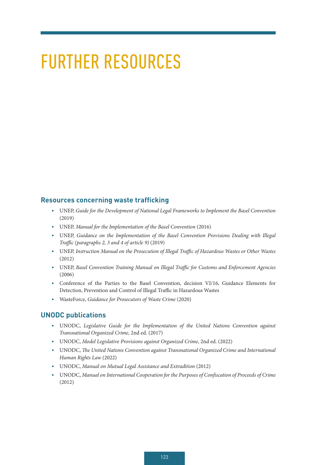## FURTHER RESOURCES

#### **Resources concerning waste trafficking**

- UNEP, *Guide for the Development of National Legal Frameworks to Implement the Basel Convention*  (2019)
- UNEP, *Manual for the Implementation of the Basel Convention* (2016)
- UNEP, *Guidance on the Implementation of the Basel Convention Provisions Dealing with Illegal Traffic (paragraphs 2, 3 and 4 of article 9)* (2019)
- UNEP, *Instruction Manual on the Prosecution of Illegal Traffic of Hazardous Wastes or Other Wastes*  (2012)
- UNEP, *Basel Convention Training Manual on Illegal Traffic for Customs and Enforcement Agencies*  (2006)
- Conference of the Parties to the Basel Convention, decision VI/16, Guidance Elements for Detection, Prevention and Control of Illegal Traffic in Hazardous Wastes
- WasteForce, *Guidance for Prosecutors of Waste Crime* (2020)

#### **UNODC publications**

- UNODC, *Legislative Guide for the Implementation of the United Nations Convention against Transnational Organized Crime,* 2nd ed. (2017)
- UNODC, *Model Legislative Provisions against Organized Crime*, 2nd ed. (2022)
- UNODC, *The United Nations Convention against Transnational Organized Crime and International Human Rights Law* (2022)
- UNODC, *Manual on Mutual Legal Assistance and Extradition* (2012)
- UNODC, *Manual on International Cooperation for the Purposes of Confiscation of Proceeds of Crime*  (2012)